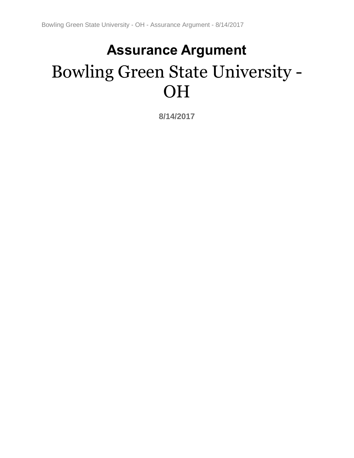# **Assurance Argument** Bowling Green State University - OH

**8/14/2017**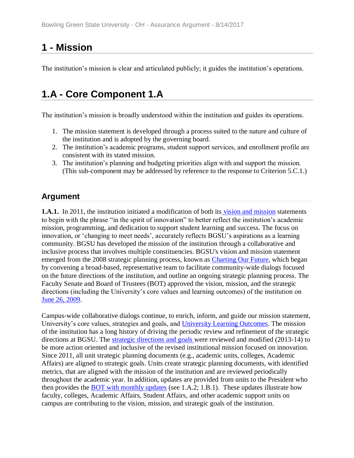# **1 - Mission**

The institution's mission is clear and articulated publicly; it guides the institution's operations.

# **1.A - Core Component 1.A**

The institution's mission is broadly understood within the institution and guides its operations.

- 1. The mission statement is developed through a process suited to the nature and culture of the institution and is adopted by the governing board.
- 2. The institution's academic programs, student support services, and enrollment profile are consistent with its stated mission.
- 3. The institution's planning and budgeting priorities align with and support the mission. (This sub-component may be addressed by reference to the response to Criterion 5.C.1.)

# **Argument**

**1.A.1.** In 2011, the in[s](../../evidence/viewfile?fileid=403010)titution initiated a modification of both its [vision and mission](../../evidence/viewfile?fileId=406581) statements to begin with the phrase "in the spirit of innovation" to better reflect the institution's academic mission, programming, and dedication to support student learning and success. The focus on innovation, or 'changing to meet needs', accurately reflects BGSU's aspirations as a learning community. BGSU has developed the mission of the institution through a collaborative and inclusive process that involves multiple constituencies. BGSU's vision and mission statement emerged from the 2008 strategic planning process, known as [Charting Our Future,](../../evidence/viewfile?fileId=401557) which began by convening a broad-based, representative team to facilitate community-wide dialogs focused on the future directions of the institution, and outline an ongoing strategic planning process. The Faculty Senate and Board of Trustees (BOT) approved the vision, mission, and the strategic directions (including the University's core values and learning outcomes) of the institution on [June 26, 2009.](../../evidence/viewfile?fileId=401534)

Campus-wide collaborative dialogs continue, to enrich, inform, and guide our mission statement, University's core values, strategies and goals, and [University Learning Outcomes.](../../evidence/viewfile?fileId=401539) The mission of the institution has a long history of driving the periodic review and refinement of the strategic directions at BGSU. The [strategic directions and goals](../../evidence/viewfile?fileId=401584) [w](../../evidence/viewfile?fileId=406581)ere reviewed and modified (2013-14) to be more action oriented and inclusive of the revised institutional mission focused on innovation. Since 2011, all unit strategic planning documents (e.g., academic units, colleges, Academic Affairs) are aligned to strategic goals. Units create strategic planning documents, with identified metrics, that are aligned with the mission of the institution and are reviewed periodically throughout the academic year. In addition, updates are provided from units to the President who then provides the [BOT with monthly updates](../../evidence/viewfile?fileid=403024) (see 1.A.2; 1.B.1). These updates illustrate how faculty, colleges, Academic Affairs, Student Affairs, and other academic support units on campus are contributing to the vision, mission, and strategic goals of the institution.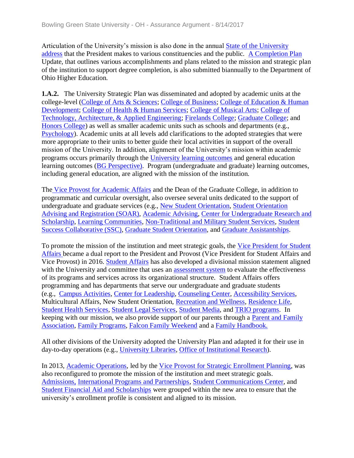Articulation of the University's mission is also done in the annual [State of the University](../../evidence/viewfile?fileId=401538)  [address](../../evidence/viewfile?fileId=401538) that the President makes to various constituencies and the public. [A Completion Plan](../../evidence/viewfile?fileid=403017) Update, that outlines various accomplishments and plans related to the mission and strategic plan of the institution to support degree completion, is also submitted biannually to the Department of Ohio Higher Education.

**1.A.2.** The University Strategic Plan was disseminated and adopted by academic units at the college-level [\(College of Arts & Sciences;](../../evidence/viewfile?fileid=403023) [College of](../../evidence/viewfile?fileid=403065) Business; [College of Education](../../evidence/viewfile?fileid=403015) & Human [Development;](../../evidence/viewfile?fileid=403015) [College of Health & Human Services;](../../evidence/viewfile?fileid=403013) [College of Musical Arts;](../../evidence/viewfile?fileid=403021) [College of](../../evidence/viewfile?fileId=403066)  [Technology, Architecture, & Applied Engineering;](../../evidence/viewfile?fileId=403066) [Firelands College;](../../evidence/viewfile?fileid=403012) [Graduate College;](../../evidence/viewfile?fileid=403019) and [Honors College\)](../../evidence/viewfile?fileid=403014) as well as smaller academic units such as schools and departments (e.g., [Psychology\)](../../evidence/viewfile?fileId=403075). Academic units at all levels add clarifications to the adopted strategies that were more appropriate to their units to better guide their local activities in support of the overall mission of the University. In addition, alignment of the University's mission within academic programs occurs primarily through the [University learning outcomes](../../evidence/viewfile?fileid=401539) and general education learning outcomes [\(BG Perspective\).](../../evidence/viewfile?fileId=401541) Program (undergraduate and graduate) learning outcomes, including general education, are aligned with the mission of the institution.

The [Vice Provost for Academic Affairs](../../evidence/viewfile?fileId=401764) and the Dean of the Graduate College, in addition to programmatic and curricular oversight, also oversee several units dedicated to the support of undergraduate and graduate services (e.g., [New Student Orientation,](../../evidence/viewfile?fileId=401559) [Student Orientation](../../evidence/viewfile?fileId=401561)  [Advising and Registration \(SOAR\),](../../evidence/viewfile?fileId=401561) [Academic Advising,](../../evidence/viewfile?fileId=401540) [Center for Undergraduate Research and](../../evidence/viewfile?fileId=401544)  [Scholarship,](../../evidence/viewfile?fileId=401544) [Learning Communities,](../../evidence/viewfile?fileId=401555) [Non-Traditional and Military Student Services,](../../evidence/viewfile?fileId=401558) [Student](../../evidence/viewfile?fileId=401572)  [Success Collaborative \(SSC\),](../../evidence/viewfile?fileId=401572) [Graduate Student Orientation,](../../evidence/viewfile?fileId=401552) and [Graduate Assistantships.](../../evidence/viewfile?fileId=401549)

To promote the mission of the institution and meet strategic goals, the [Vice President for Student](../../evidence/viewfile?fileId=401567)  [Affairs](../../evidence/viewfile?fileId=401567) [b](../../evidence/viewfile?fileId=406579)ecame a dual report to the President and Provost (Vice President for Student Affairs and Vice Provost) in 2016. [Student Affairs](../../evidence/viewfile?fileid=401567) has also developed a divisional mission statement aligned with the University and committee that uses an [assessment system](../../evidence/viewfile?fileid=403022) to evaluate the effectiveness of its programs and services across its organizational structure. Student Affairs offers programming and has departments that serve our undergraduate and graduate students (e.g., [Campus Activities,](../../evidence/viewfile?fileId=401546) [Center for Leadership,](../../evidence/viewfile?fileId=401542) [Counseling Center,](../../evidence/viewfile?fileId=401551) [Accessibility Services,](../../evidence/viewfile?fileId=401543) Multicultural Affairs, New Student Orientation, [Recreation and Wellness,](../../evidence/viewfile?fileId=401560) [Residence Life,](../../evidence/viewfile?fileId=401562) [Student Health Services,](../../evidence/viewfile?fileId=401566) [Student Legal Services,](../../evidence/viewfile?fileId=401565) [Student Media,](../../evidence/viewfile?fileId=401568) and [TRIO programs.](../../evidence/viewfile?fileId=401570) In keeping with our mission, we also provide support of our parents through a [Parent and Family](../../evidence/viewfile?fileId=401556)  [Association,](../../evidence/viewfile?fileId=401556) [Family Programs,](../../evidence/viewfile?fileId=401548) [Falcon Family Weekend](../../evidence/viewfile?fileId=401547) and a [Family Handbook.](../../evidence/viewfile?fileId=401585)

All other divisions of the University adopted the University Plan and adapted it for their use in day-to-day operations (e.g., [University Libraries,](../../evidence/viewfile?fileid=403020) [Office of Institutional Research\)](../../evidence/viewfile?fileId=403076).

In 2013, [Academic Operations,](../../evidence/viewfile?fileId=401537) led by the [Vice Provost for Strategic Enrollment Planning,](../../evidence/viewfile?fileId=401765) was also reconfigured to promote the mission of the institution and meet strategic goals. [Admissions,](../../evidence/viewfile?fileId=401545) [International Programs and Partnerships,](../../evidence/viewfile?fileId=401553) [Student Communications Center,](../../evidence/viewfile?fileId=401563) and [Student Financial Aid and Scholarships](../../evidence/viewfile?fileId=401564) were grouped within the new area to ensure that the university's enrollment profile is consistent and aligned to its mission.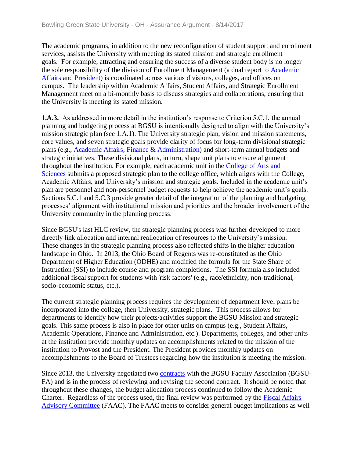The academic programs, in addition to the new reconfiguration of student support and enrollment services, assists the University with meeting its stated mission and strategic enrollment goals. For example, attracting and ensuring the success of a diverse student body is no longer the sole responsibility of the division of Enrollment Management (a dual report to [Academic](../../evidence/viewfile?fileId=406580)  [Affairs a](../../evidence/viewfile?fileId=406580)nd [President\)](../../evidence/viewfile?fileId=401816) is coordinated across various divisions, colleges, and offices on campus. The leadership within Academic Affairs, Student Affairs, and Strategic Enrollment Management meet on a bi-monthly basis to discuss strategies and collaborations, ensuring that the University is meeting its stated mission.

**1.A.3.** As addressed in more detail in the institution's response to Criterion 5.C.1, the annual planning and budgeting process at BGSU is intentionally designed to align with the University's mission strategic plan (see 1.A.1). The University strategic plan, vision and mission statements, core values, and seven strategic goals provide clarity of focus for long-term divisional strategic plans (e.g., [Academic Affairs,](../../evidence/viewfile?fileId=401799) [Finance & Administration\)](../../evidence/viewfile?fileId=401805) and short-term annual budgets and strategic initiatives. These divisional plans, in turn, shape unit plans to ensure alignment throughout the institution. For example, each academic unit in the [College of Arts and](../../evidence/viewfile?fileid=403023)  [Sciences](../../evidence/viewfile?fileid=403023) submits a proposed strategic plan to the college office, which aligns with the College, Academic Affairs, and University's mission and strategic goals. Included in the academic unit's plan are personnel and non-personnel budget requests to help achieve the academic unit's goals. Sections 5.C.1 and 5.C.3 provide greater detail of the integration of the planning and budgeting processes' alignment with institutional mission and priorities and the broader involvement of the University community in the planning process.

Since BGSU's last HLC review, the strategic planning process was further developed to more directly link allocation and internal reallocation of resources to the University's mission. These changes in the strategic planning process also reflected shifts in the higher education landscape in Ohio. In 2013, the Ohio Board of Regents was re-constituted as the Ohio Department of Higher Education (ODHE) and modified the formula for the State Share of Instruction (SSI) to include course and program completions. The SSI formula also included additional fiscal support for students with 'risk factors' (e.g., race/ethnicity, non-traditional, socio-economic status, etc.).

The current strategic planning process requires the development of department level plans be incorporated into the college, then University, strategic plans. This process allows for departments to identify how their projects/activities support the BGSU Mission and strategic goals. This same process is also in place for other units on campus (e.g., Student Affairs, Academic Operations, Finance and Administration, etc.). Departments, colleges, and other units at the institution provide monthly updates on accomplishments related to the mission of the institution to Provost and the President. The President provides monthly updates on accomplishments to the Board of Trustees regarding how the institution is meeting the mission.

Since 2013, the University negotiated two [contracts](../../evidence/viewfile?fileId=401573) with the BGSU Faculty Association (BGSU-FA) and is in the process of reviewing and revising the second contract. It should be noted that throughout these changes, the budget allocation process continued to follow the Academic Charter. Regardless of the process used, the final review was performed by the Fiscal Affairs [Advisory Committee](../../evidence/viewfile?fileId=401574) (FAAC). The FAAC meets to consider general budget implications as well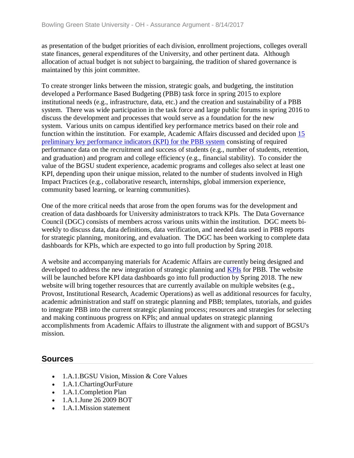as presentation of the budget priorities of each division, enrollment projections, colleges overall state finances, general expenditures of the University, and other pertinent data. Although allocation of actual budget is not subject to bargaining, the tradition of shared governance is maintained by this joint committee.

To create stronger links between the mission, strategic goals, and budgeting, the institution developed a Performance Based Budgeting (PBB) task force in spring 2015 to explore institutional needs (e.g., infrastructure, data, etc.) and the creation and sustainability of a PBB system. There was wide participation in the task force and large public forums in spring 2016 to discuss the development and processes that would serve as a foundation for the new system. Various units on campus identified key performance metrics based on their role and function within the institution. For example, Academic Affairs discussed and decided upon [15](../../evidence/viewfile?fileid=403018)  [preliminary key performance indicators \(KPI\) for the PBB system](../../evidence/viewfile?fileid=403018) consisting of required performance data on the recruitment and success of students (e.g., number of students, retention, and graduation) and program and college efficiency (e.g., financial stability). To consider the value of the BGSU student experience, academic programs and colleges also select at least one KPI, depending upon their unique mission*,* related to the number of students involved in High Impact Practices (e.g., collaborative research, internships, global immersion experience, community based learning, or learning communities).

One of the more critical needs that arose from the open forums was for the development and creation of data dashboards for University administrators to track KPIs. The Data Governance Council (DGC) consists of members across various units within the institution. DGC meets biweekly to discuss data, data definitions, data verification, and needed data used in PBB reports for strategic planning, monitoring, and evaluation. The DGC has been working to complete data dashboards for KPIs, which are expected to go into full production by Spring 2018.

A website and accompanying materials for Academic Affairs are currently being designed and developed to address the new integration of strategic planning and **[KPIs](../../evidence/viewfile?fileid=403011)** for PBB. The website will be launched before KPI data dashboards go into full production by Spring 2018. The new website will bring together resources that are currently available on multiple websites (e.g., Provost, Institutional Research, Academic Operations) as well as additional resources for faculty, academic administration and staff on strategic planning and PBB; templates, tutorials, and guides to integrate PBB into the current strategic planning process; resources and strategies for selecting and making continuous progress on KPIs; and annual updates on strategic planning accomplishments from Academic Affairs to illustrate the alignment with and support of BGSU's mission.

- 1.A.1.BGSU Vision, Mission & Core Values
- 1.A.1.ChartingOurFuture
- 1.A.1.Completion Plan
- 1.A.1.June 26 2009 BOT
- 1.A.1. Mission statement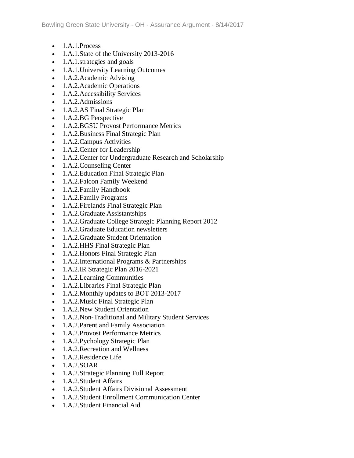- $\bullet$  1.A.1.Process
- 1.A.1.State of the University 2013-2016
- 1.A.1.strategies and goals
- 1.A.1. University Learning Outcomes
- 1.A.2.Academic Advising
- 1.A.2.Academic Operations
- 1.A.2. Accessibility Services
- 1.A.2.Admissions
- 1.A.2.AS Final Strategic Plan
- 1.A.2.BG Perspective
- 1.A.2.BGSU Provost Performance Metrics
- 1.A.2. Business Final Strategic Plan
- 1.A.2. Campus Activities
- 1.A.2. Center for Leadership
- 1.A.2. Center for Undergraduate Research and Scholarship
- 1.A.2.Counseling Center
- 1.A.2. Education Final Strategic Plan
- 1.A.2.Falcon Family Weekend
- 1.A.2.Family Handbook
- 1.A.2.Family Programs
- 1.A.2. Firelands Final Strategic Plan
- 1.A.2.Graduate Assistantships
- 1.A.2.Graduate College Strategic Planning Report 2012
- 1.A.2.Graduate Education newsletters
- 1.A.2.Graduate Student Orientation
- 1.A.2. HHS Final Strategic Plan
- 1.A.2. Honors Final Strategic Plan
- 1.A.2.International Programs & Partnerships
- 1.A.2.IR Strategic Plan 2016-2021
- 1.A.2. Learning Communities
- 1.A.2. Libraries Final Strategic Plan
- 1.A.2. Monthly updates to BOT 2013-2017
- 1.A.2. Music Final Strategic Plan
- 1.A.2. New Student Orientation
- 1.A.2.Non-Traditional and Military Student Services
- 1.A.2. Parent and Family Association
- 1.A.2. Provost Performance Metrics
- 1.A.2.Pychology Strategic Plan
- 1.A.2. Recreation and Wellness
- 1.A.2. Residence Life
- $\bullet$  1.A.2.SOAR
- 1.A.2.Strategic Planning Full Report
- 1.A.2. Student Affairs
- 1.A.2.Student Affairs Divisional Assessment
- 1.A.2.Student Enrollment Communication Center
- 1.A.2. Student Financial Aid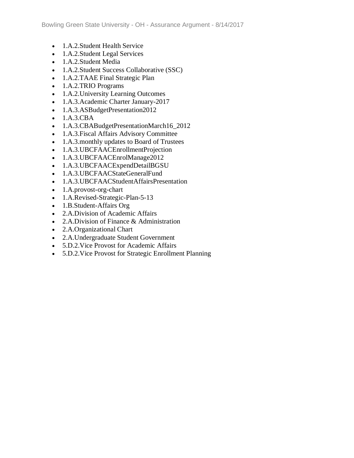- 1.A.2.Student Health Service
- 1.A.2.Student Legal Services
- 1.A.2.Student Media
- 1.A.2.Student Success Collaborative (SSC)
- 1.A.2.TAAE Final Strategic Plan
- 1.A.2.TRIO Programs
- 1.A.2. University Learning Outcomes
- 1.A.3.Academic Charter January-2017
- 1.A.3.ASBudgetPresentation2012
- 1.A.3.CBA
- 1.A.3.CBABudgetPresentationMarch16\_2012
- 1.A.3.Fiscal Affairs Advisory Committee
- 1.A.3. monthly updates to Board of Trustees
- 1.A.3.UBCFAACEnrollmentProjection
- 1.A.3.UBCFAACEnrolManage2012
- 1.A.3.UBCFAACExpendDetailBGSU
- 1.A.3.UBCFAACStateGeneralFund
- 1.A.3.UBCFAACStudentAffairsPresentation
- 1.A.provost-org-chart
- 1.A.Revised-Strategic-Plan-5-13
- 1.B.Student-Affairs Org
- 2.A.Division of Academic Affairs
- 2.A.Division of Finance & Administration
- 2.A.Organizational Chart
- 2.A.Undergraduate Student Government
- 5.D.2.Vice Provost for Academic Affairs
- 5.D.2.Vice Provost for Strategic Enrollment Planning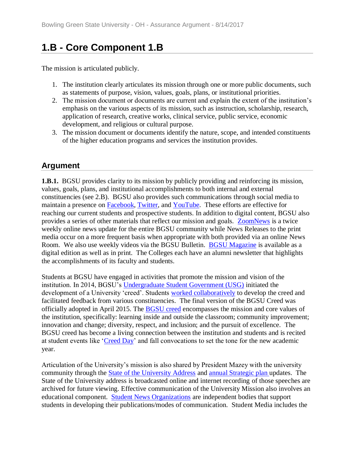# **1.B - Core Component 1.B**

The mission is articulated publicly.

- 1. The institution clearly articulates its mission through one or more public documents, such as statements of purpose, vision, values, goals, plans, or institutional priorities.
- 2. The mission document or documents are current and explain the extent of the institution's emphasis on the various aspects of its mission, such as instruction, scholarship, research, application of research, creative works, clinical service, public service, economic development, and religious or cultural purpose.
- 3. The mission document or documents identify the nature, scope, and intended constituents of the higher education programs and services the institution provides.

### **Argument**

**1.B.1.** BGSU provides clarity to its mission by publicly providing and reinforcing its mission, values, goals, plans, and institutional accomplishments to both internal and external constituencies (see 2.B). BGSU also provides such communications through social media to maintain a presence on **Facebook**, [Twitter,](../../evidence/viewfile?fileId=401591) and [YouTube.](../../evidence/viewfile?fileId=401590) These efforts are effective for reaching our current students and prospective students. In addition to digital content, BGSU also provides a series of other materials that reflect our mission and goals. [ZoomNews](../../evidence/viewfile?fileId=401589) is a twice weekly online news update for the entire BGSU community while News Releases to the print media occur on a more frequent basis when appropriate with both provided via an online News Room. We also use weekly videos via the BGSU Bulletin. [BGSU Magazine](../../evidence/viewfile?fileId=401586) is available as a digital edition as well as in print. The Colleges each have an alumni newsletter that highlights the accomplishments of its faculty and students.

Students at BGSU have engaged in activities that promote the mission and vision of the institution. In 2014, BGSU's [Undergraduate Student Government \(USG\)](../../evidence/viewfile?fileId=401833) initiated the development of a University 'creed'. Students [worked collaboratively](../../evidence/viewfile?fileId=402018) to develop the creed and facilitated feedback from various constituencies. The final version of the BGSU Creed was officially adopted in April 2015. The [BGSU creed](../../evidence/viewfile?fileId=402019) encompasses the mission and core values of the institution, specifically: learning inside and outside the classroom; community improvement; innovation and change; diversity, respect, and inclusion; and the pursuit of excellence. The BGSU creed has become a living connection between the institution and students and is recited at student events like ['Creed Day'](../../evidence/viewfile?fileId=402017) and fall convocations to set the tone for the new academic year.

Articulation of the University's mission is also shared by President Mazey with the university community through the [State of the University Address](../../evidence/viewfile?fileid=403028) and [annual Strategic plan u](../../evidence/viewfile?fileId=401584)pdates. The State of the University address is broadcasted online and internet recording of those speeches are archived for future viewing. Effective communication of the University Mission also involves an educational component. [Student News Organizations](../../evidence/viewfile?fileId=403070) are independent bodies that support students in developing their publications/modes of communication. Student Media includes the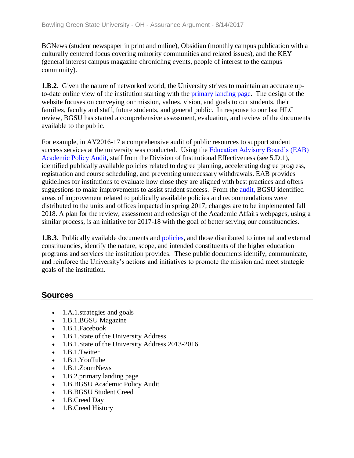BGNews (student newspaper in print and online), Obsidian (monthly campus publication with a culturally centered focus covering minority communities and related issues), and the KEY (general interest campus magazine chronicling events, people of interest to the campus community).

**1.B.2.** Given the nature of networked world, the University strives to maintain an accurate upto-date online view of the institution starting with the [primary landing page.](../../evidence/viewfile?fileId=401592) The design of the website focuses on conveying our mission, values, vision, and goals to our students, their families, faculty and staff, future students, and general public. In response to our last HLC review, BGSU has started a comprehensive assessment, evaluation, and review of the documents available to the public.

For example, in AY2016-17 a comprehensive audit of public resources to support student success services at the university was conducted. Using the [Education Advisory Board's \(EAB\)](../../evidence/viewfile?fileid=403030)  [Academic Policy Audit,](../../evidence/viewfile?fileid=403030) staff from the Division of Institutional Effectiveness (see 5.D.1), identified publically available policies related to degree planning, accelerating degree progress, registration and course scheduling, and preventing unnecessary withdrawals. EAB provides guidelines for institutions to evaluate how close they are aligned with best practices and offers suggestions to make improvements to assist student success. From the [audit,](../../evidence/viewfile?fileid=403027) BGSU identified areas of improvement related to publically available policies and recommendations were distributed to the units and offices impacted in spring 2017; changes are to be implemented fall 2018. A plan for the review, assessment and redesign of the Academic Affairs webpages, using a similar process, is an initiative for 2017-18 with the goal of better serving our constituencies.

**1.B.3.** Publically available documents and [policies,](../../evidence/viewfile?fileid=403067) and those distributed to internal and external constituencies, identify the nature, scope, and intended constituents of the higher education programs and services the institution provides. These public documents identify, communicate, and reinforce the University's actions and initiatives to promote the mission and meet strategic goals of the institution.

- 1.A.1.strategies and goals
- 1.B.1.BGSU Magazine
- 1.B.1.Facebook
- 1.B.1.State of the University Address
- 1.B.1.State of the University Address 2013-2016
- 1.B.1.Twitter
- 1.B.1.YouTube
- 1.B.1.ZoomNews
- 1.B.2.primary landing page
- 1.B.BGSU Academic Policy Audit
- 1.B.BGSU Student Creed
- 1.B.Creed Day
- 1.B.Creed History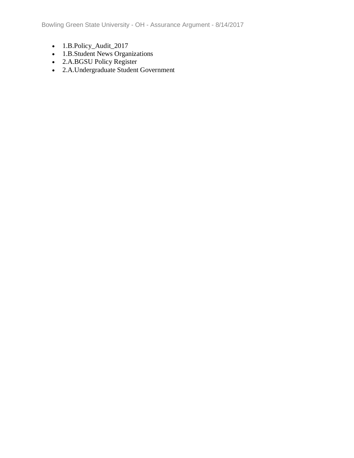Bowling Green State University - OH - Assurance Argument - 8/14/2017

- 1.B.Policy\_Audit\_2017
- 1.B.Student News Organizations
- 2.A.BGSU Policy Register
- 2.A.Undergraduate Student Government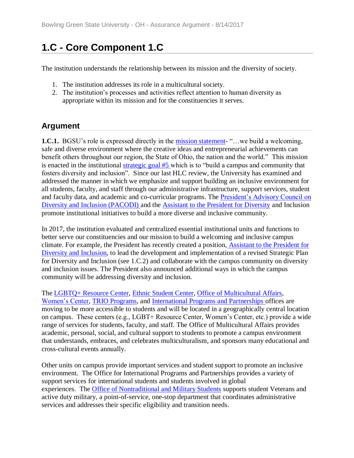# **1.C - Core Component 1.C**

The institution understands the relationship between its mission and the diversity of society.

- 1. The institution addresses its role in a multicultural society.
- 2. The institution's processes and activities reflect attention to human diversity as appropriate within its mission and for the constituencies it serves.

# **Argument**

**1.C.1.** BGSU's role is expressed directly in the [mission statement-](../../evidence/viewfile?fileId=403010) "... we build a welcoming, safe and diverse environment where the creative ideas and entrepreneurial achievements can benefit others throughout our region, the State of Ohio, the nation and the world." This mission is enacted in the institutional [strategic goal #5](../../evidence/viewfile?fileId=401584) [w](../../evidence/viewfile?fileId=406581)hich is to "build a campus and community that fosters diversity and inclusion". Since our last HLC review, the University has examined and addressed the manner in which we emphasize and support building an inclusive environment for all students, faculty, and staff through our administrative infrastructure, support services, student and faculty data, and academic and co-curricular programs. The [President's Advisory Council on](../../evidence/viewfile?fileId=403041)  [Diversity and Inclusion \(PACODI\) a](../../evidence/viewfile?fileId=403041)nd the [Assistant to the President for Diversity](../../evidence/viewfile?fileId=403042) and Inclusion promote institutional initiatives to build a more diverse and inclusive community.

In 2017, the institution evaluated and centralized essential institutional units and functions to better serve our constituencies and our mission to build a welcoming and inclusive campus climate. For example, the President has recently created a position, [Assistant to the President for](../../evidence/viewfile?fileId=401595)  [Diversity and Inclusion,](../../evidence/viewfile?fileId=401595) to lead the development and implementation of a revised Strategic Plan for Diversity and Inclusion (see 1.C.2) and collaborate with the campus community on diversity and inclusion issues. The President also announced additional ways in which the campus community will be addressing diversity and inclusion.

The [LGBTQ+ Resource Center,](../../evidence/viewfile?fileid=403038) [Ethnic Student Center,](../../evidence/viewfile?fileid=403036) [Office of Multicultural Affairs,](../../evidence/viewfile?fileId=403046) [Women's Center,](../../evidence/viewfile?fileid=403043) [TRIO Programs,](../../evidence/viewfile?fileId=403071) and [International Programs and Partnerships o](../../evidence/viewfile?fileId=401553)ffices are moving to be more accessible to students and will be located in a geographically central location on campus. These centers (e.g., LGBT+ Resource Center, Women's Center, etc.) provide a wide range of services for students, faculty, and staff. The Office of Multicultural Affairs provides academic, personal, social, and cultural support to students to promote a campus environment that understands, embraces, and celebrates multiculturalism, and sponsors many educational and cross-cultural events annually.

Other units on campus provide important services and student support to promote an inclusive environment. The Office for International Programs and Partnerships provides a variety of support services for international students and students involved in global experiences. The [Office of Nontraditional and Military Students](../../evidence/viewfile?fileid=403049) supports student Veterans and active duty military, a point-of-service, one-stop department that coordinates administrative services and addresses their specific eligibility and transition needs.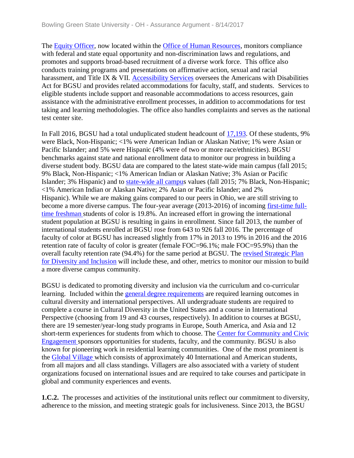The [Equity Officer,](../../evidence/viewfile?fileid=403033) now located within the [Office of Human Resources,](../../evidence/viewfile?fileId=403072) monitors compliance with federal and state equal opportunity and non-discrimination laws and regulations, and promotes and supports broad-based recruitment of a diverse work force. This office also conducts training programs and presentations on affirmative action, sexual and racial harassment, and Title IX & VII. [Accessibility Services](../../evidence/viewfile?fileId=401543) oversees the Americans with Disabilities Act for BGSU and provides related accommodations for faculty, staff, and students. Services to eligible students include support and reasonable accommodations to access resources, gain assistance with the administrative enrollment processes, in addition to accommodations for test taking and learning methodologies. The office also handles complaints and serves as the national test center site.

In Fall 2016, BGSU had a total unduplicated student headcount of [17,193.](../../evidence/viewfile?fileId=403073) Of these students, 9% were Black, Non-Hispanic; <1% were American Indian or Alaskan Native; 1% were Asian or Pacific Islander; and 5% were Hispanic (4% were of two or more race/ethnicities). BGSU benchmarks against state and national enrollment data to monitor our progress in building a diverse student body. BGSU data are compared to the latest state-wide main campus (fall 2015; 9% Black, Non-Hispanic; <1% American Indian or Alaskan Native; 3% Asian or Pacific Islander; 3% Hispanic) and to [state-wide all campus](../../evidence/viewfile?fileId=401596) values (fall 2015; 7% Black, Non-Hispanic; <1% American Indian or Alaskan Native; 2% Asian or Pacific Islander; and 2% Hispanic). While we are making gains compared to our peers in Ohio, we are still striving to become a more diverse campus. The four-year average (2013-2016) of incoming [first-time full](../../evidence/viewfile?fileId=401594)[time freshman s](../../evidence/viewfile?fileId=401594)tudents of color is 19.8%. An increased effort in growing the international student population at BGSU is resulting in gains in enrollment. Since fall 2013, the number of international students enrolled at BGSU rose from 643 to 926 fall 2016. The percentage of faculty of color at BGSU has increased slightly from 17% in 2013 to 19% in 2016 and the 2016 retention rate of faculty of color is greater (female FOC=96.1%; male FOC=95.9%) than the overall faculty retention rate (94.4%) for the same period at BGSU. The [revised Strategic Plan](../../evidence/viewfile?fileid=403044)  [for Diversity and Inclusion](../../evidence/viewfile?fileid=403044) will include these, and other, metrics to monitor our mission to build a more diverse campus community.

BGSU is dedicated to promoting diversity and inclusion via the curriculum and co-curricular learning. Included within the [general degree](../../evidence/viewfile?fileId=401541) requirements are required learning outcomes in cultural diversity and international perspectives. All undergraduate students are required to complete a course in Cultural Diversity in the United States and a course in International Perspective (choosing from 19 and 43 courses, respectively). In addition to courses at BGSU, there are 19 semester/year-long study programs in Europe, South America, and Asia and 12 short-term experiences for students from which to choose. The Center for Community and Civic [Engagement s](../../evidence/viewfile?fileid=403048)ponsors opportunities for students, faculty, and the community. BGSU is also known for pioneering work in residential learning communities. One of the most prominent is the [Global Village w](../../evidence/viewfile?fileid=403032)hich consists of approximately 40 International and American students, from all majors and all class standings. Villagers are also associated with a variety of student organizations focused on international issues and are required to take courses and participate in global and community experiences and events.

**1.C.2.** The processes and activities of the institutional units reflect our commitment to diversity, adherence to the mission, and meeting strategic goals for inclusiveness. Since 2013, the BGSU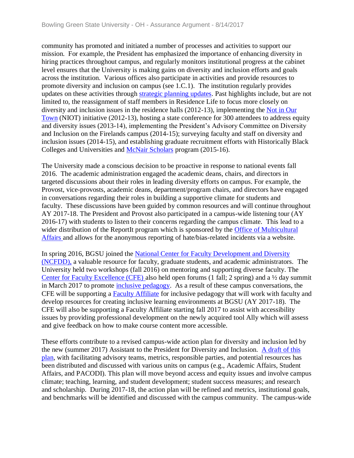community has promoted and initiated a number of processes and activities to support our mission. For example, the President has emphasized the importance of enhancing diversity in hiring practices throughout campus, and regularly monitors institutional progress at the cabinet level ensures that the University is making gains on diversity and inclusion efforts and goals across the institution. Various offices also participate in activities and provide resources to promote diversity and inclusion on campus (see 1.C.1). The institution regularly provides updates on these activities through [strategic planning updates.](../../evidence/viewfile?fileid=401584) Past highlights include, but are not limited to, the reassignment of staff members in Residence Life to focus more closely on diversity and inclusion issues in the residence halls (2012-13), implementing the Not [in Our](../../evidence/viewfile?fileid=403047)  [Town](../../evidence/viewfile?fileid=403047) (NIOT) initiative (2012-13), hosting a state conference for 300 attendees to address equity and diversity issues (2013-14), implementing the President's Advisory Committee on Diversity and Inclusion on the Firelands campus (2014-15); surveying faculty and staff on diversity and inclusion issues (2014-15), and establishing graduate recruitment efforts with Historically Black Colleges and Universities and [McNair Scholars](../../evidence/viewfile?fileid=403040) program (2015-16).

The University made a conscious decision to be proactive in response to national events fall 2016. The academic administration engaged the academic deans, chairs, and directors in targeted discussions about their roles in leading diversity efforts on campus. For example, the Provost, vice-provosts, academic deans, department/program chairs, and directors have engaged in conversations regarding their roles in building a supportive climate for students and faculty. These discussions have been guided by common resources and will continue throughout AY 2017-18. The President and Provost also participated in a campus-wide listening tour (AY 2016-17) with students to listen to their concerns regarding the campus climate. This lead to a wider distribution of the ReportIt program which is sponsored by the Office of Multicultural [Affairs a](../../evidence/viewfile?fileid=403046)nd allows for the anonymous reporting of hate/bias-related incidents via a website.

In spring 2016, BGSU joined the National Center for Faculty Development and Diversity [\(NCFDD\),](../../evidence/viewfile?fileid=403035) a valuable resource for faculty, graduate students, and academic administrators. The University held two workshops (fall 2016) on mentoring and supporting diverse faculty. The [Center for Faculty Excellence \(CFE\) a](../../evidence/viewfile?fileid=403034)lso held open forums (1 fall; 2 spring) and a ½ day summit in March 2017 to promote [inclusive pedagogy.](../../evidence/viewfile?fileid=403037) As a result of these campus conversations, the CFE will be supporting a [Faculty Affiliate](../../evidence/viewfile?fileId=403074) for inclusive pedagogy that will work with faculty and develop resources for creating inclusive learning environments at BGSU (AY 2017-18). The CFE will also be supporting a Faculty Affiliate starting fall 2017 to assist with accessibility issues by providing professional development on the newly acquired tool Ally which will assess and give feedback on how to make course content more accessible.

These efforts contribute to a revised campus-wide action plan for diversity and inclusion led by the new (summer 2017) Assistant to the President for Diversity and Inclusion. [A draft of this](../../evidence/viewfile?fileid=403044)  [plan,](../../evidence/viewfile?fileid=403044) with facilitating advisory teams, metrics, responsible parties, and potential resources has been distributed and discussed with various units on campus (e.g., Academic Affairs, Student Affairs, and PACODI). This plan will move beyond access and equity issues and involve campus climate; teaching, learning, and student development; student success measures; and research and scholarship. During 2017-18, the action plan will be refined and metrics, institutional goals, and benchmarks will be identified and discussed with the campus community. The campus-wide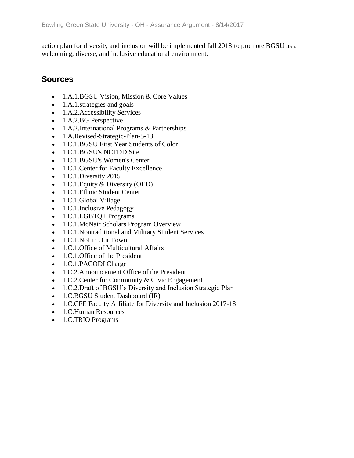action plan for diversity and inclusion will be implemented fall 2018 to promote BGSU as a welcoming, diverse, and inclusive educational environment.

- 1.A.1.BGSU Vision, Mission & Core Values
- 1.A.1.strategies and goals
- 1.A.2. Accessibility Services
- 1.A.2.BG Perspective
- 1.A.2.International Programs & Partnerships
- 1.A.Revised-Strategic-Plan-5-13
- 1.C.1.BGSU First Year Students of Color
- 1.C.1.BGSU's NCFDD Site
- 1.C.1.BGSU's Women's Center
- 1.C.1. Center for Faculty Excellence
- 1.C.1.Diversity 2015
- 1.C.1. Equity  $&$  Diversity (OED)
- 1.C.1. Ethnic Student Center
- 1.C.1.Global Village
- 1.C.1.Inclusive Pedagogy
- 1.C.1.LGBTQ+ Programs
- 1.C.1.McNair Scholars Program Overview
- 1.C.1.Nontraditional and Military Student Services
- 1.C.1. Not in Our Town
- 1.C.1.Office of Multicultural Affairs
- 1.C.1. Office of the President
- 1.C.1.PACODI Charge
- 1.C.2.Announcement Office of the President
- 1.C.2. Center for Community & Civic Engagement
- 1.C.2.Draft of BGSU's Diversity and Inclusion Strategic Plan
- 1.C.BGSU Student Dashboard (IR)
- 1.C.CFE Faculty Affiliate for Diversity and Inclusion 2017-18
- 1.C.Human Resources
- 1.C.TRIO Programs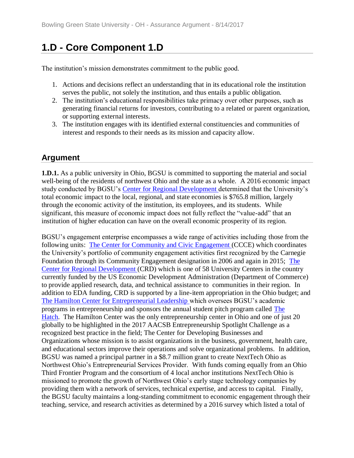# **1.D - Core Component 1.D**

The institution's mission demonstrates commitment to the public good.

- 1. Actions and decisions reflect an understanding that in its educational role the institution serves the public, not solely the institution, and thus entails a public obligation.
- 2. The institution's educational responsibilities take primacy over other purposes, such as generating financial returns for investors, contributing to a related or parent organization, or supporting external interests.
- 3. The institution engages with its identified external constituencies and communities of interest and responds to their needs as its mission and capacity allow.

# **Argument**

**1.D.1.** As a public university in Ohio, BGSU is committed to supporting the material and social well-being of the residents of northwest Ohio and the state as a whole. A 2016 economic impact study conducted by BGSU's [Center for Regional Development d](../../evidence/viewfile?fileId=402022)etermined that the University's total economic impact to the local, regional, and state economies is \$765.8 million, largely through the economic activity of the institution, its employees, and its students. While significant, this measure of economic impact does not fully reflect the "value-add" that an institution of higher education can have on the overall economic prosperity of its region.

BGSU's engagement enterprise encompasses a wide range of activities including those from the following units: [The Center for Community and Civic Engagement \(](../../evidence/viewfile?fileId=402021)CCCE) which coordinates the University's portfolio of community engagement activities first recognized by the Carnegie Foundation through its Community Engagement designation in 2006 and again in 2015; [The](../../evidence/viewfile?fileId=402022)  [Center for Regional Development \(](../../evidence/viewfile?fileId=402022)CRD) which is one of 58 University Centers in the country currently funded by the US Economic Development Administration (Department of Commerce) to provide applied research, data, and technical assistance to communities in their region. In addition to EDA funding, CRD is supported by a line-item appropriation in the Ohio budget; and [The Hamilton Center for Entrepreneurial Leadership](../../evidence/viewfile?fileId=402023) which oversees BGSU's academic programs in entrepreneurship and sponsors the annual student pitch program called [The](../../evidence/viewfile?fileid=403069)  [Hatch.](../../evidence/viewfile?fileid=403069) The Hamilton Center was the only entrepreneurship center in Ohio and one of just 20 globally to be highlighted in the 2017 AACSB Entrepreneurship Spotlight Challenge as a recognized best practice in the field; The Center for Developing Businesses and Organizations whose mission is to assist organizations in the business, government, health care, and educational sectors improve their operations and solve organizational problems. In addition, BGSU was named a principal partner in a \$8.7 million grant to create NextTech Ohio as Northwest Ohio's Entrepreneurial Services Provider. With funds coming equally from an Ohio Third Frontier Program and the consortium of 4 local anchor institutions NextTech Ohio is missioned to promote the growth of Northwest Ohio's early stage technology companies by providing them with a network of services, technical expertise, and access to capital. Finally, the BGSU faculty maintains a long-standing commitment to economic engagement through their teaching, service, and research activities as determined by a 2016 survey which listed a total of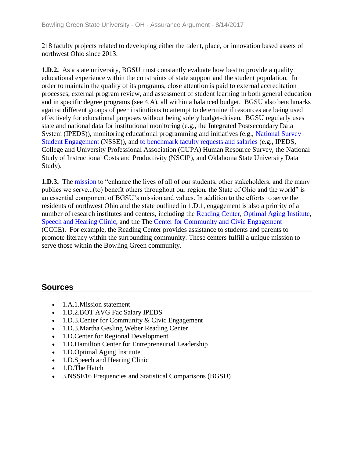218 faculty projects related to developing either the talent, place, or innovation based assets of northwest Ohio since 2013.

**1.D.2.** As a state university, BGSU must constantly evaluate how best to provide a quality educational experience within the constraints of state support and the student population. In order to maintain the quality of its programs, close attention is paid to external accreditation processes, external program review, and assessment of student learning in both general education and in specific degree programs (see 4.A), all within a balanced budget. BGSU also benchmarks against different groups of peer institutions to attempt to determine if resources are being used effectively for educational purposes without being solely budget-driven. BGSU regularly uses state and national data for institutional monitoring (e.g., the Integrated Postsecondary Data System (IPEDS)), monitoring educational programming and initiatives (e.g., [National Survey](../../evidence/viewfile?fileId=402013)  [Student Engagement \(](../../evidence/viewfile?fileId=402013)NSSE)), and [to benchmark faculty requests and salaries](../../evidence/viewfile?fileid=401597) (e.g., IPEDS, College and University Professional Association (CUPA) Human Resource Survey, the National Study of Instructional Costs and Productivity (NSCIP), and Oklahoma State University Data Study).

**1.D.3.** The [mission](../../evidence/viewfile?fileId=401535) to "enhance the lives of all of our students, other stakeholders, and the many publics we serve...(to) benefit others throughout our region, the State of Ohio and the world" is an essential component of BGSU's mission and values. In addition to the efforts to serve the residents of northwest Ohio and the state outlined in 1.D.1, engagement is also a priority of a number of research institutes and centers, including the [Reading Center,](../../evidence/viewfile?fileId=402020) [Optimal Aging Institute,](../../evidence/viewfile?fileid=403068) [Speech and Hearing Clinic,](../../evidence/viewfile?fileid=403061) and the The [Center for Community and Civic Engagement](../../evidence/viewfile?fileId=402021)  (CCCE). For example, the Reading Center provides assistance to students and parents to promote literacy within the surrounding community. These centers fulfill a unique mission to serve those within the Bowling Green community.

- 1.A.1. Mission statement
- 1.D.2.BOT AVG Fac Salary IPEDS
- 1.D.3. Center for Community & Civic Engagement
- 1.D.3.Martha Gesling Weber Reading Center
- 1.D.Center for Regional Development
- 1.D.Hamilton Center for Entrepreneurial Leadership
- 1.D. Optimal Aging Institute
- 1.D. Speech and Hearing Clinic
- 1.D.The Hatch
- 3.NSSE16 Frequencies and Statistical Comparisons (BGSU)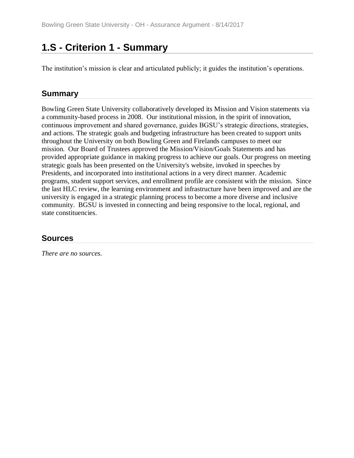# **1.S - Criterion 1 - Summary**

The institution's mission is clear and articulated publicly; it guides the institution's operations.

### **Summary**

Bowling Green State University collaboratively developed its Mission and Vision statements via a community-based process in 2008. Our institutional mission, in the spirit of innovation, continuous improvement and shared governance, guides BGSU's strategic directions, strategies, and actions. The strategic goals and budgeting infrastructure has been created to support units throughout the University on both Bowling Green and Firelands campuses to meet our mission. Our Board of Trustees approved the Mission/Vision/Goals Statements and has provided appropriate guidance in making progress to achieve our goals. Our progress on meeting strategic goals has been presented on the University's website, invoked in speeches by Presidents, and incorporated into institutional actions in a very direct manner. Academic programs, student support services, and enrollment profile are consistent with the mission. Since the last HLC review, the learning environment and infrastructure have been improved and are the university is engaged in a strategic planning process to become a more diverse and inclusive community. BGSU is invested in connecting and being responsive to the local, regional, and state constituencies.

### **Sources**

*There are no sources.*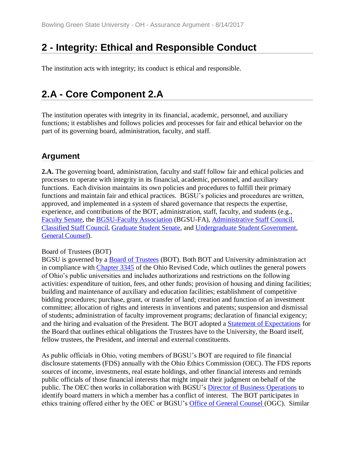# **2 - Integrity: Ethical and Responsible Conduct**

The institution acts with integrity; its conduct is ethical and responsible.

# **2.A - Core Component 2.A**

The institution operates with integrity in its financial, academic, personnel, and auxiliary functions; it establishes and follows policies and processes for fair and ethical behavior on the part of its governing board, administration, faculty, and staff.

### **Argument**

**2.A.** The governing board, administration, faculty and staff follow fair and ethical policies and processes to operate with integrity in its financial, academic, personnel, and auxiliary functions. Each division maintains its own policies and procedures to fulfill their primary functions and maintain fair and ethical practices. BGSU's policies and procedures are written, approved, and implemented in a system of shared governance that respects the expertise, experience, and contributions of the BOT, administration, staff, faculty, and students (e.g., [Faculty Senate,](../../evidence/viewfile?fileid=401804) the [BGSU-Faculty Association](../../evidence/viewfile?fileid=401779) (BGSU-FA), [Administrative Staff Council,](../../evidence/viewfile?fileid=401776) [Classified Staff Council,](../../evidence/viewfile?fileid=401787) [Graduate Student Senate,](../../evidence/viewfile?fileid=401806) and [Undergraduate Student Government,](../../evidence/viewfile?fileid=401833) [General Counsel\)](../../evidence/viewfile?fileid=404832).

#### Board of Trustees (BOT)

BGSU is governed by a **Board of Trustees** (BOT). Both BOT and University administration act in compliance with [Chapter 3345](../../evidence/viewfile?fileid=401789) of the Ohio Revised Code, which outlines the general powers of Ohio's public universities and includes authorizations and restrictions on the following activities: expenditure of tuition, fees, and other funds; provision of housing and dining facilities; building and maintenance of auxiliary and education facilities; establishment of competitive bidding procedures; purchase, grant, or transfer of land; creation and function of an investment committee; allocation of rights and interests in inventions and patents; suspension and dismissal of students; administration of faculty improvement programs; declaration of financial exigency; and the hiring and evaluation of the President. The BOT adopted a [Statement of Expectations](../../evidence/viewfile?fileId=405751) for the Board that outlines ethical obligations the Trustees have to the University, the Board itself, fellow trustees, the President, and internal and external constituents.

As public officials in Ohio, voting members of BGSU's BOT are required to file financial disclosure statements (FDS) annually with the Ohio Ethics Commission (OEC). The FDS reports sources of income, investments, real estate holdings, and other financial interests and reminds public officials of those financial interests that might impair their judgment on behalf of the public. The OEC then works in collaboration with BGSU's [Director of Business Operations](../../evidence/viewfile?fileid=401785) to identify board matters in which a member has a conflict of interest. The BOT participates in ethics training offered either by the OEC or BGSU's [Office of General Counsel \(](../../evidence/viewfile?fileid=404832)OGC). Similar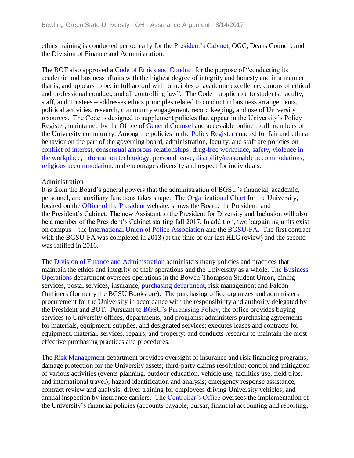ethics training is conducted periodically for the [President's Cabinet,](../../evidence/viewfile?fileid=401820) OGC, Deans Council, and the Division of Finance and Administration.

The BOT also approved a [Code of Ethics and Conduct](../../evidence/viewfile?fileid=401790) for the purpose of "conducting its academic and business affairs with the highest degree of integrity and honesty and in a manner that is, and appears to be, in full accord with principles of academic excellence, canons of ethical and professional conduct, and all controlling law". The Code – applicable to students, faculty, staff, and Trustees – addresses ethics principles related to conduct in business arrangements, political activities, research, community engagement, record keeping, and use of University resources. The Code is designed to supplement policies that appear in the University's Policy Register, maintained by the Office of [General Counsel](../../evidence/viewfile?fileId=404832) and accessible online to all members of the University community. Among the policies in the [Policy Register e](../../evidence/viewfile?fileid=401817)nacted for fair and ethical behavior on the part of the governing board, administration, faculty, and staff are policies on [conflict of interest,](../../evidence/viewfile?fileid=401793) [consensual amorous relationships,](../../evidence/viewfile?fileid=401795) [drug-free workplace,](../../evidence/viewfile?fileid=401800) [safety,](../../evidence/viewfile?fileid=401839) [violence in](../../evidence/viewfile?fileid=401834)  [the workplace,](../../evidence/viewfile?fileid=401834) [information technology,](../../evidence/viewfile?fileid=401807) [personal leave,](../../evidence/viewfile?fileid=401815) [disability/reasonable accommodations,](../../evidence/viewfile?fileid=401797) [religious accommodation,](../../evidence/viewfile?fileid=401823) and encourages diversity and respect for individuals.

#### Administration

It is from the Board's general powers that the administration of BGSU's financial, academic, personnel, and auxiliary functions takes shape. The [Organizational Chart](../../evidence/viewfile?fileid=401816) for the University, located on the [Office of the President](../../evidence/viewfile?fileid=401824) website, shows the Board, the President, and the President's Cabinet. The new Assistant to the President for Diversity and Inclusion will also be a member of the President's Cabinet starting fall 2017. In addition, two bargaining units exist on campus – the [International Union of Police Association](../../evidence/viewfile?fileid=401836) and the [BGSU-FA.](../../evidence/viewfile?fileid=401779) The first contract with the BGSU-FA was completed in 2013 (at the time of our last HLC review) and the second was ratified in 2016.

The [Division of Finance and Administration](../../evidence/viewfile?fileid=406578) administers many policies and practices that maintain the ethics and integrity of their operations and the University as a whole. The [Business](../../evidence/viewfile?fileid=401785)  [Operations](../../evidence/viewfile?fileid=401785) department oversees operations in the Bowen-Thompson Student Union, dining services, postal services, insurance, [purchasing department,](../../evidence/viewfile?fileId=401822) risk management and Falcon Outfitters (formerly the BGSU Bookstore). The purchasing office organizes and administers procurement for the University in accordance with the responsibility and authority delegated by the President and BOT. Pursuant to [BGSU's Purchasing Policy,](../../evidence/viewfile?fileid=401782) the office provides buying services to University offices, departments, and programs; administers purchasing agreements for materials, equipment, supplies, and designated services; executes leases and contracts for equipment, material, services, repairs, and property; and conducts research to maintain the most effective purchasing practices and procedures.

The [Risk Management](../../evidence/viewfile?fileid=401826) department provides oversight of insurance and risk financing programs; damage protection for the University assets; third-party claims resolution; control and mitigation of various activities (events planning, outdoor education, vehicle use, facilities use, field trips, and international travel); hazard identification and analysis; emergency response assistance; contract review and analysis; driver training for employees driving University vehicles; and annual inspection by insurance carriers. The [Controller's Office](../../evidence/viewfile?fileid=401796) oversees the implementation of the University's financial policies (accounts payable, bursar, financial accounting and reporting,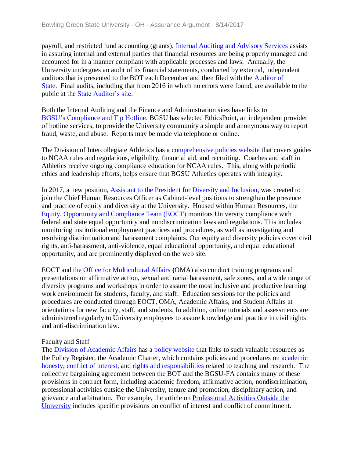payroll, and restricted fund accounting (grants). [Internal Auditing and Advisory Services](../../evidence/viewfile?fileid=401814) assists in assuring internal and external parties that financial resources are being properly managed and accounted for in a manner compliant with applicable processes and laws. Annually, the University undergoes an audit of its financial statements, conducted by external, independent auditors that is presented to the BOT each December and then filed with the [Auditor of](../../evidence/viewfile?fileid=401838)  [State.](../../evidence/viewfile?fileid=401838) Final audits, including that from 2016 in which no errors were found, are available to the public at the **State Auditor's site**.

Both the Internal Auditing and the Finance and Administration sites have links to BGSU's [Compliance and Tip Hotline.](../../evidence/viewfile?fileid=401781) BGSU has selected EthicsPoint, an independent provider of hotline services, to provide the University community a simple and anonymous way to report fraud, waste, and abuse. Reports may be made via telephone or online.

The Division of Intercollegiate Athletics has a [comprehensive policies website](../../evidence/viewfile?fileid=401794) that covers guides to NCAA rules and regulations, eligibility, financial aid, and recruiting. Coaches and staff in Athletics receive ongoing compliance education for NCAA rules. This, along with periodic ethics and leadership efforts, helps ensure that BGSU Athletics operates with integrity.

In 2017, a new position, [Assistant to the President for Diversity and Inclusion,](../../evidence/viewfile?fileId=403042) was created to join the Chief Human Resources Officer as Cabinet-level positions to strengthen the presence and practice of equity and diversity at the University. Housed within Human Resources, the [Equity, Opportunity and Compliance Team \(EOCT\) m](../../evidence/viewfile?fileId=405744)onitors University compliance with federal and state equal opportunity and nondiscrimination laws and regulations. This includes monitoring institutional employment practices and procedures, as well as investigating and resolving discrimination and harassment complaints. Our equity and diversity policies cover civil rights, anti-harassment, anti-violence, equal educational opportunity, and equal educational opportunity, and are prominently displayed on the web site.

EOCT and the [Office for Multicultural Affairs](../../evidence/viewfile?fileId=403046) **(**OMA) also conduct training programs and presentations on affirmative action, sexual and racial harassment, safe zones, and a wide range of diversity programs and workshops in order to assure the most inclusive and productive learning work environment for students, faculty, and staff. Education sessions for the policies and procedures are conducted through EOCT, OMA, Academic Affairs, and Student Affairs at orientations for new faculty, staff, and students. In addition, online tutorials and assessments are administered regularly to University employees to assure knowledge and practice in civil rights and anti-discrimination law.

#### Faculty and Staff

The [Division of Academic Affairs](../../evidence/viewfile?fileId=406580) has a [policy website t](../../evidence/viewfile?fileid=401817)hat links to such valuable resources as the Policy Register, the Academic Charter, which contains policies and procedures on [academic](../../evidence/viewfile?fileid=401777)  [honesty,](../../evidence/viewfile?fileid=401777) [conflict of interest,](../../evidence/viewfile?fileid=401793) and rights and [responsibilities](../../evidence/viewfile?fileid=401827) related to teaching and research. The collective bargaining agreement between the BOT and the BGSU-FA contains many of these provisions in contract form, including academic freedom, affirmative action, nondiscrimination, professional activities outside the University, tenure and promotion, disciplinary action, and grievance and arbitration. For example, the article on [Professional Activities Outside the](../../evidence/viewfile?fileId=405842)  [University](../../evidence/viewfile?fileId=405842) includes specific provisions on conflict of interest and conflict of commitment.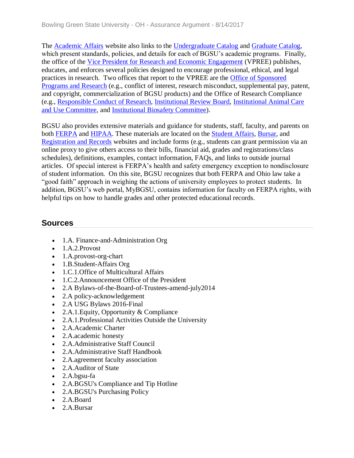The [Academic Affairs](../../evidence/viewfile?fileId=404206) website also links to the [Undergraduate Catalog](../../evidence/viewfile?fileid=401831) and [Graduate Catalog,](../../evidence/viewfile?fileid=401803) which present standards, policies, and details for each of BGSU's academic programs. Finally, the office of the [Vice President for Research and Economic Engagement](../../evidence/viewfile?fileid=401837) (VPREE) publishes, educates, and enforces several policies designed to encourage professional, ethical, and legal practices in research. Two offices that report to the VPREE are the [Office of Sponsored](../../evidence/viewfile?fileid=401812)  [Programs and Research](../../evidence/viewfile?fileid=401812) (e.g., conflict of interest, research misconduct, supplemental pay, patent, and copyright, commercialization of BGSU products) and the Office of Research Compliance (e.g., [Responsible Conduct of Research,](../../evidence/viewfile?fileid=401825) [Institutional Review Board,](../../evidence/viewfile?fileid=401809) [Institutional Animal Care](../../evidence/viewfile?fileid=401810)  [and Use Committee,](../../evidence/viewfile?fileid=401810) and [Institutional Biosafety Committee\)](../../evidence/viewfile?fileid=401808).

BGSU also provides extensive materials and guidance for students, staff, faculty, and parents on both [FERPA](../../evidence/viewfile?fileid=401802) and [HIPAA.](../../evidence/viewfile?fileid=401811) These materials are located on the [Student Affairs,](../../evidence/viewfile?fileid=401832) [Bursar,](../../evidence/viewfile?fileid=401783) and [Registration and Records](../../evidence/viewfile?fileid=401821) websites and include forms (e.g., students can grant permission via an online proxy to give others access to their bills, financial aid, grades and registrations/class schedules), definitions, examples, contact information, FAQs, and links to outside journal articles. Of special interest is FERPA's health and safety emergency exception to nondisclosure of student information. On this site, BGSU recognizes that both FERPA and Ohio law take a "good faith" approach in weighing the actions of university employees to protect students. In addition, BGSU's web portal, MyBGSU, contains information for faculty on FERPA rights, with helpful tips on how to handle grades and other protected educational records.

- 1.A. Finance-and-Administration Org
- $\bullet$  1.A.2.Provost
- 1.A.provost-org-chart
- 1.B.Student-Affairs Org
- 1.C.1.Office of Multicultural Affairs
- 1.C.2.Announcement Office of the President
- 2.A Bylaws-of-the-Board-of-Trustees-amend-july2014
- 2.A policy-acknowledgement
- 2.A USG Bylaws 2016-Final
- 2.A.1. Equity, Opportunity & Compliance
- 2.A.1.Professional Activities Outside the University
- 2.A.Academic Charter
- 2.A.academic honesty
- 2.A.Administrative Staff Council
- 2.A.Administrative Staff Handbook
- 2.A.agreement faculty association
- 2.A.Auditor of State
- 2.A.bgsu-fa
- 2.A.BGSU's Compliance and Tip Hotline
- 2.A.BGSU's Purchasing Policy
- 2.A.Board
- 2.A.Bursar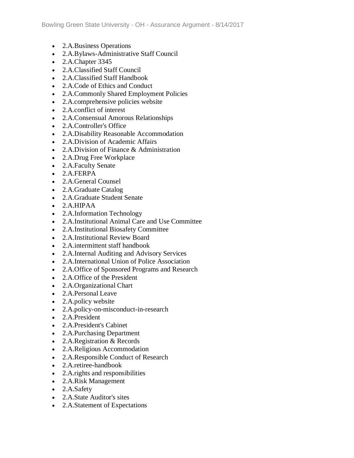- 2.A.Business Operations
- 2.A.Bylaws-Administrative Staff Council
- 2.A.Chapter 3345
- 2.A.Classified Staff Council
- 2.A.Classified Staff Handbook
- 2.A.Code of Ethics and Conduct
- 2.A.Commonly Shared Employment Policies
- 2.A.comprehensive policies website
- 2.A.conflict of interest
- 2.A.Consensual Amorous Relationships
- 2.A.Controller's Office
- 2.A.Disability Reasonable Accommodation
- 2.A.Division of Academic Affairs
- 2.A.Division of Finance & Administration
- 2.A.Drug Free Workplace
- 2.A.Faculty Senate
- $\bullet$  2. A. FERPA
- 2.A.General Counsel
- 2.A.Graduate Catalog
- 2.A.Graduate Student Senate
- 2.A.HIPAA
- 2.A.Information Technology
- 2.A.Institutional Animal Care and Use Committee
- 2.A.Institutional Biosafety Committee
- 2.A.Institutional Review Board
- 2.A.intermittent staff handbook
- 2.A.Internal Auditing and Advisory Services
- 2.A.International Union of Police Association
- 2.A.Office of Sponsored Programs and Research
- 2.A. Office of the President
- 2.A.Organizational Chart
- 2.A.Personal Leave
- 2.A.policy website
- 2.A.policy-on-misconduct-in-research
- 2.A.President
- 2.A.President's Cabinet
- 2.A.Purchasing Department
- 2.A.Registration & Records
- 2.A.Religious Accommodation
- 2.A.Responsible Conduct of Research
- 2.A.retiree-handbook
- 2.A. rights and responsibilities
- 2.A.Risk Management
- 2.A.Safety
- 2.A.State Auditor's sites
- 2.A.Statement of Expectations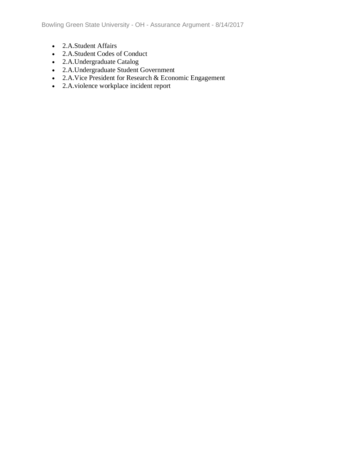- 2.A.Student Affairs
- 2.A.Student Codes of Conduct
- 2.A.Undergraduate Catalog
- 2.A.Undergraduate Student Government
- 2.A.Vice President for Research & Economic Engagement
- 2.A.violence workplace incident report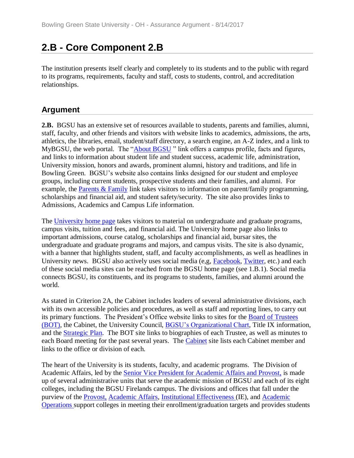# **2.B - Core Component 2.B**

The institution presents itself clearly and completely to its students and to the public with regard to its programs, requirements, faculty and staff, costs to students, control, and accreditation relationships.

# **Argument**

**2.B.** BGSU has an extensive set of resources available to students, parents and families, alumni, staff, faculty, and other friends and visitors with website links to academics, admissions, the arts, athletics, the libraries, email, student/staff directory, a search engine, an A-Z index, and a link to MyBGSU, the web portal. The ["About BGSU](../../evidence/viewfile?fileid=401850)" link offers a campus profile, facts and figures, and links to information about student life and student success, academic life, administration, University mission, honors and awards, prominent alumni, history and traditions, and life in Bowling Green. BGSU's website also contains links designed for our student and employee groups, including current students, prospective students and their families, and alumni. For example, the [Parents & Family](../../evidence/viewfile?fileid=401852) link takes visitors to information on parent/family programming, scholarships and financial aid, and student safety/security. The site also provides links to Admissions, Academics and Campus Life information.

The [University home page](../../evidence/viewfile?fileid=401857) takes visitors to material on undergraduate and graduate programs, campus visits, tuition and fees, and financial aid. The University home page also links to important admissions, course catalog, scholarships and financial aid, bursar sites, the undergraduate and graduate programs and majors, and campus visits. The site is also dynamic, with a banner that highlights student, staff, and faculty accomplishments, as well as headlines in University news. BGSU also actively uses social media (e,g, [Facebook,](../../evidence/viewfile?fileId=401593) [Twitter,](../../evidence/viewfile?fileId=401591) etc.) and each of these social media sites can be reached from the BGSU home page (see 1.B.1). Social media connects BGSU, its constituents, and its programs to students, families, and alumni around the world.

As stated in Criterion 2A, the Cabinet includes leaders of several administrative divisions, each with its own accessible policies and procedures, as well as staff and reporting lines, to carry out its primary functions. The President's Office website links to sites for the [Board of Trustees](../../evidence/viewfile?fileId=401818)  [\(BOT\),](../../evidence/viewfile?fileId=401818) the Cabinet, the University Council, [BGSU's Organizational Chart,](../../evidence/viewfile?fileId=401816) Title IX information, and the [Strategic Plan.](../../evidence/viewfile?fileId=401571) The BOT site links to biographies of each Trustee, as well as minutes to each Board meeting for the past several years. The [Cabinet](../../evidence/viewfile?fileid=401842) site lists each Cabinet member and links to the office or division of each.

The heart of the University is its students, faculty, and academic programs. The Division of Academic Affairs, led by the [Senior Vice President for Academic Affairs and Provost](../../evidence/viewfile?fileId=404853)[,](../../evidence/viewfile?fileId=406580) is made up of several administrative units that serve the academic mission of BGSU and each of its eight colleges, including the BGSU Firelands campus. The divisions and offices that fall under the purview of the [Provost,](../../evidence/viewfile?fileId=404206) [Academic Affairs,](../../evidence/viewfile?fileId=401764) [Institutional Effectiveness \(](../../evidence/viewfile?fileId=403270)IE), and [Academic](../../evidence/viewfile?fileId=401537)  [Operations s](../../evidence/viewfile?fileId=401537)upport colleges in meeting their enrollment/graduation targets and provides students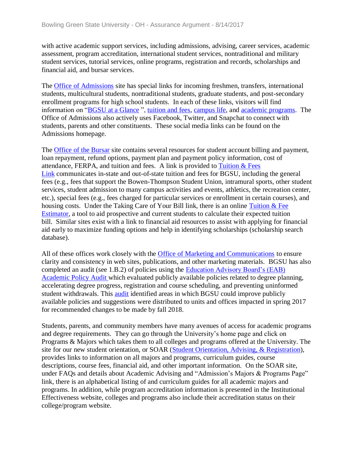with active academic support services, including admissions, advising, career services, academic assessment, program accreditation, international student services, nontraditional and military student services, tutorial services, online programs, registration and records, scholarships and financial aid, and bursar services.

The [Office of Admissions](../../evidence/viewfile?fileId=404858) site has special links for incoming freshmen, transfers, international students, multicultural students, nontraditional students, graduate students, and post-secondary enrollment programs for high school students. In each of these links, visitors will find information on ["BGSU at a Glance](../../evidence/viewfile?fileid=401843) ", [tuition and fees,](../../evidence/viewfile?fileid=401856) [campus life,](../../evidence/viewfile?fileid=401845) and [academic programs.](../../evidence/viewfile?fileid=401840) The Office of Admissions also actively uses Facebook, Twitter, and Snapchat to connect with students, parents and other constituents. These social media links can be found on the Admissions homepage.

The [Office of the Bursar](../../evidence/viewfile?fileid=401851) site contains several resources for student account billing and payment, loan repayment, refund options, payment plan and payment policy information, cost of attendance, FERPA, and tuition and fees. A link is provided to Tuition  $&$  Fees [Link](../../evidence/viewfile?fileid=401856) communicates in-state and out-of-state tuition and fees for BGSU, including the general fees (e.g., fees that support the Bowen-Thompson Student Union, intramural sports, other student services, student admission to many campus activities and events, athletics, the recreation center, etc.), special fees (e.g., fees charged for particular services or enrollment in certain courses), and housing costs. Under the Taking Care of Your Bill link, there is an online Tuition & Fee [Estimator,](../../evidence/viewfile?fileid=401853) a tool to aid prospective and current students to calculate their expected tuition bill. Similar sites exist with a link to financial aid resources to assist with applying for financial aid early to maximize funding options and help in identifying scholarships (scholarship search database).

All of these offices work closely with the [Office of Marketing and Communications](../../evidence/viewfile?fileid=401847) to ensure clarity and consistency in web sites, publications, and other marketing materials. BGSU has also completed an audit (see 1.B.2) of policies using the [Education Advisory Board's \(EAB\)](../../evidence/viewfile?fileId=403030)  [Academic Policy Audit w](../../evidence/viewfile?fileId=403030)hich evaluated publicly available policies related to degree planning, accelerating degree progress, registration and course scheduling, and preventing uninformed student withdrawals. This [audit](../../evidence/viewfile?fileId=403027) identified areas in which BGSU could improve publicly available policies and suggestions were distributed to units and offices impacted in spring 2017 for recommended changes to be made by fall 2018.

Students, parents, and community members have many avenues of access for academic programs and degree requirements. They can go through the University's home page and click on Programs & Majors which takes them to all colleges and programs offered at the University. The site for our new student orientation, or SOAR [\(Student Orientation, Advising, & Registration\)](../../evidence/viewfile?fileid=401855), provides links to information on all majors and programs, curriculum guides, course descriptions, course fees, financial aid, and other important information. On the SOAR site, under FAQs and details about Academic Advising and "Admission's Majors & Programs Page" link, there is an alphabetical listing of and curriculum guides for all academic majors and programs. In addition, while program accreditation information is presented in the Institutional Effectiveness website, colleges and programs also include their accreditation status on their college/program website.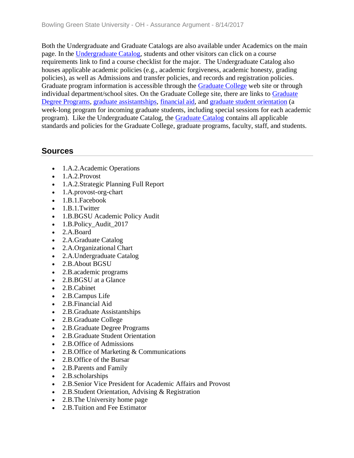Both the Undergraduate and Graduate Catalogs are also available under Academics on the main page. In the [Undergraduate Catalog,](../../evidence/viewfile?fileId=401831) students and other visitors can click on a course requirements link to find a course checklist for the major. The Undergraduate Catalog also houses applicable academic policies (e.g., academic forgiveness, academic honesty, grading policies), as well as Admissions and transfer policies, and records and registration policies. Graduate program information is accessible through the **Graduate College** web site or through individual department/school sites. On the Graduate College site, there are links to [Graduate](../../evidence/viewfile?fileid=401846)  [Degree Programs,](../../evidence/viewfile?fileid=401846) [graduate assistantships,](../../evidence/viewfile?fileid=401844) [financial aid,](../../evidence/viewfile?fileid=401841) and [graduate student orientation](../../evidence/viewfile?fileid=401848) (a week-long program for incoming graduate students, including special sessions for each academic program). Like the Undergraduate Catalog, the [Graduate Catalog](../../evidence/viewfile?fileId=401803) contains all applicable standards and policies for the Graduate College, graduate programs, faculty, staff, and students.

- 1.A.2.Academic Operations
- $\bullet$  1.A.2.Provost
- 1.A.2.Strategic Planning Full Report
- 1.A.provost-org-chart
- 1.B.1.Facebook
- 1.B.1.Twitter
- 1.B.BGSU Academic Policy Audit
- 1.B.Policy Audit 2017
- 2.A.Board
- 2.A.Graduate Catalog
- 2.A.Organizational Chart
- 2.A.Undergraduate Catalog
- 2.B.About BGSU
- 2.B.academic programs
- 2.B.BGSU at a Glance
- 2.B.Cabinet
- 2.B.Campus Life
- 2.B.Financial Aid
- 2.B.Graduate Assistantships
- 2.B.Graduate College
- 2.B.Graduate Degree Programs
- 2.B.Graduate Student Orientation
- 2.B. Office of Admissions
- 2.B. Office of Marketing & Communications
- 2.B.Office of the Bursar
- 2.B. Parents and Family
- 2.B.scholarships
- 2.B.Senior Vice President for Academic Affairs and Provost
- 2.B. Student Orientation, Advising & Registration
- 2.B. The University home page
- 2.B. Tuition and Fee Estimator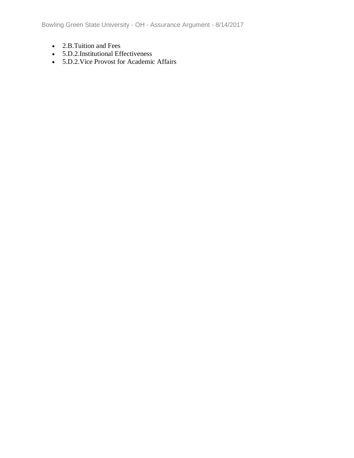Bowling Green State University - OH - Assurance Argument - 8/14/2017

- 2.B. Tuition and Fees
- 5.D.2.Institutional Effectiveness
- 5.D.2.Vice Provost for Academic Affairs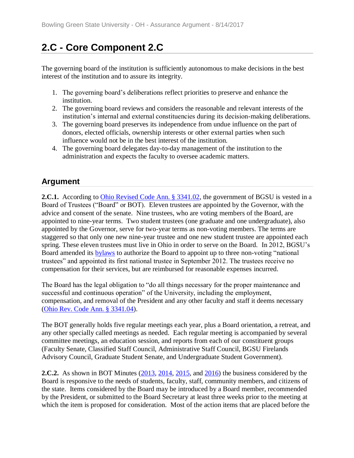# **2.C - Core Component 2.C**

The governing board of the institution is sufficiently autonomous to make decisions in the best interest of the institution and to assure its integrity.

- 1. The governing board's deliberations reflect priorities to preserve and enhance the institution.
- 2. The governing board reviews and considers the reasonable and relevant interests of the institution's internal and external constituencies during its decision-making deliberations.
- 3. The governing board preserves its independence from undue influence on the part of donors, elected officials, ownership interests or other external parties when such influence would not be in the best interest of the institution.
- 4. The governing board delegates day-to-day management of the institution to the administration and expects the faculty to oversee academic matters.

# **Argument**

**2.C.1.** According to [Ohio Revised Code Ann. § 3341.02,](../../evidence/viewfile?fileid=401858) the government of BGSU is vested in a Board of Trustees ("Board" or BOT). Eleven trustees are appointed by the Governor, with the advice and consent of the senate. Nine trustees, who are voting members of the Board, are appointed to nine-year terms. Two student trustees (one graduate and one undergraduate), also appointed by the Governor, serve for two-year terms as non-voting members. The terms are staggered so that only one new nine-year trustee and one new student trustee are appointed each spring. These eleven trustees must live in Ohio in order to serve on the Board. In 2012, BGSU's Board amended its [bylaws](../../evidence/viewfile?fileId=401774) to authorize the Board to appoint up to three non-voting "national trustees" and appointed its first national trustee in September 2012. The trustees receive no compensation for their services, but are reimbursed for reasonable expenses incurred.

The Board has the legal obligation to "do all things necessary for the proper maintenance and successful and continuous operation" of the University, including the employment, compensation, and removal of the President and any other faculty and staff it deems necessary [\(Ohio Rev. Code Ann. § 3341.04\)](../../evidence/viewfile?fileid=401858).

The BOT generally holds five regular meetings each year, plus a Board orientation, a retreat, and any other specially called meetings as needed. Each regular meeting is accompanied by several committee meetings, an education session, and reports from each of our constituent groups (Faculty Senate, Classified Staff Council, Administrative Staff Council, BGSU Firelands Advisory Council, Graduate Student Senate, and Undergraduate Student Government).

**2.C.2.** As shown in BOT Minutes [\(2013,](../../evidence/viewfile?fileId=404886) [2014,](../../evidence/viewfile?fileId=404888) [2015,](../../evidence/viewfile?fileId=404887) and [2016\)](../../evidence/viewfile?fileId=404885) the business considered by the Board is responsive to the needs of students, faculty, staff, community members, and citizens of the state. Items considered by the Board may be introduced by a Board member, recommended by the President, or submitted to the Board Secretary at least three weeks prior to the meeting at which the item is proposed for consideration. Most of the action items that are placed before the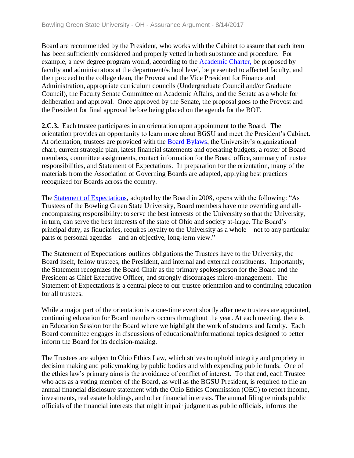Board are recommended by the President, who works with the Cabinet to assure that each item has been sufficiently considered and properly vetted in both substance and procedure. For example, a new degree program would, according to the [Academic Charter,](../../evidence/viewfile?fileId=401580) be proposed by faculty and administrators at the department/school level, be presented to affected faculty, and then proceed to the college dean, the Provost and the Vice President for Finance and Administration, appropriate curriculum councils (Undergraduate Council and/or Graduate Council), the Faculty Senate Committee on Academic Affairs, and the Senate as a whole for deliberation and approval. Once approved by the Senate, the proposal goes to the Provost and the President for final approval before being placed on the agenda for the BOT.

**2.C.3.** Each trustee participates in an orientation upon appointment to the Board. The orientation provides an opportunity to learn more about BGSU and meet the President's Cabinet. At orientation, trustees are provided with the [Board Bylaws,](../../evidence/viewfile?fileid=401774) the University's organizational chart, current strategic plan, latest financial statements and operating budgets, a roster of Board members, committee assignments, contact information for the Board office, summary of trustee responsibilities, and Statement of Expectations. In preparation for the orientation, many of the materials from the Association of Governing Boards are adapted, applying best practices recognized for Boards across the country.

The [Statement of Expectations,](../../evidence/viewfile?fileId=405751) adopted by the Board in 2008, opens with the following: "As Trustees of the Bowling Green State University, Board members have one overriding and allencompassing responsibility: to serve the best interests of the University so that the University, in turn, can serve the best interests of the state of Ohio and society at-large. The Board's principal duty, as fiduciaries, requires loyalty to the University as a whole – not to any particular parts or personal agendas – and an objective, long-term view."

The Statement of Expectations outlines obligations the Trustees have to the University, the Board itself, fellow trustees, the President, and internal and external constituents. Importantly, the Statement recognizes the Board Chair as the primary spokesperson for the Board and the President as Chief Executive Officer, and strongly discourages micro-management. The Statement of Expectations is a central piece to our trustee orientation and to continuing education for all trustees.

While a major part of the orientation is a one-time event shortly after new trustees are appointed, continuing education for Board members occurs throughout the year. At each meeting, there is an Education Session for the Board where we highlight the work of students and faculty. Each Board committee engages in discussions of educational/informational topics designed to better inform the Board for its decision-making.

The Trustees are subject to Ohio Ethics Law, which strives to uphold integrity and propriety in decision making and policymaking by public bodies and with expending public funds. One of the ethics law's primary aims is the avoidance of conflict of interest. To that end, each Trustee who acts as a voting member of the Board, as well as the BGSU President, is required to file an annual financial disclosure statement with the Ohio Ethics Commission (OEC) to report income, investments, real estate holdings, and other financial interests. The annual filing reminds public officials of the financial interests that might impair judgment as public officials, informs the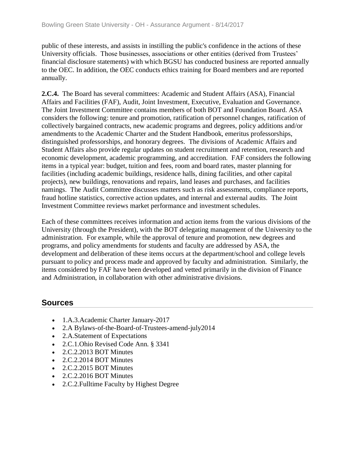public of these interests, and assists in instilling the public's confidence in the actions of these University officials. Those businesses, associations or other entities (derived from Trustees' financial disclosure statements) with which BGSU has conducted business are reported annually to the OEC. In addition, the OEC conducts ethics training for Board members and are reported annually.

**2.C.4.** The Board has several committees: Academic and Student Affairs (ASA), Financial Affairs and Facilities (FAF), Audit, Joint Investment, Executive, Evaluation and Governance. The Joint Investment Committee contains members of both BOT and Foundation Board. ASA considers the following: tenure and promotion, ratification of personnel changes, ratification of collectively bargained contracts, new academic programs and degrees, policy additions and/or amendments to the Academic Charter and the Student Handbook, emeritus professorships, distinguished professorships, and honorary degrees. The divisions of Academic Affairs and Student Affairs also provide regular updates on student recruitment and retention, research and economic development, academic programming, and accreditation. FAF considers the following items in a typical year: budget, tuition and fees, room and board rates, master planning for facilities (including academic buildings, residence halls, dining facilities, and other capital projects), new buildings, renovations and repairs, land leases and purchases, and facilities namings. The Audit Committee discusses matters such as risk assessments, compliance reports, fraud hotline statistics, corrective action updates, and internal and external audits. The Joint Investment Committee reviews market performance and investment schedules.

Each of these committees receives information and action items from the various divisions of the University (through the President), with the BOT delegating management of the University to the administration. For example, while the approval of tenure and promotion, new degrees and programs, and policy amendments for students and faculty are addressed by ASA, the development and deliberation of these items occurs at the department/school and college levels pursuant to policy and process made and approved by faculty and administration. Similarly, the items considered by FAF have been developed and vetted primarily in the division of Finance and Administration, in collaboration with other administrative divisions.

- 1.A.3. Academic Charter January-2017
- 2.A Bylaws-of-the-Board-of-Trustees-amend-july2014
- 2.A.Statement of Expectations
- 2.C.1.Ohio Revised Code Ann. § 3341
- 2.C.2.2013 BOT Minutes
- 2.C.2.2014 BOT Minutes
- 2.C.2.2015 BOT Minutes
- 2.C.2.2016 BOT Minutes
- 2.C.2. Fulltime Faculty by Highest Degree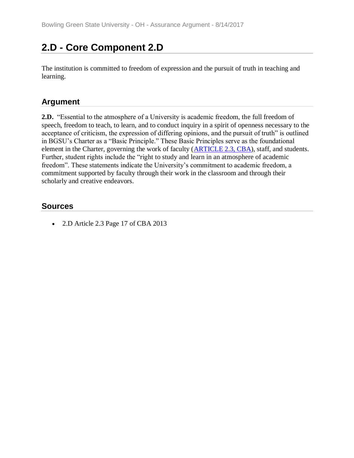# **2.D - Core Component 2.D**

The institution is committed to freedom of expression and the pursuit of truth in teaching and learning.

### **Argument**

**2.D.** "Essential to the atmosphere of a University is academic freedom, the full freedom of speech, freedom to teach, to learn, and to conduct inquiry in a spirit of openness necessary to the acceptance of criticism, the expression of differing opinions, and the pursuit of truth" is outlined in BGSU's Charter as a "Basic Principle." These Basic Principles serve as the foundational element in the Charter, governing the work of faculty (**ARTICLE 2.3, CBA**), staff, and students. Further, student rights include the "right to study and learn in an atmosphere of academic freedom". These statements indicate the University's commitment to academic freedom, a commitment supported by faculty through their work in the classroom and through their scholarly and creative endeavors.

### **Sources**

• 2.D Article 2.3 Page 17 of CBA 2013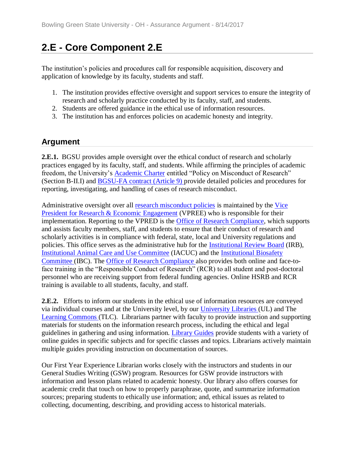# **2.E - Core Component 2.E**

The institution's policies and procedures call for responsible acquisition, discovery and application of knowledge by its faculty, students and staff.

- 1. The institution provides effective oversight and support services to ensure the integrity of research and scholarly practice conducted by its faculty, staff, and students.
- 2. Students are offered guidance in the ethical use of information resources.
- 3. The institution has and enforces policies on academic honesty and integrity.

### **Argument**

**2.E.1.** BGSU provides ample oversight over the ethical conduct of research and scholarly practices engaged by its faculty, staff, and students. While affirming the principles of academic freedom, the University's [Academic Charter](../../evidence/viewfile?fileId=401786) entitled "Policy on Misconduct of Research" (Section B-II.I) and [BGSU-FA contract \(Article 9\) p](../../evidence/viewfile?fileId=406321)rovide detailed policies and procedures for reporting, investigating, and handling of cases of research misconduct.

Administrative oversight over all [research misconduct policies](../../evidence/viewfile?fileid=401867) is maintained by the Vice [President for Research & Economic Engagement](../../evidence/viewfile?fileid=401868) (VPREE) who is responsible for their implementation. Reporting to the VPRED is the [Office of Research Compliance,](../../evidence/viewfile?fileid=401862) which supports and assists faculty members, staff, and students to ensure that their conduct of research and scholarly activities is in compliance with federal, state, local and University regulations and policies. This office serves as the administrative hub for the [Institutional Review Board](../../evidence/viewfile?fileid=401864) (IRB), [Institutional Animal Care and Use Committee](../../evidence/viewfile?fileid=401863) (IACUC) and the [Institutional Biosafety](../../evidence/viewfile?fileid=401865)  [Committee \(](../../evidence/viewfile?fileid=401865)IBC). The [Office of Research Compliance a](../../evidence/viewfile?fileid=401862)lso provides both online and face-toface training in the "Responsible Conduct of Research" (RCR) to all student and post-doctoral personnel who are receiving support from federal funding agencies. Online HSRB and RCR training is available to all students, faculty, and staff.

**2.E.2.** Efforts to inform our students in the ethical use of information resources are conveyed via individual courses and at the University level, by our [University Libraries \(](../../evidence/viewfile?fileId=405737)UL) and The [Learning Commons \(](../../evidence/viewfile?fileId=405319)TLC). Librarians partner with faculty to provide instruction and supporting materials for students on the information research process, including the ethical and legal guidelines in gathering and using information. [Library Guides](../../evidence/viewfile?fileId=405758) provide students with a variety of online guides in specific subjects and for specific classes and topics. Librarians actively maintain multiple guides providing instruction on documentation of sources.

Our First Year Experience Librarian works closely with the instructors and students in our General Studies Writing (GSW) program. Resources for GSW provide instructors with information and lesson plans related to academic honesty. Our library also offers courses for academic credit that touch on how to properly paraphrase, quote, and summarize information sources; preparing students to ethically use information; and, ethical issues as related to collecting, documenting, describing, and providing access to historical materials.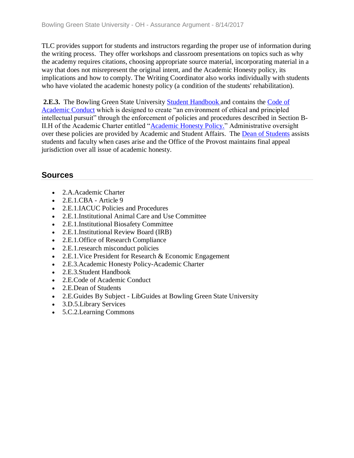TLC provides support for students and instructors regarding the proper use of information during the writing process. They offer workshops and classroom presentations on topics such as why the academy requires citations, choosing appropriate source material, incorporating material in a way that does not misrepresent the original intent, and the Academic Honesty policy, its implications and how to comply. The Writing Coordinator also works individually with students who have violated the academic honesty policy (a condition of the students' rehabilitation).

**2.E.3.** The Bowling Green State University [Student Handbook a](../../evidence/viewfile?fileid=401869)nd contains the [Code of](../../evidence/viewfile?fileid=401870)  [Academic Conduct](../../evidence/viewfile?fileid=401870) which is designed to create "an environment of ethical and principled intellectual pursuit" through the enforcement of policies and procedures described in Section B-II.H of the Academic Charter entitled ["Academic Honesty Policy."](../../evidence/viewfile?fileid=401871) Administrative oversight over these policies are provided by Academic and Student Affairs. The [Dean of Students](../../evidence/viewfile?fileId=405759) assists students and faculty when cases arise and the Office of the Provost maintains final appeal jurisdiction over all issue of academic honesty.

- 2.A.Academic Charter
- $\bullet$  2.E.1.CBA Article 9
- 2.E.1.IACUC Policies and Procedures
- 2.E.1.Institutional Animal Care and Use Committee
- 2.E.1.Institutional Biosafety Committee
- 2.E.1.Institutional Review Board (IRB)
- 2.E.1.Office of Research Compliance
- 2.E.1. research misconduct policies
- 2.E.1. Vice President for Research & Economic Engagement
- 2.E.3.Academic Honesty Policy-Academic Charter
- 2.E.3.Student Handbook
- 2.E.Code of Academic Conduct
- 2.E.Dean of Students
- 2.E. Guides By Subject LibGuides at Bowling Green State University
- 3.D.5.Library Services
- 5.C.2.Learning Commons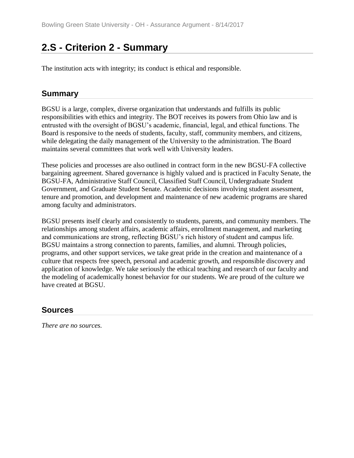# **2.S - Criterion 2 - Summary**

The institution acts with integrity; its conduct is ethical and responsible.

### **Summary**

BGSU is a large, complex, diverse organization that understands and fulfills its public responsibilities with ethics and integrity. The BOT receives its powers from Ohio law and is entrusted with the oversight of BGSU's academic, financial, legal, and ethical functions. The Board is responsive to the needs of students, faculty, staff, community members, and citizens, while delegating the daily management of the University to the administration. The Board maintains several committees that work well with University leaders.

These policies and processes are also outlined in contract form in the new BGSU-FA collective bargaining agreement. Shared governance is highly valued and is practiced in Faculty Senate, the BGSU-FA, Administrative Staff Council, Classified Staff Council, Undergraduate Student Government, and Graduate Student Senate. Academic decisions involving student assessment, tenure and promotion, and development and maintenance of new academic programs are shared among faculty and administrators.

BGSU presents itself clearly and consistently to students, parents, and community members. The relationships among student affairs, academic affairs, enrollment management, and marketing and communications are strong, reflecting BGSU's rich history of student and campus life. BGSU maintains a strong connection to parents, families, and alumni. Through policies, programs, and other support services, we take great pride in the creation and maintenance of a culture that respects free speech, personal and academic growth, and responsible discovery and application of knowledge. We take seriously the ethical teaching and research of our faculty and the modeling of academically honest behavior for our students. We are proud of the culture we have created at BGSU.

### **Sources**

*There are no sources.*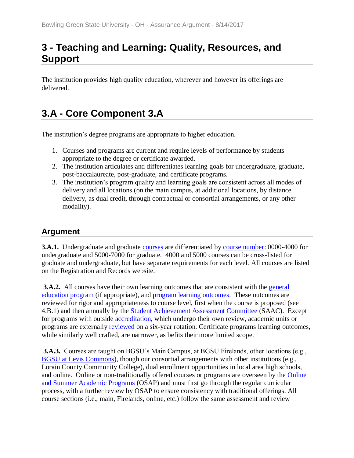# **3 - Teaching and Learning: Quality, Resources, and Support**

The institution provides high quality education, wherever and however its offerings are delivered.

# **3.A - Core Component 3.A**

The institution's degree programs are appropriate to higher education.

- 1. Courses and programs are current and require levels of performance by students appropriate to the degree or certificate awarded.
- 2. The institution articulates and differentiates learning goals for undergraduate, graduate, post-baccalaureate, post-graduate, and certificate programs.
- 3. The institution's program quality and learning goals are consistent across all modes of delivery and all locations (on the main campus, at additional locations, by distance delivery, as dual credit, through contractual or consortial arrangements, or any other modality).

# **Argument**

**3.A.1.** Undergraduate and graduate [courses](https://webapp.bgsu.edu/ClassSearch/search.htm) are differentiated by [course number:](../../evidence/viewfile?fileid=395475) 0000-4000 for undergraduate and 5000-7000 for graduate. 4000 and 5000 courses can be cross-listed for graduate and undergraduate, but have separate requirements for each level. All courses are listed on the Registration and Records website.

**3.A.2.** All courses have their own learning outcomes that are consistent with the general [education program](../../evidence/viewfile?fileid=395476) (if appropriate), and [program learning outcomes.](../../evidence/viewfile?fileid=395478) These outcomes are reviewed for rigor and appropriateness to course level, first when the course is proposed (see 4.B.1) and then annually by the **Student Achievement Assessment Committee** (SAAC). Except for programs with outside [accreditation,](../../evidence/viewfile?fileid=395477) which undergo their own review, academic units or programs are externally **reviewed** on a six-year rotation. Certificate programs learning outcomes, while similarly well crafted, are narrower, as befits their more limited scope.

**3.A.3.** Courses are taught on BGSU's Main Campus, at BGSU Firelands, other locations (e.g., [BGSU at Levis Commons\)](../../evidence/viewfile?fileid=395480), though our consortial arrangements with other institutions (e.g., Lorain County Community College), dual enrollment opportunities in local area high schools, and online. Online or non-traditionally offered courses or programs are overseen by the [Online](../../evidence/viewfile?fileId=404971)  [and Summer Academic Programs](../../evidence/viewfile?fileId=404971) (OSAP) and must first go through the regular curricular process, with a further review by OSAP to ensure consistency with traditional offerings. All course sections (i.e., main, Firelands, online, etc.) follow the same assessment and review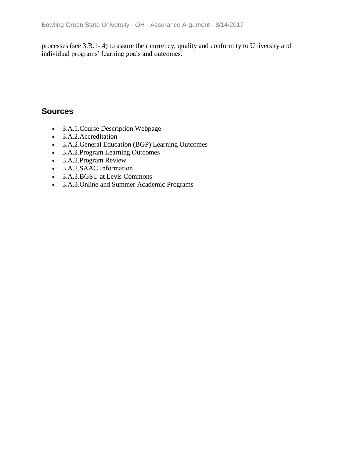processes (see 3.B.1-.4) to assure their currency, quality and conformity to University and individual programs' learning goals and outcomes.

- 3.A.1.Course Description Webpage
- 3.A.2.Accreditation
- 3.A.2.General Education (BGP) Learning Outcomes
- 3.A.2.Program Learning Outcomes
- 3.A.2.Program Review
- 3.A.2.SAAC Information
- 3.A.3.BGSU at Levis Commons
- 3.A.3.Online and Summer Academic Programs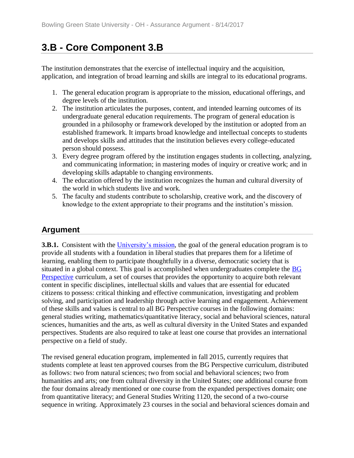# **3.B - Core Component 3.B**

The institution demonstrates that the exercise of intellectual inquiry and the acquisition, application, and integration of broad learning and skills are integral to its educational programs.

- 1. The general education program is appropriate to the mission, educational offerings, and degree levels of the institution.
- 2. The institution articulates the purposes, content, and intended learning outcomes of its undergraduate general education requirements. The program of general education is grounded in a philosophy or framework developed by the institution or adopted from an established framework. It imparts broad knowledge and intellectual concepts to students and develops skills and attitudes that the institution believes every college-educated person should possess.
- 3. Every degree program offered by the institution engages students in collecting, analyzing, and communicating information; in mastering modes of inquiry or creative work; and in developing skills adaptable to changing environments.
- 4. The education offered by the institution recognizes the human and cultural diversity of the world in which students live and work.
- 5. The faculty and students contribute to scholarship, creative work, and the discovery of knowledge to the extent appropriate to their programs and the institution's mission.

## **Argument**

**3.B.1.** Consistent with the [University's mission,](../../evidence/viewfile?fileId=403010) the goal of the general education program is to provide all students with a foundation in liberal studies that prepares them for a lifetime of learning, enabling them to participate thoughtfully in a diverse, democratic society that is situated in a global context. This goal is accomplished when undergraduates complete the **BG** [Perspective](../../evidence/viewfile?fileId=405047) curriculum, a set of courses that provides the opportunity to acquire both relevant content in specific disciplines, intellectual skills and values that are essential for educated citizens to possess: critical thinking and effective communication, investigating and problem solving, and participation and leadership through active learning and engagement. Achievement of these skills and values is central to all BG Perspective courses in the following domains: general studies writing, mathematics/quantitative literacy, social and behavioral sciences, natural sciences, humanities and the arts, as well as cultural diversity in the United States and expanded perspectives. Students are also required to take at least one course that provides an international perspective on a field of study.

The revised general education program, implemented in fall 2015, currently requires that students complete at least ten approved courses from the BG Perspective curriculum, distributed as follows: two from natural sciences; two from social and behavioral sciences; two from humanities and arts; one from cultural diversity in the United States; one additional course from the four domains already mentioned or one course from the expanded perspectives domain; one from quantitative literacy; and General Studies Writing 1120, the second of a two-course sequence in writing. Approximately 23 courses in the social and behavioral sciences domain and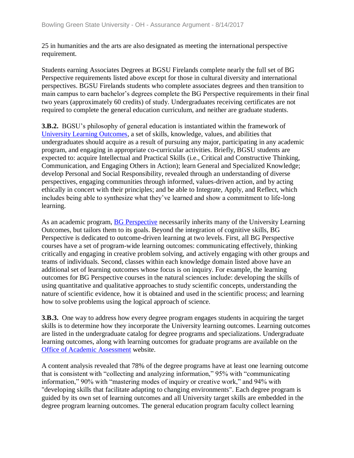25 in humanities and the arts are also designated as meeting the international perspective requirement.

Students earning Associates Degrees at BGSU Firelands complete nearly the full set of BG Perspective requirements listed above except for those in cultural diversity and international perspectives. BGSU Firelands students who complete associates degrees and then transition to main campus to earn bachelor's degrees complete the BG Perspective requirements in their final two years (approximately 60 credits) of study. Undergraduates receiving certificates are not required to complete the general education curriculum, and neither are graduate students.

**3.B.2.** BGSU's philosophy of general education is instantiated within the framework of [University Learning Outcomes,](../../evidence/viewfile?fileId=405050) a set of skills, knowledge, values, and abilities that undergraduates should acquire as a result of pursuing any major, participating in any academic program, and engaging in appropriate co-curricular activities. Briefly, BGSU students are expected to: acquire Intellectual and Practical Skills (i.e., Critical and Constructive Thinking, Communication, and Engaging Others in Action); learn General and Specialized Knowledge; develop Personal and Social Responsibility, revealed through an understanding of diverse perspectives, engaging communities through informed, values-driven action, and by acting ethically in concert with their principles; and be able to Integrate, Apply, and Reflect, which includes being able to synthesize what they've learned and show a commitment to life-long learning.

As an academic program, [BG Perspective](../../evidence/viewfile?fileid=405047) necessarily inherits many of the University Learning Outcomes, but tailors them to its goals. Beyond the integration of cognitive skills, BG Perspective is dedicated to outcome-driven learning at two levels. First, all BG Perspective courses have a set of program-wide learning outcomes: communicating effectively, thinking critically and engaging in creative problem solving, and actively engaging with other groups and teams of individuals. Second, classes within each knowledge domain listed above have an additional set of learning outcomes whose focus is on inquiry. For example, the learning outcomes for BG Perspective courses in the natural sciences include: developing the skills of using quantitative and qualitative approaches to study scientific concepts, understanding the nature of scientific evidence, how it is obtained and used in the scientific process; and learning how to solve problems using the logical approach of science.

**3.B.3.** One way to address how every degree program engages students in acquiring the target skills is to determine how they incorporate the University learning outcomes. Learning outcomes are listed in the undergraduate catalog for degree programs and specializations. Undergraduate learning outcomes, along with learning outcomes for graduate programs are available on the [Office of Academic Assessment](../../evidence/viewfile?fileId=404204) website.

A content analysis revealed that 78% of the degree programs have at least one learning outcome that is consistent with "collecting and analyzing information," 95% with "communicating information," 90% with "mastering modes of inquiry or creative work," and 94% with "developing skills that facilitate adapting to changing environments". Each degree program is guided by its own set of learning outcomes and all University target skills are embedded in the degree program learning outcomes. The general education program faculty collect learning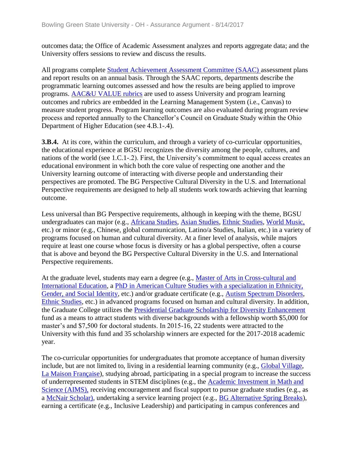outcomes data; the Office of Academic Assessment analyzes and reports aggregate data; and the University offers sessions to review and discuss the results.

All programs complete [Student Achievement Assessment Committee \(SAAC\) a](../../evidence/viewfile?fileId=401607)ssessment plans and report results on an annual basis. Through the SAAC reports, departments describe the programmatic learning outcomes assessed and how the results are being applied to improve programs. [AAC&U VALUE rubrics](../../evidence/viewfile?fileId=401603) are used to assess University and program learning outcomes and rubrics are embedded in the Learning Management System (i.e., Canvas) to measure student progress. Program learning outcomes are also evaluated during program review process and reported annually to the Chancellor's Council on Graduate Study within the Ohio Department of Higher Education (see 4.B.1-.4).

**3.B.4.** At its core, within the curriculum, and through a variety of co-curricular opportunities, the educational experience at BGSU recognizes the diversity among the people, cultures, and nations of the world (see 1.C.1-.2). First, the University's commitment to equal access creates an educational environment in which both the core value of respecting one another and the University learning outcome of interacting with diverse people and understanding their perspectives are promoted. The BG Perspective Cultural Diversity in the U.S. and International Perspective requirements are designed to help all students work towards achieving that learning outcome.

Less universal than BG Perspective requirements, although in keeping with the theme, BGSU undergraduates can major (e.g., [Africana Studies,](../../evidence/viewfile?fileId=405257) [Asian Studies,](../../evidence/viewfile?fileId=405262) [Ethnic Studies,](../../evidence/viewfile?fileId=405259) [World Music,](../../evidence/viewfile?fileId=405269) etc.) or minor (e.g., Chinese, global communication, Latino/a Studies, Italian, etc.) in a variety of programs focused on human and cultural diversity. At a finer level of analysis, while majors require at least one course whose focus is diversity or has a global perspective, often a course that is above and beyond the BG Perspective Cultural Diversity in the U.S. and International Perspective requirements.

At the graduate level, students may earn a degree (e.g., [Master of Arts in Cross-cultural and](../../evidence/viewfile?fileId=405260)  [International Education,](../../evidence/viewfile?fileId=405260) a [PhD in American Culture Studies with a specialization in Ethnicity,](../../evidence/viewfile?fileId=405265)  [Gender, and Social Identity,](../../evidence/viewfile?fileId=405265) etc.) and/or graduate certificate (e.g., [Autism Spectrum Disorders,](../../evidence/viewfile?fileId=405258) [Ethnic Studies,](../../evidence/viewfile?fileId=405259) etc.) in advanced programs focused on human and cultural diversity. In addition, the Graduate College utilizes the [Presidential Graduate Scholarship for Diversity Enhancement](../../evidence/viewfile?fileId=405268)  fund as a means to attract students with diverse backgrounds with a fellowship worth \$5,000 for master's and \$7,500 for doctoral students. In 2015-16, 22 students were attracted to the University with this fund and 35 scholarship winners are expected for the 2017-2018 academic year.

The co-curricular opportunities for undergraduates that promote acceptance of human diversity include, but are not limited to, living in a residential learning community (e.g., [Global Village,](../../evidence/viewfile?fileId=405272) [La Maison Française\)](../../evidence/viewfile?fileId=405274), studying abroad, participating in a special program to increase the success of underrepresented students in STEM disciplines (e.g., the [Academic Investment in Math and](../../evidence/viewfile?fileid=405256)  [Science \(AIMS\),](../../evidence/viewfile?fileid=405256) receiving encouragement and fiscal support to pursue graduate studies (e.g., as a [McNair Scholar\),](../../evidence/viewfile?fileId=405263) undertaking a service learning project (e.g., [BG Alternative Spring Breaks\)](../../evidence/viewfile?fileId=405277), earning a certificate (e.g., Inclusive Leadership) and participating in campus conferences and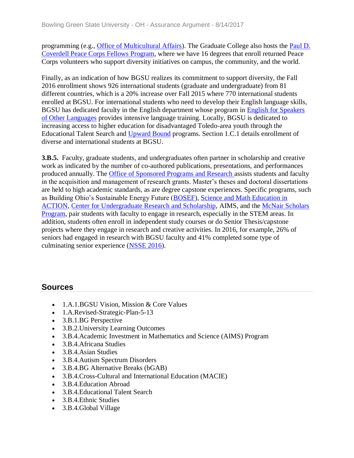programming (e.g., [Office of Multicultural Affairs\)](../../evidence/viewfile?fileId=405266). The Graduate College also hosts the [Paul D.](../../evidence/viewfile?fileId=405264)  [Coverdell Peace Corps Fellows Program,](../../evidence/viewfile?fileId=405264) where we have 16 degrees that enroll returned Peace Corps volunteers who support diversity initiatives on campus, the community, and the world.

Finally, as an indication of how BGSU realizes its commitment to support diversity, the Fall 2016 enrollment shows 926 international students (graduate and undergraduate) from 81 different countries, which is a 20% increase over Fall 2015 where 770 international students enrolled at BGSU. For international students who need to develop their English language skills, BGSU has dedicated faculty in the English department whose program in [English for Speakers](../../evidence/viewfile?fileId=405278)  [of Other Languages](../../evidence/viewfile?fileId=405278) provides intensive language training. Locally, BGSU is dedicated to increasing access to higher education for disadvantaged Toledo-area youth through the Educational Talent Search and [Upward Bound](../../evidence/viewfile?fileid=405267) programs. Section 1.C.1 details enrollment of diverse and international students at BGSU.

**3.B.5.** Faculty, graduate students, and undergraduates often partner in scholarship and creative work as indicated by the number of co-authored publications, presentations, and performances produced annually. The [Office of Sponsored Programs and Research a](../../evidence/viewfile?fileid=405271)ssists students and faculty in the acquisition and management of research grants. Master's theses and doctoral dissertations are held to high academic standards, as are degree capstone experiences. Specific programs, such as Building Ohio's Sustainable Energy Future [\(BOSEF\)](../../evidence/viewfile?fileId=402010), [Science and Math Education in](../../evidence/viewfile?fileid=405275)  [ACTION,](../../evidence/viewfile?fileid=405275) [Center for Undergraduate Research and Scholarship,](../../evidence/viewfile?fileid=405270) AIMS, and the [McNair Scholars](../../evidence/viewfile?fileid=405263)  [Program,](../../evidence/viewfile?fileid=405263) pair students with faculty to engage in research, especially in the STEM areas. In addition, students often enroll in independent study courses or do Senior Thesis/capstone projects where they engage in research and creative activities. In 2016, for example, 26% of seniors had engaged in research with BGSU faculty and 41% completed some type of culminating senior experience [\(NSSE 2016\)](../../evidence/viewfile?fileid=402015).

#### **Sources**

- 1.A.1.BGSU Vision, Mission & Core Values
- 1.A.Revised-Strategic-Plan-5-13
- 3.B.1.BG Perspective
- 3.B.2.University Learning Outcomes
- 3.B.4.Academic Investment in Mathematics and Science (AIMS) Program
- 3.B.4.Africana Studies
- 3.B.4.Asian Studies
- 3.B.4.Autism Spectrum Disorders
- 3.B.4.BG Alternative Breaks (bGAB)
- 3.B.4.Cross-Cultural and International Education (MACIE)
- 3.B.4. Education Abroad
- 3.B.4. Educational Talent Search
- 3.B.4.Ethnic Studies
- 3.B.4.Global Village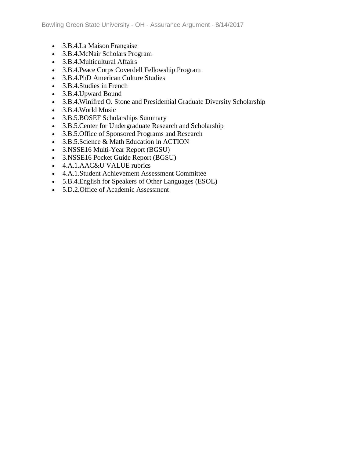- 3.B.4.La Maison Française
- 3.B.4.McNair Scholars Program
- 3.B.4.Multicultural Affairs
- 3.B.4.Peace Corps Coverdell Fellowship Program
- 3.B.4.PhD American Culture Studies
- 3.B.4.Studies in French
- 3.B.4.Upward Bound
- 3.B.4.Winifred O. Stone and Presidential Graduate Diversity Scholarship
- 3.B.4.World Music
- 3.B.5.BOSEF Scholarships Summary
- 3.B.5.Center for Undergraduate Research and Scholarship
- 3.B.5.Office of Sponsored Programs and Research
- 3.B.5.Science & Math Education in ACTION
- 3.NSSE16 Multi-Year Report (BGSU)
- 3.NSSE16 Pocket Guide Report (BGSU)
- 4.A.1.AAC&U VALUE rubrics
- 4.A.1.Student Achievement Assessment Committee
- 5.B.4.English for Speakers of Other Languages (ESOL)
- 5.D.2. Office of Academic Assessment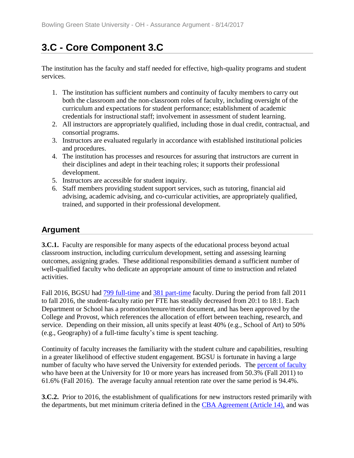# **3.C - Core Component 3.C**

The institution has the faculty and staff needed for effective, high-quality programs and student services.

- 1. The institution has sufficient numbers and continuity of faculty members to carry out both the classroom and the non-classroom roles of faculty, including oversight of the curriculum and expectations for student performance; establishment of academic credentials for instructional staff; involvement in assessment of student learning.
- 2. All instructors are appropriately qualified, including those in dual credit, contractual, and consortial programs.
- 3. Instructors are evaluated regularly in accordance with established institutional policies and procedures.
- 4. The institution has processes and resources for assuring that instructors are current in their disciplines and adept in their teaching roles; it supports their professional development.
- 5. Instructors are accessible for student inquiry.
- 6. Staff members providing student support services, such as tutoring, financial aid advising, academic advising, and co-curricular activities, are appropriately qualified, trained, and supported in their professional development.

## **Argument**

**3.C.1.** Faculty are responsible for many aspects of the educational process beyond actual classroom instruction, including curriculum development, setting and assessing learning outcomes, assigning grades. These additional responsibilities demand a sufficient number of well-qualified faculty who dedicate an appropriate amount of time to instruction and related activities.

Fall 2016, BGSU had  $\frac{799 \text{ full-time}}{2011}$  and  $\frac{381 \text{ part-time}}{2011}$  faculty. During the period from fall 2011 to fall 2016, the student-faculty ratio per FTE has steadily decreased from 20:1 to 18:1. Each Department or School has a promotion/tenure/merit document, and has been approved by the College and Provost, which references the allocation of effort between teaching, research, and service. Depending on their mission, all units specify at least 40% (e.g., School of Art) to 50% (e.g., Geography) of a full-time faculty's time is spent teaching.

Continuity of faculty increases the familiarity with the student culture and capabilities, resulting in a greater likelihood of effective student engagement. BGSU is fortunate in having a large number of faculty who have served the University for extended periods. The [percent of faculty](../../evidence/viewfile?fileid=402002) who have been at the University for 10 or more years has increased from 50.3% (Fall 2011) to 61.6% (Fall 2016). The average faculty annual retention rate over the same period is 94.4%.

**3.C.2.** Prior to 2016, the establishment of qualifications for new instructors rested primarily with the departments, but met minimum criteria defined in the [CBA Agreement \(Article 14\),](../../evidence/viewfile?fileid=405298) and was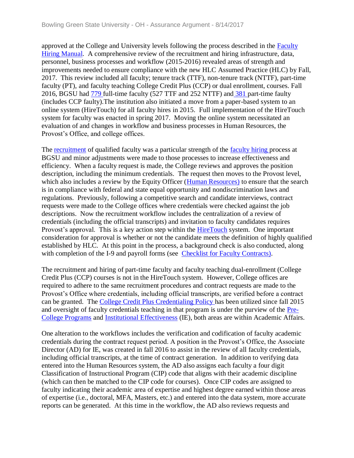approved at the College and University levels following the process described in the [Faculty](../../evidence/viewfile?fileid=402006)  [Hiring Manual.](../../evidence/viewfile?fileid=402006) A comprehensive review of the recruitment and hiring infrastructure, data, personnel, business processes and workflow (2015-2016) revealed areas of strength and improvements needed to ensure compliance with the new HLC Assumed Practice (HLC) by Fall, 2017. This review included all faculty; tenure track (TTF), non-tenure track (NTTF), part-time faculty (PT), and faculty teaching College Credit Plus (CCP) or dual enrollment, courses. Fall 2016, BGSU had [779 f](../../evidence/viewfile?fileid=401999)ull-time faculty (527 TTF and 252 NTTF) and [381 p](../../evidence/viewfile?fileid=405285)art-time faulty (includes CCP faulty).The institution also initiated a move from a paper-based system to an online system (HireTouch) for all faculty hires in 2015. Full implementation of the HireTouch system for faculty was enacted in spring 2017. Moving the online system necessitated an evaluation of and changes in workflow and business processes in Human Resources, the Provost's Office, and college offices.

The [recruitment](../../evidence/viewfile?fileid=402007) of qualified faculty was a particular strength of the [faculty hiring p](../../evidence/viewfile?fileid=402006)rocess at BGSU and minor adjustments were made to those processes to increase effectiveness and efficiency. When a faculty request is made, the College reviews and approves the position description, including the minimum credentials. The request then moves to the Provost level, which also includes a review by the Equity Officer [\(Human Resources\)](../../evidence/viewfile?fileId=403072) to ensure that the search is in compliance with federal and state equal opportunity and nondiscrimination laws and regulations. Previously, following a competitive search and candidate interviews, contract requests were made to the College offices where credentials were checked against the job descriptions. Now the recruitment workflow includes the centralization of a review of credentials (including the official transcripts) and invitation to faculty candidates requires Provost's approval. This is a key action step within the [HireTouch](../../evidence/viewfile?fileid=402008) system. One important consideration for approval is whether or not the candidate meets the definition of highly qualified established by HLC. At this point in the process, a background check is also conducted, along with completion of the I-9 and payroll forms (see [Checklist for Faculty Contracts\).](../../evidence/viewfile?fileId=405290)

The recruitment and hiring of part-time faculty and faculty teaching dual-enrollment (College Credit Plus (CCP) courses is not in the HireTouch system. However, College offices are required to adhere to the same recruitment procedures and contract requests are made to the Provost's Office where credentials, including official transcripts, are verified before a contract can be granted. The [College Credit Plus Credentialing Policy h](../../evidence/viewfile?fileid=401995)as been utilized since fall 2015 and oversight of faculty credentials teaching in that program is under the purview of the [Pre-](../../evidence/viewfile?fileId=405302)[College Programs](../../evidence/viewfile?fileId=405302) and [Institutional Effectiveness](../../evidence/viewfile?fileId=403270) (IE), both areas are within Academic Affairs.

One alteration to the workflows includes the verification and codification of faculty academic credentials during the contract request period. A position in the Provost's Office, the Associate Director (AD) for IE, was created in fall 2016 to assist in the review of all faculty credentials, including official transcripts, at the time of contract generation. In addition to verifying data entered into the Human Resources system, the AD also assigns each faculty a four digit Classification of Instructional Program (CIP) code that aligns with their academic discipline (which can then be matched to the CIP code for courses). Once CIP codes are assigned to faculty indicating their academic area of expertise and highest degree earned within those areas of expertise (i.e., doctoral, MFA, Masters, etc.) and entered into the data system, more accurate reports can be generated. At this time in the workflow, the AD also reviews requests and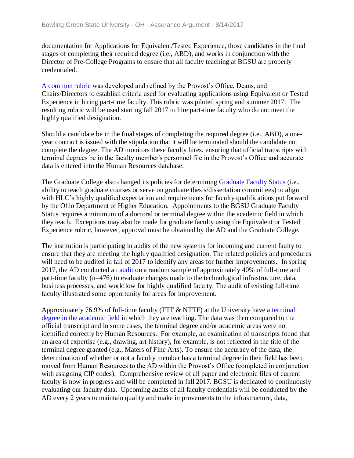documentation for Applications for Equivalent/Tested Experience, those candidates in the final stages of completing their required degree (i.e., ABD), and works in conjunction with the Director of Pre-College Programs to ensure that all faculty teaching at BGSU are properly credentialed.

[A common rubric w](../../evidence/viewfile?fileid=405304)as developed and refined by the Provost's Office, Deans, and Chairs/Directors to establish criteria used for evaluating applications using Equivalent or Tested Experience in hiring part-time faculty. This rubric was piloted spring and summer 2017. The resulting rubric will be used starting fall 2017 to hire part-time faculty who do not meet the highly qualified designation.

Should a candidate be in the final stages of completing the required degree (i.e., ABD), a oneyear contract is issued with the stipulation that it will be terminated should the candidate not complete the degree. The AD monitors these faculty hires, ensuring that official transcripts with terminal degrees be in the faculty member's personnel file in the Provost's Office and accurate data is entered into the Human Resources database.

The Graduate College also changed its policies for determining [Graduate Faculty Status \(](../../evidence/viewfile?fileid=405303)i.e., ability to teach graduate courses or serve on graduate thesis/dissertation committees) to align with HLC's highly qualified expectation and requirements for faculty qualifications put forward by the Ohio Department of Higher Education. Appointments to the BGSU Graduate Faculty Status requires a minimum of a doctoral or terminal degree within the academic field in which they teach. Exceptions may also be made for graduate faculty using the Equivalent or Tested Experience rubric, however, approval must be obtained by the AD and the Graduate College.

The institution is participating in audits of the new systems for incoming and current faulty to ensure that they are meeting the highly qualified designation. The related policies and procedures will need to be audited in fall of 2017 to identify any areas for further improvements. In spring 2017, the AD conducted an [audit](../../evidence/viewfile?fileId=405315) on a random sample of approximately 40% of full-time and part-time faculty (n=476) to evaluate changes made to the technological infrastructure, data, business processes, and workflow for highly qualified faculty. The audit of existing full-time faculty illustrated some opportunity for areas for improvement.

Approximately 76.9% of full-time faculty (TTF & NTTF) at the University have a [terminal](../../evidence/viewfile?fileId=402003)  [degree in the academic field](../../evidence/viewfile?fileId=402003) in which they are teaching. The data was then compared to the official transcript and in some cases, the terminal degree and/or academic areas were not identified correctly by Human Resources. For example, an examination of transcripts found that an area of expertise (e.g., drawing, art history), for example, is not reflected in the title of the terminal degree granted (e.g., Maters of Fine Arts). To ensure the accuracy of the data, the determination of whether or not a faculty member has a terminal degree in their field has been moved from Human Resources to the AD within the Provost's Office (completed in conjunction with assigning CIP codes). Comprehensive review of all paper and electronic files of current faculty is now in progress and will be completed in fall 2017. BGSU is dedicated to continuously evaluating our faculty data. Upcoming audits of all faculty credentials will be conducted by the AD every 2 years to maintain quality and make improvements to the infrastructure, data,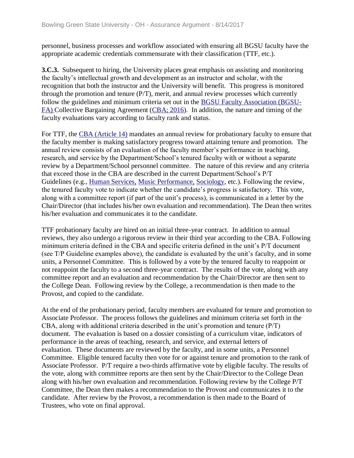personnel, business processes and workflow associated with ensuring all BGSU faculty have the appropriate academic credentials commensurate with their classification (TTF, etc.).

**3.C.3.** Subsequent to hiring, the University places great emphasis on assisting and monitoring the faculty's intellectual growth and development as an instructor and scholar, with the recognition that both the instructor and the University will benefit. This progress is monitored through the promotion and tenure (P/T), merit, and annual review processes which currently follow the guidelines and minimum criteria set out in the [BGSU Faculty Association \(BGSU-](../../evidence/viewfile?fileId=401779)[FA\) C](../../evidence/viewfile?fileId=401779)ollective Bargaining Agreement [\(CBA; 2016\)](../../evidence/viewfile?fileid=402005). In addition, the nature and timing of the faculty evaluations vary according to faculty rank and status.

For TTF, the [CBA \(Article 14\)](../../evidence/viewfile?fileid=405298) mandates an annual review for probationary faculty to ensure that the faculty member is making satisfactory progress toward attaining tenure and promotion. The annual review consists of an evaluation of the faculty member's performance in teaching, research, and service by the Department/School's tenured faculty with or without a separate review by a Department/School personnel committee. The nature of this review and any criteria that exceed those in the CBA are described in the current Department/School's P/T Guidelines (e.g., [Human Services,](../../evidence/viewfile?fileid=405289) [Music Performance,](../../evidence/viewfile?fileid=405287) [Sociology,](../../evidence/viewfile?fileid=405288) etc.). Following the review, the tenured faculty vote to indicate whether the candidate's progress is satisfactory. This vote, along with a committee report (if part of the unit's process), is communicated in a letter by the Chair/Director (that includes his/her own evaluation and recommendation). The Dean then writes his/her evaluation and communicates it to the candidate.

TTF probationary faculty are hired on an initial three-year contract. In addition to annual reviews, they also undergo a rigorous review in their third year according to the CBA. Following minimum criteria defined in the CBA and specific criteria defined in the unit's P/T document (see T/P Guideline examples above), the candidate is evaluated by the unit's faculty, and in some units, a Personnel Committee. This is followed by a vote by the tenured faculty to reappoint or not reappoint the faculty to a second three-year contract. The results of the vote, along with any committee report and an evaluation and recommendation by the Chair/Director are then sent to the College Dean. Following review by the College, a recommendation is then made to the Provost, and copied to the candidate.

At the end of the probationary period, faculty members are evaluated for tenure and promotion to Associate Professor. The process follows the guidelines and minimum criteria set forth in the CBA, along with additional criteria described in the unit's promotion and tenure (P/T) document. The evaluation is based on a dossier consisting of a curriculum vitae, indicators of performance in the areas of teaching, research, and service, and external letters of evaluation. These documents are reviewed by the faculty, and in some units, a Personnel Committee. Eligible tenured faculty then vote for or against tenure and promotion to the rank of Associate Professor. P/T require a two-thirds affirmative vote by eligible faculty. The results of the vote, along with committee reports are then sent by the Chair/Director to the College Dean along with his/her own evaluation and recommendation. Following review by the College P/T Committee, the Dean then makes a recommendation to the Provost and communicates it to the candidate. After review by the Provost, a recommendation is then made to the Board of Trustees, who vote on final approval.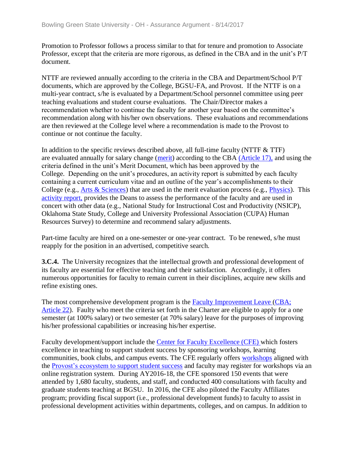Promotion to Professor follows a process similar to that for tenure and promotion to Associate Professor, except that the criteria are more rigorous, as defined in the CBA and in the unit's P/T document.

NTTF are reviewed annually according to the criteria in the CBA and Department/School P/T documents, which are approved by the College, BGSU-FA, and Provost. If the NTTF is on a multi-year contract, s/he is evaluated by a Department/School personnel committee using peer teaching evaluations and student course evaluations. The Chair/Director makes a recommendation whether to continue the faculty for another year based on the committee's recommendation along with his/her own observations. These evaluations and recommendations are then reviewed at the College level where a recommendation is made to the Provost to continue or not continue the faculty.

In addition to the specific reviews described above, all full-time faculty (NTTF & TTF) are evaluated annually for salary change [\(merit\)](../../evidence/viewfile?fileId=401996) according to the CBA [\(Article 17\),](../../evidence/viewfile?fileid=402009) and using the criteria defined in the unit's Merit Document, which has been approved by the College. Depending on the unit's procedures, an activity report is submitted by each faculty containing a current curriculum vitae and an outline of the year's accomplishments to their College (e.g., [Arts & Sciences\)](../../evidence/viewfile?fileId=401994) that are used in the merit evaluation process (e.g., [Physics\)](../../evidence/viewfile?fileId=401997). This [activity report,](../../evidence/viewfile?fileId=401994) provides the Deans to assess the performance of the faculty and are used in concert with other data (e.g., National Study for Instructional Cost and Productivity (NSICP), Oklahoma State Study, College and University Professional Association (CUPA) Human Resources Survey) to determine and recommend salary adjustments.

Part-time faculty are hired on a one-semester or one-year contract. To be renewed, s/he must reapply for the position in an advertised, competitive search.

**3.C.4.** The University recognizes that the intellectual growth and professional development of its faculty are essential for effective teaching and their satisfaction. Accordingly, it offers numerous opportunities for faculty to remain current in their disciplines, acquire new skills and refine existing ones.

The most comprehensive development program is the **Faculty Improvement Leave** (CBA; [Article 22\)](../../evidence/viewfile?fileid=405501). Faulty who meet the criteria set forth in the Charter are eligible to apply for a one semester (at 100% salary) or two semester (at 70% salary) leave for the purposes of improving his/her professional capabilities or increasing his/her expertise.

Faculty development/support include the [Center for Faculty Excellence \(CFE\) w](../../evidence/viewfile?fileId=401718)hich fosters excellence in teaching to support student success by sponsoring workshops, learning communities, book clubs, and campus events. The CFE regularly offers [workshops](../../evidence/viewfile?fileId=406323) aligned with the [Provost's ecosystem to](../../evidence/viewfile?fileId=406322) support student success and faculty may register for workshops via an online registration system. During AY2016-18, the CFE sponsored 150 events that were attended by 1,680 faculty, students, and staff, and conducted 400 consultations with faculty and graduate students teaching at BGSU. In 2016, the CFE also piloted the Faculty Affiliates program; providing fiscal support (i.e., professional development funds) to faculty to assist in professional development activities within departments, colleges, and on campus. In addition to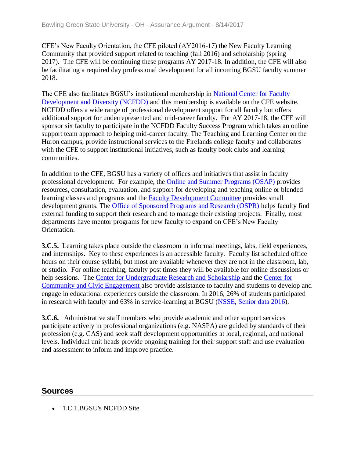CFE's New Faculty Orientation, the CFE piloted (AY2016-17) the New Faculty Learning Community that provided support related to teaching (fall 2016) and scholarship (spring 2017). The CFE will be continuing these programs AY 2017-18. In addition, the CFE will also be facilitating a required day professional development for all incoming BGSU faculty summer 2018.

The CFE also facilitates BGSU's institutional membership in [National Center for Faculty](../../evidence/viewfile?fileId=405306)  [Development and Diversity \(NCFDD\)](../../evidence/viewfile?fileId=405306) and this membership is available on the CFE website. NCFDD offers a wide range of professional development support for all faculty but offers additional support for underrepresented and mid-career faculty. For AY 2017-18, the CFE will sponsor six faculty to participate in the NCFDD Faculty Success Program which takes an online support team approach to helping mid-career faculty. The Teaching and Learning Center on the Huron campus, provide instructional services to the Firelands college faculty and collaborates with the CFE to support institutional initiatives, such as faculty book clubs and learning communities.

In addition to the CFE, BGSU has a variety of offices and initiatives that assist in faculty professional development. For example, the [Online and Summer Programs \(OSAP\)](../../evidence/viewfile?fileid=404971) provides resources, consultation, evaluation, and support for developing and teaching online or blended learning classes and programs and the [Faculty Development Committee](../../evidence/viewfile?fileId=405307) provides small development grants. The [Office of Sponsored Programs and Research \(OSPR\) h](../../evidence/viewfile?fileId=405271)elps faculty find external funding to support their research and to manage their existing projects. Finally, most departments have mentor programs for new faculty to expand on CFE's New Faculty Orientation.

**3.C.5.** Learning takes place outside the classroom in informal meetings, labs, field experiences, and internships. Key to these experiences is an accessible faculty. Faculty list scheduled office hours on their course syllabi, but most are available whenever they are not in the classroom, lab, or studio. For online teaching, faculty post times they will be available for online discussions or help sessions. The [Center for Undergraduate Research and Scholarship a](../../evidence/viewfile?fileId=405270)nd the [Center for](../../evidence/viewfile?fileId=402021)  [Community and Civic Engagement a](../../evidence/viewfile?fileId=402021)lso provide assistance to faculty and students to develop and engage in educational experiences outside the classroom. In 2016, 26% of students participated in research with faculty and 63% in service-learning at BGSU [\(NSSE, Senior data 2016\)](../../evidence/viewfile?fileid=402012).

**3.C.6.** Administrative staff members who provide academic and other support services participate actively in professional organizations (e.g. NASPA) are guided by standards of their profession (e.g. CAS) and seek staff development opportunities at local, regional, and national levels. Individual unit heads provide ongoing training for their support staff and use evaluation and assessment to inform and improve practice.

#### **Sources**

• 1.C.1.BGSU's NCFDD Site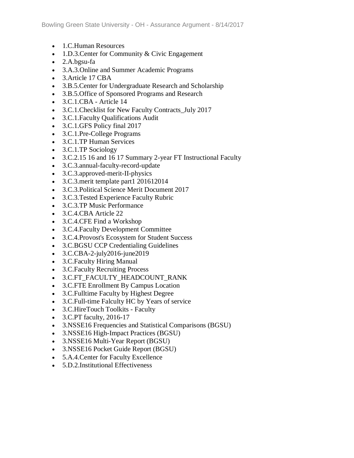- 1.C.Human Resources
- 1.D.3. Center for Community & Civic Engagement
- 2.A.bgsu-fa
- 3.A.3.Online and Summer Academic Programs
- 3. Article 17 CBA
- 3.B.5.Center for Undergraduate Research and Scholarship
- 3.B.5.Office of Sponsored Programs and Research
- 3.C.1.CBA Article 14
- 3.C.1. Checklist for New Faculty Contracts July 2017
- 3.C.1.Faculty Qualifications Audit
- 3.C.1.GFS Policy final 2017
- 3.C.1.Pre-College Programs
- 3.C.1.TP Human Services
- 3.C.1.TP Sociology
- 3.C.2.15 16 and 16 17 Summary 2-year FT Instructional Faculty
- 3.C.3.annual-faculty-record-update
- 3.C.3.approved-merit-II-physics
- 3.C.3.merit template part1 201612014
- 3.C.3.Political Science Merit Document 2017
- 3.C.3.Tested Experience Faculty Rubric
- 3.C.3.TP Music Performance
- 3.C.4.CBA Article 22
- 3.C.4.CFE Find a Workshop
- 3.C.4.Faculty Development Committee
- 3.C.4.Provost's Ecosystem for Student Success
- 3.C.BGSU CCP Credentialing Guidelines
- 3.C.CBA-2-july2016-june2019
- 3.C.Faculty Hiring Manual
- 3.C.Faculty Recruiting Process
- 3.C.FT\_FACULTY\_HEADCOUNT\_RANK
- 3.C.FTE Enrollment By Campus Location
- 3.C.Fulltime Faculty by Highest Degree
- 3.C.Full-time Falculty HC by Years of service
- 3.C.HireTouch Toolkits Faculty
- 3.C.PT faculty, 2016-17
- 3.NSSE16 Frequencies and Statistical Comparisons (BGSU)
- 3.NSSE16 High-Impact Practices (BGSU)
- 3.NSSE16 Multi-Year Report (BGSU)
- 3.NSSE16 Pocket Guide Report (BGSU)
- 5.A.4.Center for Faculty Excellence
- 5.D.2.Institutional Effectiveness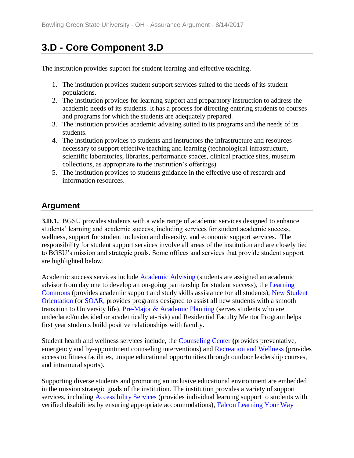# **3.D - Core Component 3.D**

The institution provides support for student learning and effective teaching.

- 1. The institution provides student support services suited to the needs of its student populations.
- 2. The institution provides for learning support and preparatory instruction to address the academic needs of its students. It has a process for directing entering students to courses and programs for which the students are adequately prepared.
- 3. The institution provides academic advising suited to its programs and the needs of its students.
- 4. The institution provides to students and instructors the infrastructure and resources necessary to support effective teaching and learning (technological infrastructure, scientific laboratories, libraries, performance spaces, clinical practice sites, museum collections, as appropriate to the institution's offerings).
- 5. The institution provides to students guidance in the effective use of research and information resources.

## **Argument**

**3.D.1.** BGSU provides students with a wide range of academic services designed to enhance students' learning and academic success, including services for student academic success, wellness, support for student inclusion and diversity, and economic support services. The responsibility for student support services involve all areas of the institution and are closely tied to BGSU's mission and strategic goals. Some offices and services that provide student support are highlighted below.

Academic success services include [Academic Advising](../../evidence/viewfile?fileId=405331) (students are assigned an academic advisor from day one to develop an on-going partnership for student success), the [Learning](../../evidence/viewfile?fileId=401759)  [Commons \(](../../evidence/viewfile?fileId=401759)provides academic support and study skills assistance for all students), [New Student](../../evidence/viewfile?fileId=405321)  [Orientation](../../evidence/viewfile?fileId=405321) (or [SOAR,](../../evidence/viewfile?fileId=405334) provides programs designed to assist all new students with a smooth transition to University life), [Pre-Major & Academic Planning](../../evidence/viewfile?fileId=405482) (serves students who are undeclared/undecided or academically at-risk) and Residential Faculty Mentor Program helps first year students build positive relationships with faculty.

Student health and wellness services include, the [Counseling Center](../../evidence/viewfile?fileId=401551) **(**provides preventative, emergency and by-appointment counseling interventions) and [Recreation and Wellness](../../evidence/viewfile?fileId=405323) (provides access to fitness facilities, unique educational opportunities through outdoor leadership courses, and intramural sports).

Supporting diverse students and promoting an inclusive educational environment are embedded in the mission strategic goals of the institution. The institution provides a variety of support services, including [Accessibility Services \(](../../evidence/viewfile?fileId=405324)provides individual learning support to students with verified disabilities by ensuring appropriate accommodations), [Falcon Learning Your Way](../../evidence/viewfile?fileId=405494)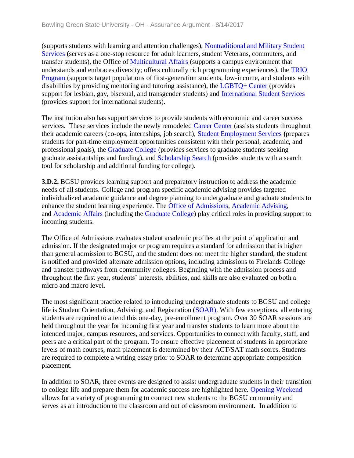(supports students with learning and attention challenges), [Nontraditional and Military Student](../../evidence/viewfile?fileId=405326)  [Services](../../evidence/viewfile?fileId=405326) **(**serves as a one-stop resource for adult learners, student Veterans, commuters, and transfer students), the Office of [Multicultural Affairs](../../evidence/viewfile?fileId=405327) (supports a campus environment that understands and embraces diversity; offers culturally rich programming experiences), the [TRIO](../../evidence/viewfile?fileId=405328)  [Program](../../evidence/viewfile?fileId=405328) (supports target populations of first-generation students, low-income, and students with disabilities by providing mentoring and tutoring assistance), the  $LGBTQ+Center$  (provides support for lesbian, gay, bisexual, and transgender students) and [International Student Services](../../evidence/viewfile?fileId=405352)  (provides support for international students).

The institution also has support services to provide students with economic and career success services. These services include the newly remodeled [Career Center](../../evidence/viewfile?fileId=405489) (assists students throughout their academic careers (co-ops, internships, job search), [Student Employment Services](../../evidence/viewfile?fileId=405473) **(**prepares students for part-time employment opportunities consistent with their personal, academic, and professional goals), the [Graduate College](../../evidence/viewfile?fileId=405471) (provides services to graduate students seeking graduate assistantships and funding), and [Scholarship Search](../../evidence/viewfile?fileId=405472) (provides students with a search tool for scholarship and additional funding for college).

**3.D.2.** BGSU provides learning support and preparatory instruction to address the academic needs of all students. College and program specific academic advising provides targeted individualized academic guidance and degree planning to undergraduate and graduate students to enhance the student learning experience. The [Office of Admissions,](../../evidence/viewfile?fileId=405330) [Academic Advising,](../../evidence/viewfile?fileId=405331) and [Academic Affairs](../../evidence/viewfile?fileId=405332) (including the [Graduate College\)](../../evidence/viewfile?fileId=405341) play critical roles in providing support to incoming students.

The Office of Admissions evaluates student academic profiles at the point of application and admission. If the designated major or program requires a standard for admission that is higher than general admission to BGSU, and the student does not meet the higher standard, the student is notified and provided alternate admission options, including admissions to Firelands College and transfer pathways from community colleges. Beginning with the admission process and throughout the first year, students' interests, abilities, and skills are also evaluated on both a micro and macro level.

The most significant practice related to introducing undergraduate students to BGSU and college life is Student Orientation, Advising, and Registration [\(SOAR\).](../../evidence/viewfile?fileid=405334) With few exceptions, all entering students are required to attend this one-day, pre-enrollment program. Over 30 SOAR sessions are held throughout the year for incoming first year and transfer students to learn more about the intended major, campus resources, and services. Opportunities to connect with faculty, staff, and peers are a critical part of the program. To ensure effective placement of students in appropriate levels of math courses, math placement is determined by their ACT/SAT math scores. Students are required to complete a writing essay prior to SOAR to determine appropriate composition placement.

In addition to SOAR, three events are designed to assist undergraduate students in their transition to college life and prepare them for academic success are highlighted here. [Opening Weekend](../../evidence/viewfile?fileid=405492)  allows for a variety of programming to connect new students to the BGSU community and serves as an introduction to the classroom and out of classroom environment. In addition to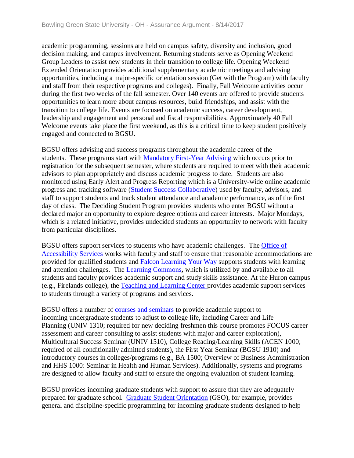academic programming, sessions are held on campus safety, diversity and inclusion, good decision making, and campus involvement. Returning students serve as Opening Weekend Group Leaders to assist new students in their transition to college life. Opening Weekend Extended Orientation provides additional supplementary academic meetings and advising opportunities, including a major-specific orientation session (Get with the Program) with faculty and staff from their respective programs and colleges). Finally, Fall Welcome activities occur during the first two weeks of the fall semester. Over 140 events are offered to provide students opportunities to learn more about campus resources, build friendships, and assist with the transition to college life. Events are focused on academic success, career development, leadership and engagement and personal and fiscal responsibilities. Approximately 40 Fall Welcome events take place the first weekend, as this is a critical time to keep student positively engaged and connected to BGSU.

BGSU offers advising and success programs throughout the academic career of the students. These programs start with [Mandatory First-Year Advising](../../evidence/viewfile?fileid=405477) which occurs prior to registration for the subsequent semester, where students are required to meet with their academic advisors to plan appropriately and discuss academic progress to date. Students are also monitored using Early Alert and Progress Reporting which is a University-wide online academic progress and tracking software [\(Student Success Collaborative\)](../../evidence/viewfile?fileid=405335) used by faculty, advisors, and staff to support students and track student attendance and academic performance, as of the first day of class. The Deciding Student Program provides students who enter BGSU without a declared major an opportunity to explore degree options and career interests. Major Mondays, which is a related initiative, provides undecided students an opportunity to network with faculty from particular disciplines.

BGSU offers support services to students who have academic challenges. The [Office of](../../evidence/viewfile?fileid=405324)  [Accessibility Services](../../evidence/viewfile?fileid=405324) works with faculty and staff to ensure that reasonable accommodations are provided for qualified students and [Falcon Learning Your Way s](../../evidence/viewfile?fileid=405494)upports students with learning and attention challenges. The [Learning Commons](../../evidence/viewfile?fileid=405319)**,** which is utilized by and available to all students and faculty provides academic support and study skills assistance. At the Huron campus (e.g., Firelands college), the [Teaching and Learning Center p](../../evidence/viewfile?fileid=405474)rovides academic support services to students through a variety of programs and services.

BGSU offers a number of [courses and seminars](https://csspublic.bgsu.edu/psc/ps/EMPLOYEE/HRMS/c/COMMUNITY_ACCESS.SSS_BROWSE_CATLG.GBL) to provide academic support to incoming undergraduate students to adjust to college life, including Career and Life Planning (UNIV 1310; required for new deciding freshmen this course promotes FOCUS career assessment and career consulting to assist students with major and career exploration), Multicultural Success Seminar (UNIV 1510), College Reading/Learning Skills (ACEN 1000; required of all conditionally admitted students), the First Year Seminar (BGSU 1910) and introductory courses in colleges/programs (e.g., BA 1500; Overview of Business Administration and HHS 1000: Seminar in Health and Human Services). Additionally, systems and programs are designed to allow faculty and staff to ensure the ongoing evaluation of student learning.

BGSU provides incoming graduate students with support to assure that they are adequately prepared for graduate school. [Graduate Student Orientation](../../evidence/viewfile?fileid=405339) (GSO), for example, provides general and discipline-specific programming for incoming graduate students designed to help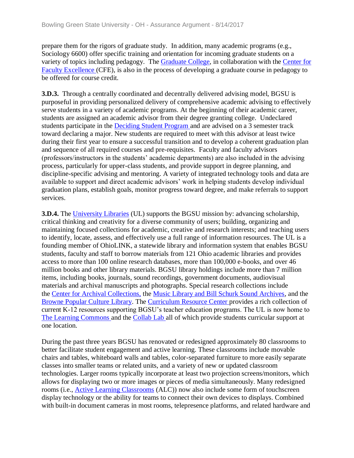prepare them for the rigors of graduate study. In addition, many academic programs (e.g., Sociology 6600) offer specific training and orientation for incoming graduate students on a variety of topics including pedagogy. The [Graduate College,](../../evidence/viewfile?fileid=405341) in collaboration with the [Center for](../../evidence/viewfile?fileid=405342)  [Faculty Excellence \(](../../evidence/viewfile?fileid=405342)CFE), is also in the process of developing a graduate course in pedagogy to be offered for course credit.

**3.D.3.** Through a centrally coordinated and decentrally delivered advising model, BGSU is purposeful in providing personalized delivery of comprehensive academic advising to effectively serve students in a variety of academic programs. At the beginning of their academic career, students are assigned an academic advisor from their degree granting college. Undeclared students participate in the [Deciding Student Program a](../../evidence/viewfile?fileid=405475)nd are advised on a 3 semester track toward declaring a major. New students are required to meet with this advisor at least twice during their first year to ensure a successful transition and to develop a coherent graduation plan and sequence of all required courses and pre-requisites. Faculty and faculty advisors (professors/instructors in the students' academic departments) are also included in the advising process, particularly for upper-class students, and provide support in degree planning, and discipline-specific advising and mentoring. A variety of integrated technology tools and data are available to support and direct academic advisors' work in helping students develop individual graduation plans, establish goals, monitor progress toward degree, and make referrals to support services.

**3.D.4.** The [University Libraries](../../evidence/viewfile?fileid=405737) (UL) supports the BGSU mission by: advancing scholarship, critical thinking and creativity for a diverse community of users; building, organizing and maintaining focused collections for academic, creative and research interests; and teaching users to identify, locate, assess, and effectively use a full range of information resources. The UL is a founding member of OhioLINK, a statewide library and information system that enables BGSU students, faculty and staff to borrow materials from 121 Ohio academic libraries and provides access to more than 100 online research databases, more than 100,000 e-books, and over 46 million books and other library materials. BGSU library holdings include more than 7 million items, including books, journals, sound recordings, government documents, audiovisual materials and archival manuscripts and photographs. Special research collections include the [Center for Archival Collections,](../../evidence/viewfile?fileid=405478) the [Music Library and Bill Schurk Sound Archives,](../../evidence/viewfile?fileid=405480) and the [Browne Popular Culture Library.](../../evidence/viewfile?fileid=405479) The [Curriculum Resource Center p](../../evidence/viewfile?fileid=405481)rovides a rich collection of current K-12 resources supporting BGSU's teacher education programs. The UL is now home to [The Learning Commons a](../../evidence/viewfile?fileid=405319)nd the [Collab Lab a](../../evidence/viewfile?fileid=405493)ll of which provide students curricular support at one location.

During the past three years BGSU has renovated or redesigned approximately 80 classrooms to better facilitate student engagement and active learning. These classrooms include movable chairs and tables, whiteboard walls and tables, color-separated furniture to more easily separate classes into smaller teams or related units, and a variety of new or updated classroom technologies. Larger rooms typically incorporate at least two projection screens/monitors, which allows for displaying two or more images or pieces of media simultaneously. Many redesigned rooms (i.e., [Active Learning Classrooms](../../evidence/viewfile?fileid=405483) (ALC)) now also include some form of touchscreen display technology or the ability for teams to connect their own devices to displays. Combined with built-in document cameras in most rooms, telepresence platforms, and related hardware and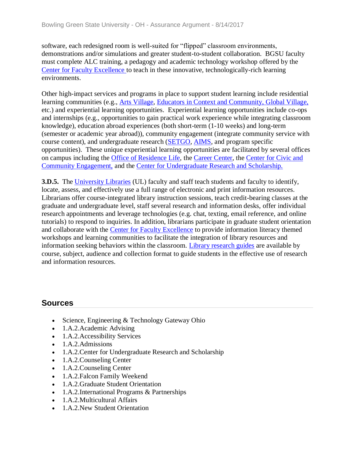software, each redesigned room is well-suited for "flipped" classroom environments, demonstrations and/or simulations and greater student-to-student collaboration. BGSU faculty must complete ALC training, a pedagogy and academic technology workshop offered by the [Center for Faculty Excellence t](../../evidence/viewfile?fileid=405342)o teach in these innovative, technologically-rich learning environments.

Other high-impact services and programs in place to support student learning include residential learning communities (e.g., [Arts Village,](../../evidence/viewfile?fileid=405490) [Educators in Context and Community,](../../evidence/viewfile?fileid=405484) [Global Village,](../../evidence/viewfile?fileid=405344) etc.) and experiential learning opportunities. Experiential learning opportunities include co-ops and internships (e.g., opportunities to gain practical work experience while integrating classroom knowledge), education abroad experiences (both short-term (1-10 weeks) and long-term (semester or academic year abroad)), community engagement (integrate community service with course content), and undergraduate research [\(SETGO,](../../evidence/viewfile?fileid=405488) [AIMS,](../../evidence/viewfile?fileid=405351) and program specific opportunities). These unique experiential learning opportunities are facilitated by several offices on campus including the [Office of Residence Life,](../../evidence/viewfile?fileid=405486) the [Career Center,](../../evidence/viewfile?fileid=405489) the [Center for Civic and](../../evidence/viewfile?fileId=403048)  [Community Engagement,](../../evidence/viewfile?fileId=403048) and the [Center for Undergraduate Research and Scholarship.](../../evidence/viewfile?fileId=401544)

**3.D.5.** The [University Libraries](../../evidence/viewfile?fileId=405737) (UL) faculty and staff teach students and faculty to identify, locate, assess, and effectively use a full range of electronic and print information resources. Librarians offer course-integrated library instruction sessions, teach credit-bearing classes at the graduate and undergraduate level, staff several research and information desks, offer individual research appointments and leverage technologies (e.g. chat, texting, email reference, and online tutorials) to respond to inquiries. In addition, librarians participate in graduate student orientation and collaborate with the [Center for Faculty Excellence](../../evidence/viewfile?fileId=401718) to provide information literacy themed workshops and learning communities to facilitate the integration of library resources and information seeking behaviors within the classroom. [Library research guides](../../evidence/viewfile?fileId=405931) are available by course, subject, audience and collection format to guide students in the effective use of research and information resources.

## **Sources**

- Science, Engineering & Technology Gateway Ohio
- 1.A.2.Academic Advising
- 1.A.2. Accessibility Services
- 1.A.2.Admissions
- 1.A.2. Center for Undergraduate Research and Scholarship
- 1.A.2. Counseling Center
- 1.A.2. Counseling Center
- 1.A.2.Falcon Family Weekend
- 1.A.2.Graduate Student Orientation
- 1.A.2.International Programs & Partnerships
- 1.A.2.Multicultural Affairs
- 1.A.2.New Student Orientation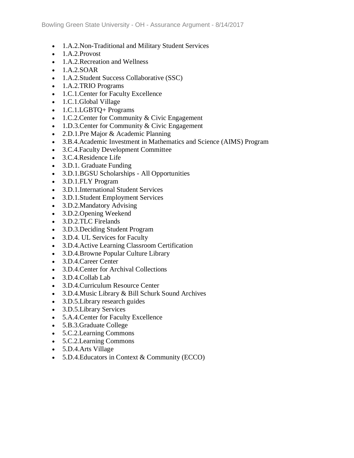- 1.A.2.Non-Traditional and Military Student Services
- $\bullet$  1.A.2.Provost
- 1.A.2. Recreation and Wellness
- $\bullet$  1.A.2.SOAR
- 1.A.2.Student Success Collaborative (SSC)
- 1.A.2.TRIO Programs
- 1.C.1. Center for Faculty Excellence
- 1.C.1.Global Village
- 1.C.1.LGBTQ+ Programs
- 1.C.2. Center for Community & Civic Engagement
- 1.D.3. Center for Community & Civic Engagement
- 2.D.1.Pre Major & Academic Planning
- 3.B.4.Academic Investment in Mathematics and Science (AIMS) Program
- 3.C.4.Faculty Development Committee
- 3.C.4.Residence Life
- 3.D.1. Graduate Funding
- 3.D.1.BGSU Scholarships All Opportunities
- 3.D.1.FLY Program
- 3.D.1.International Student Services
- 3.D.1.Student Employment Services
- 3.D.2.Mandatory Advising
- 3.D.2.Opening Weekend
- 3.D.2.TLC Firelands
- 3.D.3.Deciding Student Program
- 3.D.4. UL Services for Faculty
- 3.D.4.Active Learning Classroom Certification
- 3.D.4.Browne Popular Culture Library
- 3.D.4.Career Center
- 3.D.4.Center for Archival Collections
- 3.D.4.Collab Lab
- 3.D.4.Curriculum Resource Center
- 3.D.4.Music Library & Bill Schurk Sound Archives
- 3.D.5. Library research guides
- 3.D.5.Library Services
- 5.A.4.Center for Faculty Excellence
- 5.B.3.Graduate College
- 5.C.2.Learning Commons
- 5.C.2.Learning Commons
- 5.D.4.Arts Village
- 5.D.4.Educators in Context & Community (ECCO)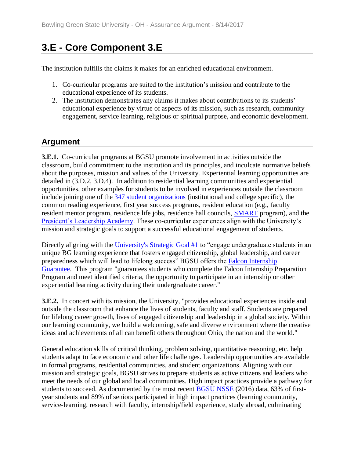# **3.E - Core Component 3.E**

The institution fulfills the claims it makes for an enriched educational environment.

- 1. Co-curricular programs are suited to the institution's mission and contribute to the educational experience of its students.
- 2. The institution demonstrates any claims it makes about contributions to its students' educational experience by virtue of aspects of its mission, such as research, community engagement, service learning, religious or spiritual purpose, and economic development.

### **Argument**

**3.E.1.** Co-curricular programs at BGSU promote involvement in activities outside the classroom, build commitment to the institution and its principles, and inculcate normative beliefs about the purposes, mission and values of the University. Experiential learning opportunities are detailed in (3.D.2, 3.D.4). In addition to residential learning communities and experiential opportunities, other examples for students to be involved in experiences outside the classroom include joining one of the [347 student organizations](../../evidence/viewfile?fileId=405740) (institutional and college specific), the common reading experience, first year success programs, resident education (e.g., faculty resident mentor program, residence life jobs, residence hall councils, [SMART](../../evidence/viewfile?fileid=405466) program), and the [President's Leadership Academy.](../../evidence/viewfile?fileid=405468) These co-curricular experiences align with the University's mission and strategic goals to support a successful educational engagement of students.

Directly aligning with the [University's Strategic Goal #1 t](../../evidence/viewfile?fileid=403010)o "engage undergraduate students in an unique BG learning experience that fosters engaged citizenship, global leadership, and career preparedness which will lead to lifelong success" BGSU offers the [Falcon Internship](../../evidence/viewfile?fileid=405467)  [Guarantee.](../../evidence/viewfile?fileid=405467) This program "guarantees students who complete the Falcon Internship Preparation Program and meet identified criteria, the opportunity to participate in an internship or other experiential learning activity during their undergraduate career."

**3.E.2.** In concert with its mission, the University, "provides educational experiences inside and outside the classroom that enhance the lives of students, faculty and staff. Students are prepared for lifelong career growth, lives of engaged citizenship and leadership in a global society. Within our learning community, we build a welcoming, safe and diverse environment where the creative ideas and achievements of all can benefit others throughout Ohio, the nation and the world."

General education skills of critical thinking, problem solving, quantitative reasoning, etc. help students adapt to face economic and other life challenges. Leadership opportunities are available in formal programs, residential communities, and student organizations. Aligning with our mission and strategic goals, BGSU strives to prepare students as active citizens and leaders who meet the needs of our global and local communities. High impact practices provide a pathway for students to succeed. As documented by the most recent [BGSU NSSE](../../evidence/viewfile?fileId=402012) (2016) data, 63% of firstyear students and 89% of seniors participated in high impact practices (learning community, service-learning, research with faculty, internship/field experience, study abroad, culminating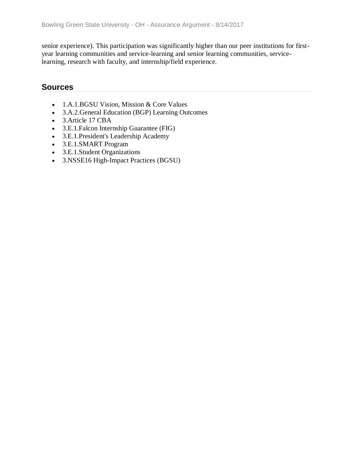senior experience). This participation was significantly higher than our peer institutions for firstyear learning communities and service-learning and senior learning communities, servicelearning, research with faculty, and internship/field experience.

#### **Sources**

- 1.A.1.BGSU Vision, Mission & Core Values
- 3.A.2.General Education (BGP) Learning Outcomes
- 3.Article 17 CBA
- 3.E.1.Falcon Internship Guarantee (FIG)
- 3.E.1.President's Leadership Academy
- 3.E.1.SMART Program
- 3.E.1.Student Organizations
- 3.NSSE16 High-Impact Practices (BGSU)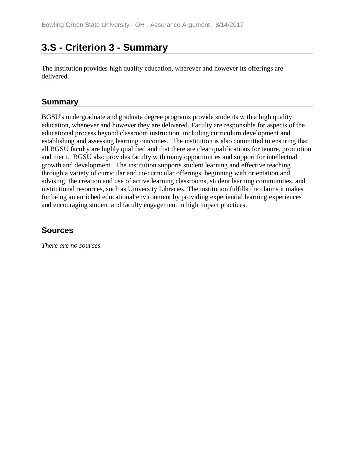## **3.S - Criterion 3 - Summary**

The institution provides high quality education, wherever and however its offerings are delivered.

#### **Summary**

BGSU's undergraduate and graduate degree programs provide students with a high quality education, whenever and however they are delivered. Faculty are responsible for aspects of the educational process beyond classroom instruction, including curriculum development and establishing and assessing learning outcomes. The institution is also committed to ensuring that all BGSU faculty are highly qualified and that there are clear qualifications for tenure, promotion and merit. BGSU also provides faculty with many opportunities and support for intellectual growth and development. The institution supports student learning and effective teaching through a variety of curricular and co-curricular offerings, beginning with orientation and advising, the creation and use of active learning classrooms, student learning communities, and institutional resources, such as University Libraries. The institution fulfills the claims it makes for being an enriched educational environment by providing experiential learning experiences and encouraging student and faculty engagement in high impact practices.

#### **Sources**

*There are no sources.*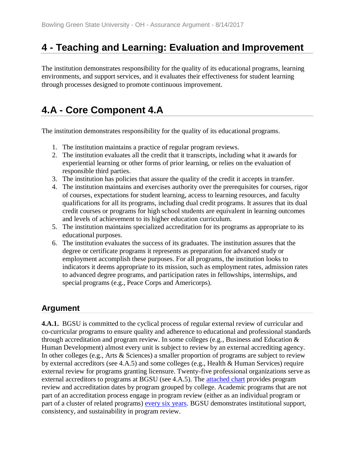## **4 - Teaching and Learning: Evaluation and Improvement**

The institution demonstrates responsibility for the quality of its educational programs, learning environments, and support services, and it evaluates their effectiveness for student learning through processes designed to promote continuous improvement.

## **4.A - Core Component 4.A**

The institution demonstrates responsibility for the quality of its educational programs.

- 1. The institution maintains a practice of regular program reviews.
- 2. The institution evaluates all the credit that it transcripts, including what it awards for experiential learning or other forms of prior learning, or relies on the evaluation of responsible third parties.
- 3. The institution has policies that assure the quality of the credit it accepts in transfer.
- 4. The institution maintains and exercises authority over the prerequisites for courses, rigor of courses, expectations for student learning, access to learning resources, and faculty qualifications for all its programs, including dual credit programs. It assures that its dual credit courses or programs for high school students are equivalent in learning outcomes and levels of achievement to its higher education curriculum.
- 5. The institution maintains specialized accreditation for its programs as appropriate to its educational purposes.
- 6. The institution evaluates the success of its graduates. The institution assures that the degree or certificate programs it represents as preparation for advanced study or employment accomplish these purposes. For all programs, the institution looks to indicators it deems appropriate to its mission, such as employment rates, admission rates to advanced degree programs, and participation rates in fellowships, internships, and special programs (e.g., Peace Corps and Americorps).

## **Argument**

**4.A.1.** BGSU is committed to the cyclical process of regular external review of curricular and co-curricular programs to ensure quality and adherence to educational and professional standards through accreditation and program review. In some colleges (e.g., Business and Education & Human Development) almost every unit is subject to review by an external accrediting agency. In other colleges (e.g., Arts & Sciences) a smaller proportion of programs are subject to review by external accreditors (see 4.A.5) and some colleges (e.g., Health & Human Services) require external review for programs granting licensure. Twenty-five professional organizations serve as external accreditors to programs at BGSU (see 4.A.5). The [attached chart](../../evidence/viewfile?fileId=401601) provides program review and accreditation dates by program grouped by college. Academic programs that are not part of an accreditation process engage in program review (either as an individual program or part of a cluster of related programs) [every six years.](../../evidence/viewfile?fileid=401604) BGSU demonstrates institutional support, consistency, and sustainability in program review.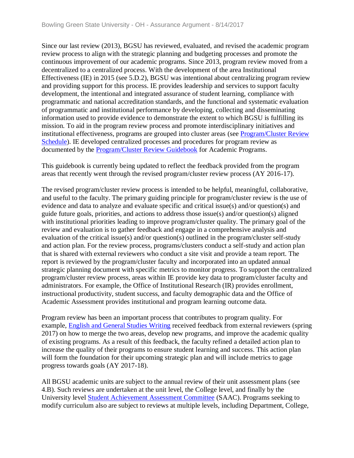Since our last review (2013), BGSU has reviewed, evaluated, and revised the academic program review process to align with the strategic planning and budgeting processes and promote the continuous improvement of our academic programs. Since 2013, program review moved from a decentralized to a centralized process. With the development of the area Institutional Effectiveness (IE) in 2015 (see 5.D.2), BGSU was intentional about centralizing program review and providing support for this process. IE provides leadership and services to support faculty development, the intentional and integrated assurance of student learning, compliance with programmatic and national accreditation standards, and the functional and systematic evaluation of programmatic and institutional performance by developing, collecting and disseminating information used to provide evidence to demonstrate the extent to which BGSU is fulfilling its mission. To aid in the program review process and promote interdisciplinary initiatives and institutional effectiveness, programs are grouped into cluster areas (see [Program/Cluster Review](../../evidence/viewfile?fileid=401604)  [Schedule\)](../../evidence/viewfile?fileid=401604). IE developed centralized processes and procedures for program review as documented by the [Program/Cluster Review Guidebook](../../evidence/viewfile?fileId=401608) for Academic Programs.

This guidebook is currently being updated to reflect the feedback provided from the program areas that recently went through the revised program/cluster review process (AY 2016-17).

The revised program/cluster review process is intended to be helpful, meaningful, collaborative, and useful to the faculty. The primary guiding principle for program/cluster review is the use of evidence and data to analyze and evaluate specific and critical issue(s) and/or question(s) and guide future goals, priorities, and actions to address those issue(s) and/or question(s) aligned with institutional priorities leading to improve program/cluster quality. The primary goal of the review and evaluation is to gather feedback and engage in a comprehensive analysis and evaluation of the critical issue(s) and/or question(s) outlined in the program/cluster self-study and action plan. For the review process, programs/clusters conduct a self-study and action plan that is shared with external reviewers who conduct a site visit and provide a team report. The report is reviewed by the program/cluster faculty and incorporated into an updated annual strategic planning document with specific metrics to monitor progress. To support the centralized program/cluster review process, areas within IE provide key data to program/cluster faculty and administrators. For example, the Office of Institutional Research (IR) provides enrollment, instructional productivity, student success, and faculty demographic data and the Office of Academic Assessment provides institutional and program learning outcome data.

Program review has been an important process that contributes to program quality. For example, [English and General Studies Writing](../../evidence/viewfile?fileId=402962) received feedback from external reviewers (spring 2017) on how to merge the two areas, develop new programs, and improve the academic quality of existing programs. As a result of this feedback, the faculty refined a detailed action plan to increase the quality of their programs to ensure student learning and success. This action plan will form the foundation for their upcoming strategic plan and will include metrics to gage progress towards goals (AY 2017-18).

All BGSU academic units are subject to the annual review of their unit assessment plans (see 4.B). Such reviews are undertaken at the unit level, the College level, and finally by the University level [Student Achievement Assessment Committee](../../evidence/viewfile?fileId=401607) (SAAC). Programs seeking to modify curriculum also are subject to reviews at multiple levels, including Department, College,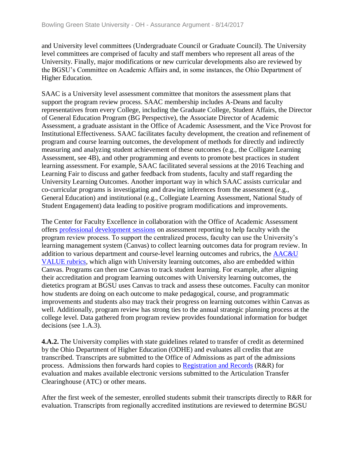and University level committees (Undergraduate Council or Graduate Council). The University level committees are comprised of faculty and staff members who represent all areas of the University. Finally, major modifications or new curricular developments also are reviewed by the BGSU's Committee on Academic Affairs and, in some instances, the Ohio Department of Higher Education.

SAAC is a University level assessment committee that monitors the assessment plans that support the program review process. SAAC membership includes A-Deans and faculty representatives from every College, including the Graduate College, Student Affairs, the Director of General Education Program (BG Perspective), the Associate Director of Academic Assessment, a graduate assistant in the Office of Academic Assessment, and the Vice Provost for Institutional Effectiveness. SAAC facilitates faculty development, the creation and refinement of program and course learning outcomes, the development of methods for directly and indirectly measuring and analyzing student achievement of these outcomes (e.g., the Colligate Learning Assessment, see 4B), and other programming and events to promote best practices in student learning assessment. For example, SAAC facilitated several sessions at the 2016 Teaching and Learning Fair to discuss and gather feedback from students, faculty and staff regarding the University Learning Outcomes. Another important way in which SAAC assists curricular and co-curricular programs is investigating and drawing inferences from the assessment (e.g., General Education) and institutional (e.g., Collegiate Learning Assessment, National Study of Student Engagement) data leading to positive program modifications and improvements.

The Center for Faculty Excellence in collaboration with the Office of Academic Assessment offers [professional development sessions](../../evidence/viewfile?fileid=401602) on assessment reporting to help faculty with the program review process. To support the centralized process, faculty can use the University's learning management system (Canvas) to collect learning outcomes data for program review. In addition to various department and course-level learning outcomes and rubrics, the [AAC&U](../../evidence/viewfile?fileid=401603)  [VALUE rubrics,](../../evidence/viewfile?fileid=401603) which align with University learning outcomes, also are embedded within Canvas. Programs can then use Canvas to track student learning. For example, after aligning their accreditation and program learning outcomes with University learning outcomes, the dietetics program at BGSU uses Canvas to track and assess these outcomes. Faculty can monitor how students are doing on each outcome to make pedagogical, course, and programmatic improvements and students also may track their progress on learning outcomes within Canvas as well. Additionally, program review has strong ties to the annual strategic planning process at the college level. Data gathered from program review provides foundational information for budget decisions (see 1.A.3).

**4.A.2.** The University complies with state guidelines related to transfer of credit as determined by the Ohio Department of Higher Education (ODHE) and evaluates all credits that are transcribed. Transcripts are submitted to the Office of Admissions as part of the admissions process. Admissions then forwards hard copies to [Registration and](../../evidence/viewfile?fileid=401821) Records (R&R) for evaluation and makes available electronic versions submitted to the Articulation Transfer Clearinghouse (ATC) or other means.

After the first week of the semester, enrolled students submit their transcripts directly to R&R for evaluation. Transcripts from regionally accredited institutions are reviewed to determine BGSU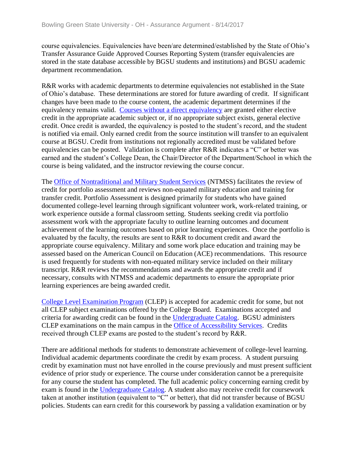course equivalencies. Equivalencies have been/are determined/established by the State of Ohio's Transfer Assurance Guide Approved Courses Reporting System (transfer equivalencies are stored in the state database accessible by BGSU students and institutions) and BGSU academic department recommendation.

R&R works with academic departments to determine equivalencies not established in the State of Ohio's database. These determinations are stored for future awarding of credit. If significant changes have been made to the course content, the academic department determines if the equivalency remains valid. [Courses without a direct equivalency](../../evidence/viewfile?fileid=401611) are granted either elective credit in the appropriate academic subject or, if no appropriate subject exists, general elective credit. Once credit is awarded, the equivalency is posted to the student's record, and the student is notified via email. Only earned credit from the source institution will transfer to an equivalent course at BGSU. Credit from institutions not regionally accredited must be validated before equivalencies can be posted. Validation is complete after R&R indicates a "C" or better was earned and the student's College Dean, the Chair/Director of the Department/School in which the course is being validated, and the instructor reviewing the course concur.

The [Office of Nontraditional and Military Student Services](../../evidence/viewfile?fileid=401558) (NTMSS) facilitates the review of credit for portfolio assessment and reviews non-equated military education and training for transfer credit. Portfolio Assessment is designed primarily for students who have gained documented college-level learning through significant volunteer work, work-related training, or work experience outside a formal classroom setting. Students seeking credit via portfolio assessment work with the appropriate faculty to outline learning outcomes and document achievement of the learning outcomes based on prior learning experiences. Once the portfolio is evaluated by the faculty, the results are sent to R&R to document credit and award the appropriate course equivalency. Military and some work place education and training may be assessed based on the American Council on Education (ACE) recommendations. This resource is used frequently for students with non-equated military service included on their military transcript. R&R reviews the recommendations and awards the appropriate credit and if necessary, consults with NTMSS and academic departments to ensure the appropriate prior learning experiences are being awarded credit.

[College Level Examination Program](../../evidence/viewfile?fileId=401605) (CLEP) is accepted for academic credit for some, but not all CLEP subject examinations offered by the College Board. Examinations accepted and criteria for awarding credit can be found in the [Undergraduate Catalog.](../../evidence/viewfile?fileid=401606) BGSU administers CLEP examinations on the main campus in the [Office of Accessibility Services.](../../evidence/viewfile?fileid=401543) Credits received through CLEP exams are posted to the student's record by R&R.

There are additional methods for students to demonstrate achievement of college-level learning. Individual academic departments coordinate the credit by exam process. A student pursuing credit by examination must not have enrolled in the course previously and must present sufficient evidence of prior study or experience. The course under consideration cannot be a prerequisite for any course the student has completed. The full academic policy concerning earning credit by exam is found in the [Undergraduate Catalog.](../../evidence/viewfile?fileId=401606) A student also may receive credit for coursework taken at another institution (equivalent to "C" or better), that did not transfer because of BGSU policies. Students can earn credit for this coursework by passing a validation examination or by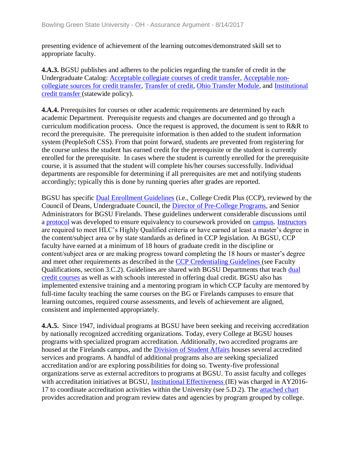presenting evidence of achievement of the learning outcomes/demonstrated skill set to appropriate faculty.

**4.A.3.** BGSU publishes and adheres to the policies regarding the transfer of credit in the Undergraduate Catalog: [Acceptable collegiate courses of credit transfer,](../../evidence/viewfile?fileid=401615) [Acceptable non](../../evidence/viewfile?fileId=401609)[collegiate sources for credit transfer,](../../evidence/viewfile?fileId=401609) [Transfer of credit,](../../evidence/viewfile?fileId=402953) [Ohio Transfer Module,](../../evidence/viewfile?fileId=401619) and [Institutional](../../evidence/viewfile?fileId=401612)  [credit transfer \(](../../evidence/viewfile?fileId=401612)statewide policy).

**4.A.4.** Prerequisites for courses or other academic requirements are determined by each academic Department. Prerequisite requests and changes are documented and go through a curriculum modification process. Once the request is approved, the document is sent to R&R to record the prerequisite. The prerequisite information is then added to the student information system (PeopleSoft CSS). From that point forward, students are prevented from registering for the course unless the student has earned credit for the prerequisite or the student is currently enrolled for the prerequisite. In cases where the student is currently enrolled for the prerequisite course, it is assumed that the student will complete his/her courses successfully. Individual departments are responsible for determining if all prerequisites are met and notifying students accordingly; typically this is done by running queries after grades are reported.

BGSU has specific [Dual Enrollment Guidelines](../../evidence/viewfile?fileId=401613) (i.e., College Credit Plus (CCP), reviewed by the Council of Deans, Undergraduate Council, the [Director of Pre-College Programs,](../../evidence/viewfile?fileid=405302) and Senior Administrators for BGSU Firelands. These guidelines underwent considerable discussions until a [protocol](../../evidence/viewfile?fileid=401618) was developed to ensure equivalency to coursework provided on [campus.](../../evidence/viewfile?fileid=401610) [Instructors](../../evidence/viewfile?fileid=401616) are required to meet HLC's Highly Qualified criteria or have earned at least a master's degree in the content/subject area or by state standards as defined in CCP legislation. At BGSU, CCP faculty have earned at a minimum of 18 hours of graduate credit in the discipline or content/subject area or are making progress toward completing the 18 hours or master's degree and meet other requirements as described in the [CCP Credentialing](../../evidence/viewfile?fileid=401995) [Guidelines \(](../../evidence/viewfile?fileid=401995)see Faculty Qualifications, section 3.C.2). Guidelines are shared with BGSU Departments that teach [dual](../../evidence/viewfile?fileid=401624)  [credit courses](../../evidence/viewfile?fileid=401624) as well as with schools interested in offering dual credit. BGSU also has implemented extensive training and a mentoring program in which CCP faculty are mentored by full-time faculty teaching the same courses on the BG or Firelands campuses to ensure that learning outcomes, required course assessments, and levels of achievement are aligned, consistent and implemented appropriately.

**4.A.5.** Since 1947, individual programs at BGSU have been seeking and receiving accreditation by nationally recognized accrediting organizations. Today, every College at BGSU houses programs with specialized program accreditation. Additionally, two accredited programs are housed at the Firelands campus, and the [Division of Student Affairs](../../evidence/viewfile?fileid=401832) houses several accredited services and programs. A handful of additional programs also are seeking specialized accreditation and/or are exploring possibilities for doing so. Twenty-five professional organizations serve as external accreditors to programs at BGSU. To assist faculty and colleges with accreditation initiatives at BGSU, **Institutional Effectiveness** (IE) was charged in AY2016-17 to coordinate accreditation activities within the University (see 5.D.2). The [attached chart](../../evidence/viewfile?fileId=401617)  provides accreditation and program review dates and agencies by program grouped by college.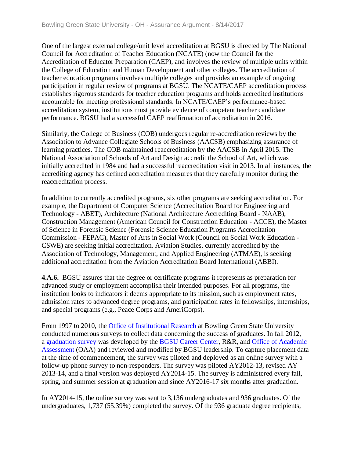One of the largest external college/unit level accreditation at BGSU is directed by The National Council for Accreditation of Teacher Education (NCATE) (now the Council for the Accreditation of Educator Preparation (CAEP), and involves the review of multiple units within the College of Education and Human Development and other colleges. The accreditation of teacher education programs involves multiple colleges and provides an example of ongoing participation in regular review of programs at BGSU. The NCATE/CAEP accreditation process establishes rigorous standards for teacher education programs and holds accredited institutions accountable for meeting professional standards. In NCATE/CAEP's performance-based accreditation system, institutions must provide evidence of competent teacher candidate performance. BGSU had a successful CAEP reaffirmation of accreditation in 2016.

Similarly, the College of Business (COB) undergoes regular re-accreditation reviews by the Association to Advance Collegiate Schools of Business (AACSB) emphasizing assurance of learning practices. The COB maintained reaccreditation by the AACSB in April 2015. The National Association of Schools of Art and Design accredit the School of Art, which was initially accredited in 1984 and had a successful reaccreditation visit in 2013. In all instances, the accrediting agency has defined accreditation measures that they carefully monitor during the reaccreditation process.

In addition to currently accredited programs, six other programs are seeking accreditation. For example, the Department of Computer Science (Accreditation Board for Engineering and Technology - ABET), Architecture (National Architecture Accrediting Board - NAAB), Construction Management (American Council for Construction Education - ACCE), the Master of Science in Forensic Science (Forensic Science Education Programs Accreditation Commission - FEPAC), Master of Arts in Social Work (Council on Social Work Education - CSWE) are seeking initial accreditation. Aviation Studies, currently accredited by the Association of Technology, Management, and Applied Engineering (ATMAE), is seeking additional accreditation from the Aviation Accreditation Board International (ABBI).

**4.A.6.** BGSU assures that the degree or certificate programs it represents as preparation for advanced study or employment accomplish their intended purposes. For all programs, the institution looks to indicators it deems appropriate to its mission, such as employment rates, admission rates to advanced degree programs, and participation rates in fellowships, internships, and special programs (e.g., Peace Corps and AmeriCorps).

From 1997 to 2010, the **Office of Institutional Research** at Bowling Green State University conducted numerous surveys to collect data concerning the success of graduates. In fall 2012, a [graduation survey](../../evidence/viewfile?fileid=401621) was developed by the [BGSU Career Center,](../../evidence/viewfile?fileid=405489) R&R, and [Office of Academic](../../evidence/viewfile?fileId=406324)  [Assessment \(](../../evidence/viewfile?fileId=406324)OAA) and reviewed and modified by BGSU leadership. To capture placement data at the time of commencement, the survey was piloted and deployed as an online survey with a follow-up phone survey to non-responders. The survey was piloted AY2012-13, revised AY 2013-14, and a final version was deployed AY2014-15. The survey is administered every fall, spring, and summer session at graduation and since AY2016-17 six months after graduation.

In AY2014-15, the online survey was sent to 3,136 undergraduates and 936 graduates. Of the undergraduates, 1,737 (55.39%) completed the survey. Of the 936 graduate degree recipients,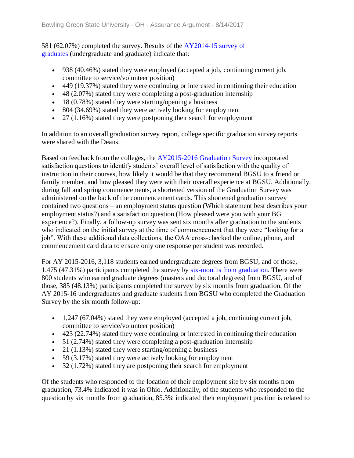581 (62.07%) completed the survey. Results of the [AY2014-15 survey of](../../evidence/viewfile?fileid=401625)  [graduates](../../evidence/viewfile?fileid=401625) (undergraduate and graduate) indicate that:

- 938 (40.46%) stated they were employed (accepted a job, continuing current job, committee to service/volunteer position)
- 449 (19.37%) stated they were continuing or interested in continuing their education
- 48 (2.07%) stated they were completing a post-graduation internship
- 18 (0.78%) stated they were starting/opening a business
- 804 (34.69%) stated they were actively looking for employment
- 27 (1.16%) stated they were postponing their search for employment

In addition to an overall graduation survey report, college specific graduation survey reports were shared with the Deans.

Based on feedback from the colleges, the [AY2015-2016 Graduation Survey](../../evidence/viewfile?fileId=401623) incorporated satisfaction questions to identify students' overall level of satisfaction with the quality of instruction in their courses, how likely it would be that they recommend BGSU to a friend or family member, and how pleased they were with their overall experience at BGSU. Additionally, during fall and spring commencements, a shortened version of the Graduation Survey was administered on the back of the commencement cards. This shortened graduation survey contained two questions – an employment status question (Which statement best describes your employment status?) and a satisfaction question (How pleased were you with your BG experience?). Finally, a follow-up survey was sent six months after graduation to the students who indicated on the initial survey at the time of commencement that they were "looking for a job". With these additional data collections, the OAA cross-checked the online, phone, and commencement card data to ensure only one response per student was recorded.

For AY 2015-2016, 3,118 students earned undergraduate degrees from BGSU, and of those, 1,475 (47.31%) participants completed the survey by [six-months from graduation.](../../evidence/viewfile?fileId=401622) There were 800 students who earned graduate degrees (masters and doctoral degrees) from BGSU, and of those, 385 (48.13%) participants completed the survey by six months from graduation. Of the AY 2015-16 undergraduates and graduate students from BGSU who completed the Graduation Survey by the six month follow-up:

- 1,247 (67.04%) stated they were employed (accepted a job, continuing current job, committee to service/volunteer position)
- 423 (22.74%) stated they were continuing or interested in continuing their education
- 51 (2.74%) stated they were completing a post-graduation internship
- 21 (1.13%) stated they were starting/opening a business
- 59 (3.17%) stated they were actively looking for employment
- $\bullet$  32 (1.72%) stated they are postponing their search for employment

Of the students who responded to the location of their employment site by six months from graduation, 73.4% indicated it was in Ohio. Additionally, of the students who responded to the question by six months from graduation, 85.3% indicated their employment position is related to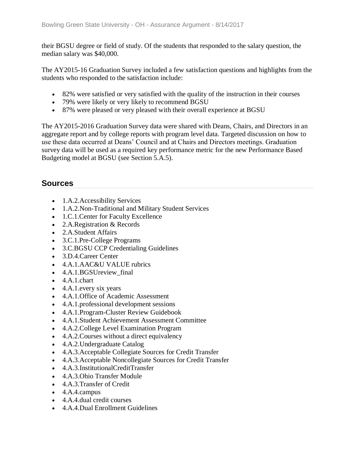their BGSU degree or field of study. Of the students that responded to the salary question, the median salary was \$40,000.

The AY2015-16 Graduation Survey included a few satisfaction questions and highlights from the students who responded to the satisfaction include:

- 82% were satisfied or very satisfied with the quality of the instruction in their courses
- 79% were likely or very likely to recommend BGSU
- 87% were pleased or very pleased with their overall experience at BGSU

The AY2015-2016 Graduation Survey data were shared with Deans, Chairs, and Directors in an aggregate report and by college reports with program level data. Targeted discussion on how to use these data occurred at Deans' Council and at Chairs and Directors meetings. Graduation survey data will be used as a required key performance metric for the new Performance Based Budgeting model at BGSU (see Section 5.A.5).

#### **Sources**

- 1.A.2. Accessibility Services
- 1.A.2.Non-Traditional and Military Student Services
- 1.C.1. Center for Faculty Excellence
- 2.A.Registration & Records
- 2.A.Student Affairs
- 3.C.1.Pre-College Programs
- 3.C.BGSU CCP Credentialing Guidelines
- 3.D.4.Career Center
- 4.A.1.AAC&U VALUE rubrics
- 4.A.1.BGSUreview\_final
- 4.A.1.chart
- 4.A.1.every six years
- 4.A.1.Office of Academic Assessment
- 4.A.1.professional development sessions
- 4.A.1.Program-Cluster Review Guidebook
- 4.A.1.Student Achievement Assessment Committee
- 4.A.2.College Level Examination Program
- 4.A.2. Courses without a direct equivalency
- 4.A.2.Undergraduate Catalog
- 4.A.3.Acceptable Collegiate Sources for Credit Transfer
- 4.A.3.Acceptable Noncollegiate Sources for Credit Transfer
- 4.A.3.InstitutionalCreditTransfer
- 4.A.3.Ohio Transfer Module
- 4.A.3.Transfer of Credit
- 4.A.4.campus
- 4.A.4.dual credit courses
- 4.A.4.Dual Enrollment Guidelines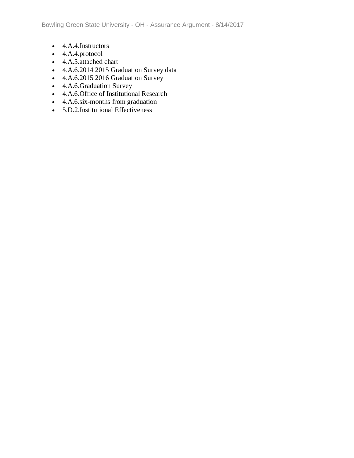- 4.A.4.Instructors
- 4.A.4.protocol
- 4.A.5.attached chart
- 4.A.6.2014 2015 Graduation Survey data
- 4.A.6.2015 2016 Graduation Survey
- 4.A.6.Graduation Survey
- 4.A.6.Office of Institutional Research
- 4.A.6.six-months from graduation
- 5.D.2.Institutional Effectiveness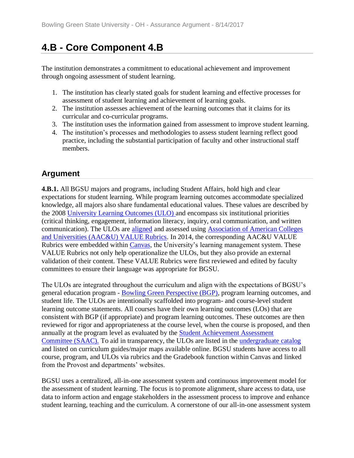# **4.B - Core Component 4.B**

The institution demonstrates a commitment to educational achievement and improvement through ongoing assessment of student learning.

- 1. The institution has clearly stated goals for student learning and effective processes for assessment of student learning and achievement of learning goals.
- 2. The institution assesses achievement of the learning outcomes that it claims for its curricular and co-curricular programs.
- 3. The institution uses the information gained from assessment to improve student learning.
- 4. The institution's processes and methodologies to assess student learning reflect good practice, including the substantial participation of faculty and other instructional staff members.

## **Argument**

**4.B.1.** All BGSU majors and programs, including Student Affairs, hold high and clear expectations for student learning. While program learning outcomes accommodate specialized knowledge, all majors also share fundamental educational values. These values are described by the 2008 [University Learning Outcomes \(ULO\) a](../../evidence/viewfile?fileid=401634)nd encompass six institutional priorities (critical thinking, engagement, information literacy, inquiry, oral communication, and written communication). The ULOs are [aligned](../../evidence/viewfile?fileid=401626) and assessed using [Association of American Colleges](../../evidence/viewfile?fileid=401627)  [and Universities \(AAC&U\) VALUE Rubrics.](../../evidence/viewfile?fileid=401627) In 2014, the corresponding AAC&U VALUE Rubrics were embedded within [Canvas,](../../evidence/viewfile?fileid=401630) the University's learning management system. These VALUE Rubrics not only help operationalize the ULOs, but they also provide an external validation of their content. These VALUE Rubrics were first reviewed and edited by faculty committees to ensure their language was appropriate for BGSU.

The ULOs are integrated throughout the curriculum and align with the expectations of BGSU's general education program - [Bowling Green Perspective \(BGP\),](../../evidence/viewfile?fileid=401632) program learning outcomes, and student life. The ULOs are intentionally scaffolded into program- and course-level student learning outcome statements. All courses have their own learning outcomes (LOs) that are consistent with BGP (if appropriate) and program learning outcomes. These outcomes are then reviewed for rigor and appropriateness at the course level, when the course is proposed, and then annually at the program level as evaluated by the **Student Achievement Assessment** [Committee](../../evidence/viewfile?fileid=401663) (SAAC). To aid in transparency, the ULOs are listed in the [undergraduate catalog](https://csspublic.bgsu.edu/psc/ps/EMPLOYEE/HRMS/c/COMMUNITY_ACCESS.SSS_BROWSE_CATLG.GBL) and listed on curriculum guides/major maps available online. BGSU students have access to all course, program, and ULOs via rubrics and the Gradebook function within Canvas and linked from the Provost and departments' websites.

BGSU uses a centralized, all-in-one assessment system and continuous improvement model for the assessment of student learning. The focus is to promote alignment, share access to data, use data to inform action and engage stakeholders in the assessment process to improve and enhance student learning, teaching and the curriculum. A cornerstone of our all-in-one assessment system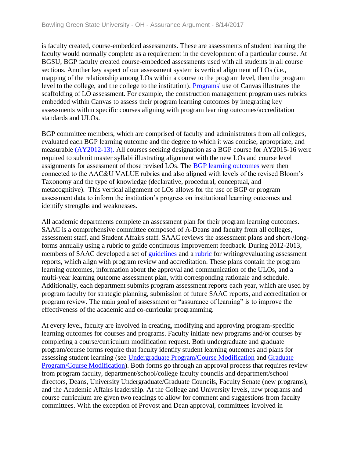is faculty created, course-embedded assessments. These are assessments of student learning the faculty would normally complete as a requirement in the development of a particular course. At BGSU, BGP faculty created course-embedded assessments used with all students in all course sections. Another key aspect of our assessment system is vertical alignment of LOs (i.e., mapping of the relationship among LOs within a course to the program level, then the program level to the college, and the college to the institution). [Programs'](../../evidence/viewfile?fileId=403293) use of Canvas illustrates the scaffolding of LO assessment. For example, the construction management program uses rubrics embedded within Canvas to assess their program learning outcomes by integrating key assessments within specific courses aligning with program learning outcomes/accreditation standards and ULOs.

BGP committee members, which are comprised of faculty and administrators from all colleges, evaluated each BGP learning outcome and the degree to which it was concise, appropriate, and measurable [\(AY2012-13\).](../../evidence/viewfile?fileId=406335) All courses seeking designation as a BGP course for AY2015-16 were required to submit master syllabi illustrating alignment with the new LOs and course level assignments for assessment of those revised LOs. The [BGP learning outcomes](../../evidence/viewfile?fileid=401632) were then connected to the AAC&U VALUE rubrics and also aligned with levels of the revised Bloom's Taxonomy and the type of knowledge (declarative, procedural, conceptual, and metacognitive). This vertical alignment of LOs allows for the use of BGP or program assessment data to inform the institution's progress on institutional learning outcomes and identify strengths and weaknesses.

All academic departments complete an assessment plan for their program learning outcomes. SAAC is a comprehensive committee composed of A-Deans and faculty from all colleges, assessment staff, and Student Affairs staff. SAAC reviews the assessment plans and short-/longforms annually using a rubric to guide continuous improvement feedback. During 2012-2013, members of SAAC developed a set of *[guidelines](../../evidence/viewfile?fileid=401629)* and a *[rubric](../../evidence/viewfile?fileid=401628)* for writing/evaluating assessment reports, which align with program review and accreditation. These plans contain the program learning outcomes, information about the approval and communication of the ULOs, and a multi-year learning outcome assessment plan, with corresponding rationale and schedule. Additionally, each department submits program assessment reports each year, which are used by program faculty for strategic planning, submission of future SAAC reports, and accreditation or program review. The main goal of assessment or "assurance of learning" is to improve the effectiveness of the academic and co-curricular programming.

At every level, faculty are involved in creating, modifying and approving program-specific learning outcomes for courses and programs. Faculty initiate new programs and/or courses by completing a course/curriculum modification request. Both undergraduate and graduate program/course forms require that faculty identify student learning outcomes and plans for assessing student learning (see [Undergraduate Program/Course Modification](../../evidence/viewfile?fileId=406062) and [Graduate](../../evidence/viewfile?fileId=406061)  [Program/Course Modification\)](../../evidence/viewfile?fileId=406061). Both forms go through an approval process that requires review from program faculty, department/school/college faculty councils and department/school directors, Deans, University Undergraduate/Graduate Councils, Faculty Senate (new programs), and the Academic Affairs leadership. At the College and University levels, new programs and course curriculum are given two readings to allow for comment and suggestions from faculty committees. With the exception of Provost and Dean approval, committees involved in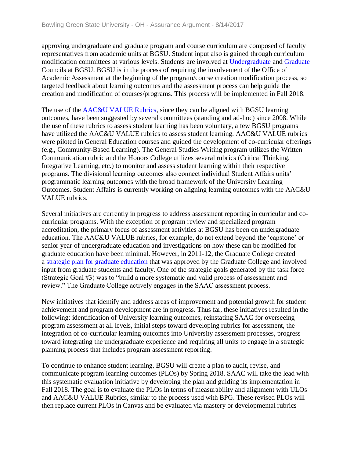approving undergraduate and graduate program and course curriculum are composed of faculty representatives from academic units at BGSU. Student input also is gained through curriculum modification committees at various levels. Students are involved at [Undergraduate](../../evidence/viewfile?fileid=401747) and [Graduate](../../evidence/viewfile?fileid=401743)  Councils at BGSU. BGSU is in the process of requiring the involvement of the Office of Academic Assessment at the beginning of the program/course creation modification process, so targeted feedback about learning outcomes and the assessment process can help guide the creation and modification of courses/programs. This process will be implemented in Fall 2018.

The use of the [AAC&U VALUE Rubrics,](../../evidence/viewfile?fileid=401627) since they can be aligned with BGSU learning outcomes, have been suggested by several committees (standing and ad-hoc) since 2008. While the use of these rubrics to assess student learning has been voluntary, a few BGSU programs have utilized the AAC&U VALUE rubrics to assess student learning. AAC&U VALUE rubrics were piloted in General Education courses and guided the development of co-curricular offerings (e.g., Community-Based Learning). The General Studies Writing program utilizes the Written Communication rubric and the Honors College utilizes several rubrics (Critical Thinking, Integrative Learning, etc.) to monitor and assess student learning within their respective programs. The divisional learning outcomes also connect individual Student Affairs units' programmatic learning outcomes with the broad framework of the University Learning Outcomes. Student Affairs is currently working on aligning learning outcomes with the AAC&U VALUE rubrics.

Several initiatives are currently in progress to address assessment reporting in curricular and cocurricular programs. With the exception of program review and specialized program accreditation, the primary focus of assessment activities at BGSU has been on undergraduate education. The AAC&U VALUE rubrics, for example, do not extend beyond the 'capstone' or senior year of undergraduate education and investigations on how these can be modified for graduate education have been minimal. However, in 2011-12, the Graduate College created a strategic plan [for graduate education](../../evidence/viewfile?fileid=401631) that was approved by the Graduate College and involved input from graduate students and faculty. One of the strategic goals generated by the task force (Strategic Goal #3) was to "build a more systematic and valid process of assessment and review." The Graduate College actively engages in the SAAC assessment process.

New initiatives that identify and address areas of improvement and potential growth for student achievement and program development are in progress. Thus far, these initiatives resulted in the following: identification of University learning outcomes, reinstating SAAC for overseeing program assessment at all levels, initial steps toward developing rubrics for assessment, the integration of co-curricular learning outcomes into University assessment processes, progress toward integrating the undergraduate experience and requiring all units to engage in a strategic planning process that includes program assessment reporting.

To continue to enhance student learning, BGSU will create a plan to audit, revise, and communicate program learning outcomes (PLOs) by Spring 2018. SAAC will take the lead with this systematic evaluation initiative by developing the plan and guiding its implementation in Fall 2018. The goal is to evaluate the PLOs in terms of measurability and alignment with ULOs and AAC&U VALUE Rubrics, similar to the process used with BPG. These revised PLOs will then replace current PLOs in Canvas and be evaluated via mastery or developmental rubrics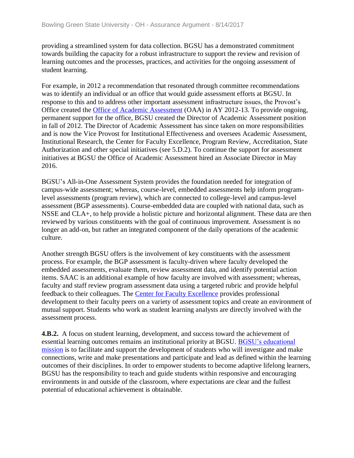providing a streamlined system for data collection. BGSU has a demonstrated commitment towards building the capacity for a robust infrastructure to support the review and revision of learning outcomes and the processes, practices, and activities for the ongoing assessment of student learning.

For example, in 2012 a recommendation that resonated through committee recommendations was to identify an individual or an office that would guide assessment efforts at BGSU. In response to this and to address other important assessment infrastructure issues, the Provost's Office created the [Office of Academic Assessment](../../evidence/viewfile?fileId=406324) (OAA) in AY 2012-13. To provide ongoing, permanent support for the office, BGSU created the Director of Academic Assessment position in fall of 2012. The Director of Academic Assessment has since taken on more responsibilities and is now the Vice Provost for Institutional Effectiveness and oversees Academic Assessment, Institutional Research, the Center for Faculty Excellence, Program Review, Accreditation, State Authorization and other special initiatives (see 5.D.2). To continue the support for assessment initiatives at BGSU the Office of Academic Assessment hired an Associate Director in May 2016.

BGSU's All-in-One Assessment System provides the foundation needed for integration of campus-wide assessment; whereas, course-level, embedded assessments help inform programlevel assessments (program review), which are connected to college-level and campus-level assessment (BGP assessments). Course-embedded data are coupled with national data, such as NSSE and CLA+, to help provide a holistic picture and horizontal alignment. These data are then reviewed by various constituents with the goal of continuous improvement. Assessment is no longer an add-on, but rather an integrated component of the daily operations of the academic culture.

Another strength BGSU offers is the involvement of key constituents with the assessment process. For example, the BGP assessment is faculty-driven where faculty developed the embedded assessments, evaluate them, review assessment data, and identify potential action items. SAAC is an additional example of how faculty are involved with assessment; whereas, faculty and staff review program assessment data using a targeted rubric and provide helpful feedback to their colleagues. The [Center for Faculty Excellence](../../evidence/viewfile?fileId=403034) provides professional development to their faculty peers on a variety of assessment topics and create an environment of mutual support. Students who work as student learning analysts are directly involved with the assessment process.

**4.B.2.** A focus on student learning, development, and success toward the achievement of essential learning outcomes remains an institutional priority at BGSU. [BGSU's educational](../../evidence/viewfile?fileId=406581)  [mission](../../evidence/viewfile?fileId=406581) is to facilitate and support the development of students who will investigate and make connections, write and make presentations and participate and lead as defined within the learning outcomes of their disciplines. In order to empower students to become adaptive lifelong learners, BGSU has the responsibility to teach and guide students within responsive and encouraging environments in and outside of the classroom, where expectations are clear and the fullest potential of educational achievement is obtainable.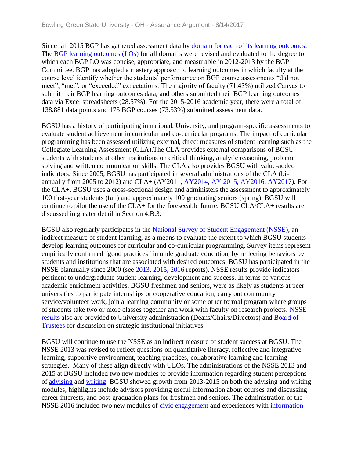Since fall 2015 BGP has gathered assessment data by [domain for each of its learning outcomes.](../../evidence/viewfile?fileid=401643) The [BGP learning outcomes \(LOs\)](../../evidence/viewfile?fileId=405047) for all domains were revised and evaluated to the degree to which each BGP LO was concise, appropriate, and measurable in 2012-2013 by the BGP Committee. BGP has adopted a mastery approach to learning outcomes in which faculty at the course level identify whether the students' performance on BGP course assessments "did not meet", "met", or "exceeded" expectations. The majority of faculty (71.43%) utilized Canvas to submit their BGP learning outcomes data, and others submitted their BGP learning outcomes data via Excel spreadsheets (28.57%). For the 2015-2016 academic year, there were a total of 138,881 data points and 175 BGP courses (73.53%) submitted assessment data.

BGSU has a history of participating in national, University, and program-specific assessments to evaluate student achievement in curricular and co-curricular programs. The impact of curricular programming has been assessed utilizing external, direct measures of student learning such as the Collegiate Learning Assessment (CLA).The CLA provides external comparisons of BGSU students with students at other institutions on critical thinking, analytic reasoning, problem solving and written communication skills. The CLA also provides BGSU with value-added indicators. Since 2005, BGSU has participated in several administrations of the CLA (biannually from 2005 to 2012) and CLA+ (AY2011, [AY2014,](../../evidence/viewfile?fileid=401665) [AY 2015,](../../evidence/viewfile?fileid=401653) [AY2016,](../../evidence/viewfile?fileid=401656) [AY2017\)](../../evidence/viewfile?fileid=401644). For the CLA+, BGSU uses a cross-sectional design and administers the assessment to approximately 100 first-year students (fall) and approximately 100 graduating seniors (spring). BGSU will continue to pilot the use of the CLA+ for the foreseeable future. BGSU CLA/CLA+ results are discussed in greater detail in Section 4.B.3.

BGSU also regularly participates in the [National Survey of Student Engagement \(NSSE\),](../../evidence/viewfile?fileid=401645) an indirect measure of student learning, as a means to evaluate the extent to which BGSU students develop learning outcomes for curricular and co-curricular programming. Survey items represent empirically confirmed "good practices" in undergraduate education, by reflecting behaviors by students and institutions that are associated with desired outcomes. BGSU has participated in the NSSE biannually since 2000 (see [2013,](../../evidence/viewfile?fileid=401640) [2015,](../../evidence/viewfile?fileid=401637) [2016](../../evidence/viewfile?fileid=401638) reports). NSSE results provide indicators pertinent to undergraduate student learning, development and success. In terms of various academic enrichment activities, BGSU freshmen and seniors, were as likely as students at peer universities to participate internships or cooperative education, carry out community service/volunteer work, join a learning community or some other formal program where groups of students take two or more classes together and work with faculty on research projects. [NSSE](../../evidence/viewfile?fileid=401668)  [results a](../../evidence/viewfile?fileid=401668)lso are provided to University administration (Deans/Chairs/Directors) and [Board of](../../evidence/viewfile?fileId=406337)  [Trustees](../../evidence/viewfile?fileId=406337) for discussion on strategic institutional initiatives.

BGSU will continue to use the NSSE as an indirect measure of student success at BGSU. The NSSE 2013 was revised to reflect questions on quantitative literacy, reflective and integrative learning, supportive environment, teaching practices, collaborative learning and learning strategies. Many of these align directly with ULOs. The administrations of the NSSE 2013 and 2015 at BGSU included two new modules to provide information regarding student perceptions of [advising](../../evidence/viewfile?fileid=401636) and [writing.](../../evidence/viewfile?fileid=401649) BGSU showed growth from 2013-2015 on both the advising and writing modules, highlights include advisors providing useful information about courses and discussing career interests, and post-graduation plans for freshmen and seniors. The administration of the NSSE 2016 included two new modules of [civic engagement](../../evidence/viewfile?fileid=401641) and experiences with [information](../../evidence/viewfile?fileid=401642)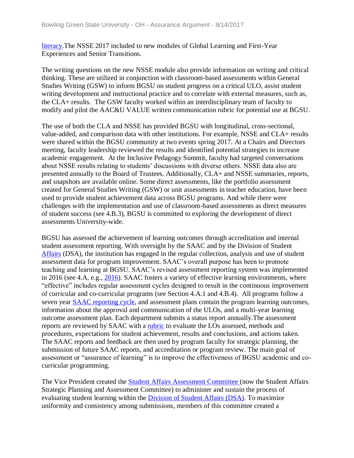[literacy.](../../evidence/viewfile?fileid=401642)The NSSE 2017 included to new modules of Global Learning and First-Year Experiences and Senior Transitions.

The writing questions on the new NSSE module also provide information on writing and critical thinking. These are utilized in conjunction with classroom-based assessments within General Studies Writing (GSW) to inform BGSU on student progress on a critical ULO, assist student writing development and instructional practice and to correlate with external measures, such as, the CLA+ results. The GSW faculty worked within an interdisciplinary team of faculty to modify and pilot the AAC&U VALUE written communication rubric for potential use at BGSU.

The use of both the CLA and NSSE has provided BGSU with longitudinal, cross-sectional, value-added, and comparison data with other institutions. For example, NSSE and CLA+ results were shared within the BGSU community at two events spring 2017. At a Chairs and Directors meeting, faculty leadership reviewed the results and identified potential strategies to increase academic engagement. At the Inclusive Pedagogy Summit, faculty had targeted conversations about NSSE results relating to students' discussions with diverse others. NSSE data also are presented annually to the Board of Trustees. Additionally, CLA+ and NSSE summaries, reports, and snapshots are available online. Some direct assessments, like the portfolio assessment created for General Studies Writing (GSW) or unit assessments in teacher education, have been used to provide student achievement data across BGSU programs. And while there were challenges with the implementation and use of classroom-based assessments as direct measures of student success (see 4.B.3), BGSU is committed to exploring the development of direct assessments University-wide.

BGSU has assessed the achievement of learning outcomes through accreditation and internal student assessment reporting. With oversight by the SAAC and by the Division of Studen[t](../../evidence/viewfile?fileid=403022) [Affairs](../../evidence/viewfile?fileid=403022) (DSA), the institution has engaged in the regular collection, analysis and use of student assessment data for program improvement. SAAC's overall purpose has been to promote teaching and learning at BGSU. SAAC's revised assessment reporting system was implemented in 2016 (see 4.A, e.g., [2016\)](../../evidence/viewfile?fileid=401648). SAAC fosters a variety of effective learning environments, where "effective" includes regular assessment cycles designed to result in the continuous improvement of curricular and co‐curricular programs (see Section 4.A.1 and 4.B.4). All programs follow a seven year [SAAC reporting cycle,](../../evidence/viewfile?fileid=401646) and assessment plans contain the program learning outcomes, information about the approval and communication of the ULOs, and a multi-year learning outcome assessment plan. Each department submits a status report annually.The assessment reports are reviewed by SAAC with a [rubric](../../evidence/viewfile?fileid=401650) to evaluate the LOs assessed, methods and procedures, expectations for student achievement, results and conclusions, and actions taken. The SAAC reports and feedback are then used by program faculty for strategic planning, the submission of future SAAC reports, and accreditation or program review. The main goal of assessment or "assurance of learning" is to improve the effectiveness of BGSU academic and cocurricular programming.

The Vice President created the [Student Affairs Assessment Committee \(](../../evidence/viewfile?fileid=403022)now the Student Affairs Strategic Planning and Assessment Committee) to administer and sustain the process of evaluating student learning within the [Division of Student Affairs \(DSA\).](../../evidence/viewfile?fileid=401567) To maximize uniformity and consistency among submissions, members of this committee created a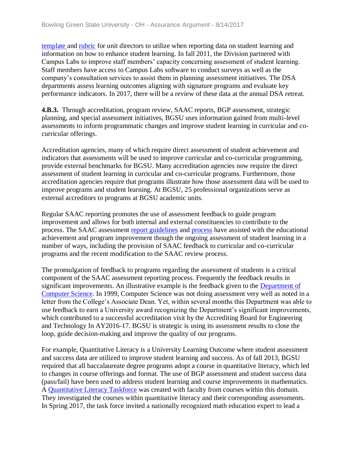[template](../../evidence/viewfile?fileid=401647) and [rubric](../../evidence/viewfile?fileId=402916) for unit directors to utilize when reporting data on student learning and information on how to enhance student learning. In fall 2011, the Division partnered with Campus Labs to improve staff members' capacity concerning assessment of student learning. Staff members have access to Campus Labs software to conduct surveys as well as the company's consultation services to assist them in planning assessment initiatives. The DSA departments assess learning outcomes aligning with signature programs and evaluate key performance indicators. In 2017, there will be a review of these data at the annual DSA retreat.

**4.B.3.** Through accreditation, program review, SAAC reports, BGP assessment, strategic planning, and special assessment initiatives, BGSU uses information gained from multi-level assessments to inform programmatic changes and improve student learning in curricular and cocurricular offerings.

Accreditation agencies, many of which require direct assessment of student achievement and indicators that assessments will be used to improve curricular and co-curricular programming, provide external benchmarks for BGSU. Many accreditation agencies now require the direct assessment of student learning in curricular and co-curricular programs. Furthermore, those accreditation agencies require that programs illustrate how those assessment data will be used to improve programs and student learning. At BGSU, 25 professional organizations serve as external accreditors to programs at BGSU academic units.

Regular SAAC reporting promotes the use of assessment feedback to guide program improvement and allows for both internal and external constituencies to contribute to the process. The SAAC assessment [report guidelines](../../evidence/viewfile?fileid=401657) and [process](../../evidence/viewfile?fileid=401654) have assisted with the educational achievement and program improvement though the ongoing assessment of student learning in a number of ways, including the provision of SAAC feedback to curricular and co-curricular programs and the recent modification to the SAAC review process.

The promulgation of feedback to programs regarding the assessment of students is a critical component of the SAAC assessment reporting process. Frequently the feedback results in significant improvements. An illustrative example is the feedback given to the **Department of** [Computer Science.](../../evidence/viewfile?fileId=402930) In 1999, Computer Science was not doing assessment very well as noted in a letter from the College's Associate Dean. Yet, within several months this Department was able to use feedback to earn a University award recognizing the Department's significant improvements, which contributed to a successful accreditation visit by the Accrediting Board for Engineering and Technology In AY2016-17. BGSU is strategic is using its assessment results to close the loop, guide decision-making and improve the quality of our programs.

For example, Quantitative Literacy is a University Learning Outcome where student assessment and success data are utilized to improve student learning and success. As of fall 2013, BGSU required that all baccalaureate degree programs adopt a course in quantitative literacy, which led to changes in course offerings and format. The use of BGP assessment and student success data (pass/fail) have been used to address student learning and course improvements in mathematics. A [Quantitative Literacy Taskforce](../../evidence/viewfile?fileid=401655) was created with faculty from courses within this domain. They investigated the courses within quantitative literacy and their corresponding assessments. In Spring 2017, the task force invited a nationally recognized math education expert to lead a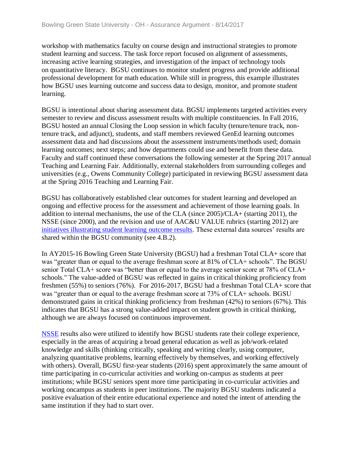workshop with mathematics faculty on course design and instructional strategies to promote student learning and success. The task force report focused on alignment of assessments, increasing active learning strategies, and investigation of the impact of technology tools on quantitative literacy. BGSU continues to monitor student progress and provide additional professional development for math education. While still in progress, this example illustrates how BGSU uses learning outcome and success data to design, monitor, and promote student learning.

BGSU is intentional about sharing assessment data. BGSU implements targeted activities every semester to review and discuss assessment results with multiple constituencies. In Fall 2016, BGSU hosted an annual Closing the Loop session in which faculty (tenure/tenure track, nontenure track, and adjunct), students, and staff members reviewed GenEd learning outcomes assessment data and had discussions about the assessment instruments/methods used; domain learning outcomes; next steps; and how departments could use and benefit from these data. Faculty and staff continued these conversations the following semester at the Spring 2017 annual Teaching and Learning Fair. Additionally, external stakeholders from surrounding colleges and universities (e.g., Owens Community College) participated in reviewing BGSU assessment data at the Spring 2016 Teaching and Learning Fair.

BGSU has collaboratively established clear outcomes for student learning and developed an ongoing and effective process for the assessment and achievement of those learning goals. In addition to internal mechanisms, the use of the CLA (since 2005)/CLA+ (starting 2011), the NSSE (since 2000), and the revision and use of AAC&U VALUE rubrics (starting 2012) are [initiatives illustrating student learning outcome results.](../../evidence/viewfile?fileid=401651) These external data sources' results are shared within the BGSU community (see 4.B.2).

In AY2015-16 Bowling Green State University (BGSU) had a freshman Total CLA+ score that was "greater than or equal to the average freshman score at 81% of CLA+ schools". The BGSU senior Total CLA+ score was "better than or equal to the average senior score at 78% of CLA+ schools." The value-added of BGSU was reflected in gains in critical thinking proficiency from freshmen (55%) to seniors (76%). For 2016-2017, BGSU had a freshman Total CLA+ score that was "greater than or equal to the average freshman score at 73% of CLA+ schools. BGSU demonstrated gains in critical thinking proficiency from freshman (42%) to seniors (67%). This indicates that BGSU has a strong value-added impact on student growth in critical thinking, although we are always focused on continuous improvement.

[NSSE](../../evidence/viewfile?fileid=401668) results also were utilized to identify how BGSU students rate their college experience, especially in the areas of acquiring a broad general education as well as job/work-related knowledge and skills (thinking critically, speaking and writing clearly, using computer, analyzing quantitative problems, learning effectively by themselves, and working effectively with others). Overall, BGSU first-year students (2016) spent approximately the same amount of time participating in co-curricular activities and working on-campus as students at peer institutions; while BGSU seniors spent more time participating in co-curricular activities and working oncampus as students in peer institutions. The majority BGSU students indicated a positive evaluation of their entire educational experience and noted the intent of attending the same institution if they had to start over.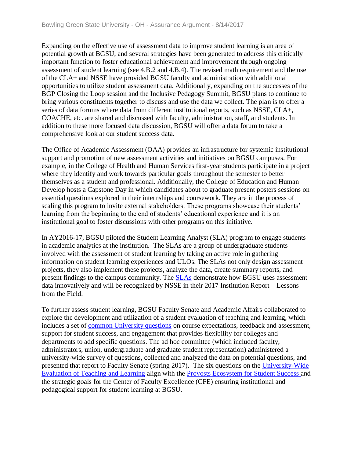Expanding on the effective use of assessment data to improve student learning is an area of potential growth at BGSU, and several strategies have been generated to address this critically important function to foster educational achievement and improvement through ongoing assessment of student learning (see 4.B.2 and 4.B.4). The revised math requirement and the use of the CLA+ and NSSE have provided BGSU faculty and administration with additional opportunities to utilize student assessment data. Additionally, expanding on the successes of the BGP Closing the Loop session and the Inclusive Pedagogy Summit, BGSU plans to continue to bring various constituents together to discuss and use the data we collect. The plan is to offer a series of data forums where data from different institutional reports, such as NSSE, CLA+, COACHE, etc. are shared and discussed with faculty, administration, staff, and students. In addition to these more focused data discussion, BGSU will offer a data forum to take a comprehensive look at our student success data.

The Office of Academic Assessment (OAA) provides an infrastructure for systemic institutional support and promotion of new assessment activities and initiatives on BGSU campuses. For example, in the College of Health and Human Services first-year students participate in a project where they identify and work towards particular goals throughout the semester to better themselves as a student and professional. Additionally, the College of Education and Human Develop hosts a Capstone Day in which candidates about to graduate present posters sessions on essential questions explored in their internships and coursework. They are in the process of scaling this program to invite external stakeholders. These programs showcase their students' learning from the beginning to the end of students' educational experience and it is an institutional goal to foster discussions with other programs on this initiative.

In AY2016-17, BGSU piloted the Student Learning Analyst (SLA) program to engage students in academic analytics at the institution. The SLAs are a group of undergraduate students involved with the assessment of student learning by taking an active role in gathering information on student learning experiences and ULOs. The SLAs not only design assessment projects, they also implement these projects, analyze the data, create summary reports, and present findings to the campus community. The [SLAs](../../evidence/viewfile?fileid=401659) demonstrate how BGSU uses assessment data innovatively and will be recognized by NSSE in their 2017 Institution Report – Lessons from the Field.

To further assess student learning, BGSU Faculty Senate and Academic Affairs collaborated to explore the development and utilization of a student evaluation of teaching and learning, which includes a set of [common University questions](../../evidence/viewfile?fileid=401652) on course expectations, feedback and assessment, support for student success, and engagement that provides flexibility for colleges and departments to add specific questions. The ad hoc committee (which included faculty, administrators, union, undergraduate and graduate student representation) administered a university-wide survey of questions, collected and analyzed the data on potential questions, and presented that report to Faculty Senate (spring 2017). The six questions on the [University-Wide](../../evidence/viewfile?fileId=406336)  [Evaluation of Teaching and Learning](../../evidence/viewfile?fileId=406336) align with the [Provosts Ecosystem for Student Success a](../../evidence/viewfile?fileid=406322)nd the strategic goals for the Center of Faculty Excellence (CFE) ensuring institutional and pedagogical support for student learning at BGSU.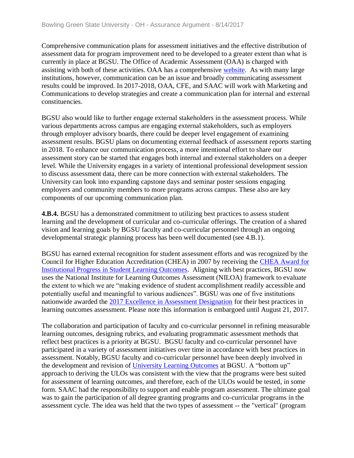Comprehensive communication plans for assessment initiatives and the effective distribution of assessment data for program improvement need to be developed to a greater extent than what is currently in place at BGSU. The Office of Academic Assessment (OAA) is charged with assisting with both of these activities. OAA has a comprehensive [website.](../../evidence/viewfile?fileid=401658) As with many large institutions, however, communication can be an issue and broadly communicating assessment results could be improved. In 2017-2018, OAA, CFE, and SAAC will work with Marketing and Communications to develop strategies and create a communication plan for internal and external constituencies.

BGSU also would like to further engage external stakeholders in the assessment process. While various departments across campus are engaging external stakeholders, such as employers through employer advisory boards, there could be deeper level engagement of examining assessment results. BGSU plans on documenting external feedback of assessment reports starting in 2018. To enhance our communication process, a more intentional effort to share our assessment story can be started that engages both internal and external stakeholders on a deeper level. While the University engages in a variety of intentional professional development session to discuss assessment data, there can be more connection with external stakeholders. The University can look into expanding capstone days and seminar poster sessions engaging employers and community members to more programs across campus. These also are key components of our upcoming communication plan.

**4.B.4.** BGSU has a demonstrated commitment to utilizing best practices to assess student learning and the development of curricular and co-curricular offerings. The creation of a shared vision and learning goals by BGSU faculty and co-curricular personnel through an ongoing developmental strategic planning process has been well documented (see 4.B.1).

BGSU has earned external recognition for student assessment efforts and was recognized by the Council for Higher Education Accreditation (CHEA) in 2007 by receiving the [CHEA Award for](../../evidence/viewfile?fileid=401664)  [Institutional Progress in Student Learning Outcomes.](../../evidence/viewfile?fileid=401664) Aligning with best practices, BGSU now uses the National Institute for Learning Outcomes Assessment (NILOA) framework to evaluate the extent to which we are "making evidence of student accomplishment readily accessible and potentially useful and meaningful to various audiences". BGSU was one of five institutions nationwide awarded the 2017 Excellence [in Assessment Designation](../../evidence/viewfile?fileid=401661) for their best practices in learning outcomes assessment. Please note this information is embargoed until August 21, 2017.

The collaboration and participation of faculty and co-curricular personnel in refining measurable learning outcomes, designing rubrics, and evaluating programmatic assessment methods that reflect best practices is a priority at BGSU. BGSU faculty and co-curricular personnel have participated in a variety of assessment initiatives over time in accordance with best practices in assessment. Notably, BGSU faculty and co-curricular personnel have been deeply involved in the development and revision of [University Learning Outcomes](../../evidence/viewfile?fileid=401666) at BGSU. A "bottom up" approach to deriving the ULOs was consistent with the view that the programs were best suited for assessment of learning outcomes, and therefore, each of the ULOs would be tested, in some form. SAAC had the responsibility to support and enable program assessment. The ultimate goal was to gain the participation of all degree granting programs and co-curricular programs in the assessment cycle. The idea was held that the two types of assessment -- the "vertical" (program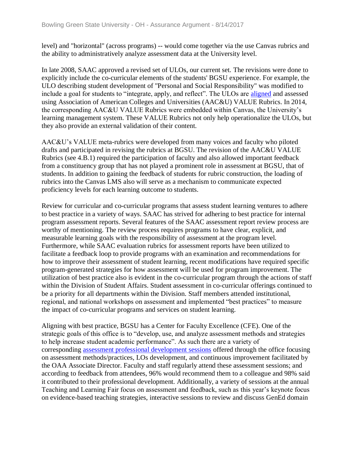level) and "horizontal" (across programs) -- would come together via the use Canvas rubrics and the ability to administratively analyze assessment data at the University level.

In late 2008, SAAC approved a revised set of ULOs, our current set. The revisions were done to explicitly include the co-curricular elements of the students' BGSU experience. For example, the ULO describing student development of "Personal and Social Responsibility" was modified to include a goal for students to "integrate, apply, and reflect". The ULOs are [aligned](../../evidence/viewfile?fileid=401660) and assessed using Association of American Colleges and Universities (AAC&U) VALUE Rubrics. In 2014, the corresponding AAC&U VALUE Rubrics were embedded within Canvas, the University's learning management system. These VALUE Rubrics not only help operationalize the ULOs, but they also provide an external validation of their content.

AAC&U's VALUE meta-rubrics were developed from many voices and faculty who piloted drafts and participated in revising the rubrics at BGSU. The revision of the AAC&U VALUE Rubrics (see 4.B.1) required the participation of faculty and also allowed important feedback from a constituency group that has not played a prominent role in assessment at BGSU, that of students. In addition to gaining the feedback of students for rubric construction, the loading of rubrics into the Canvas LMS also will serve as a mechanism to communicate expected proficiency levels for each learning outcome to students.

Review for curricular and co-curricular programs that assess student learning ventures to adhere to best practice in a variety of ways. SAAC has strived for adhering to best practice for internal program assessment reports. Several features of the SAAC assessment report review process are worthy of mentioning. The review process requires programs to have clear, explicit, and measurable learning goals with the responsibility of assessment at the program level. Furthermore, while SAAC evaluation rubrics for assessment reports have been utilized to facilitate a feedback loop to provide programs with an examination and recommendations for how to improve their assessment of student learning, recent modifications have required specific program-generated strategies for how assessment will be used for program improvement. The utilization of best practice also is evident in the co-curricular program through the actions of staff within the Division of Student Affairs. Student assessment in co-curricular offerings continued to be a priority for all departments within the Division. Staff members attended institutional, regional, and national workshops on assessment and implemented "best practices" to measure the impact of co-curricular programs and services on student learning.

Aligning with best practice, BGSU has a Center for Faculty Excellence (CFE). One of the strategic goals of this office is to "develop, use, and analyze assessment methods and strategies to help increase student academic performance". As such there are a variety of corresponding [assessment professional development sessions](../../evidence/viewfile?fileid=401662) offered through the office focusing on assessment methods/practices, LOs development, and continuous improvement facilitated by the OAA Associate Director. Faculty and staff regularly attend these assessment sessions; and according to feedback from attendees, 96% would recommend them to a colleague and 98% said it contributed to their professional development. Additionally, a variety of sessions at the annual Teaching and Learning Fair focus on assessment and feedback, such as this year's keynote focus on evidence-based teaching strategies, interactive sessions to review and discuss GenEd domain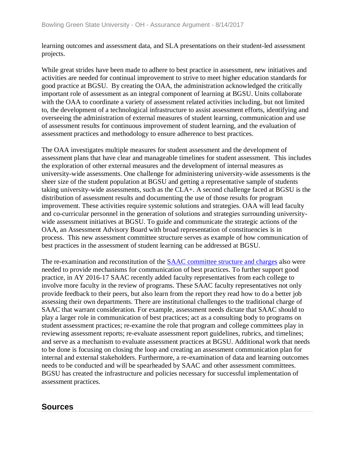learning outcomes and assessment data, and SLA presentations on their student-led assessment projects.

While great strides have been made to adhere to best practice in assessment, new initiatives and activities are needed for continual improvement to strive to meet higher education standards for good practice at BGSU. By creating the OAA, the administration acknowledged the critically important role of assessment as an integral component of learning at BGSU. Units collaborate with the OAA to coordinate a variety of assessment related activities including, but not limited to, the development of a technological infrastructure to assist assessment efforts, identifying and overseeing the administration of external measures of student learning, communication and use of assessment results for continuous improvement of student learning, and the evaluation of assessment practices and methodology to ensure adherence to best practices.

The OAA investigates multiple measures for student assessment and the development of assessment plans that have clear and manageable timelines for student assessment. This includes the exploration of other external measures and the development of internal measures as university-wide assessments. One challenge for administering university-wide assessments is the sheer size of the student population at BGSU and getting a representative sample of students taking university-wide assessments, such as the CLA+. A second challenge faced at BGSU is the distribution of assessment results and documenting the use of those results for program improvement. These activities require systemic solutions and strategies. OAA will lead faculty and co-curricular personnel in the generation of solutions and strategies surrounding universitywide assessment initiatives at BGSU. To guide and communicate the strategic actions of the OAA, an Assessment Advisory Board with broad representation of constituencies is in process. This new assessment committee structure serves as example of how communication of best practices in the assessment of student learning can be addressed at BGSU.

The re-examination and reconstitution of the [SAAC committee structure](../../evidence/viewfile?fileid=401663) and charges also were needed to provide mechanisms for communication of best practices. To further support good practice, in AY 2016-17 SAAC recently added faculty representatives from each college to involve more faculty in the review of programs. These SAAC faculty representatives not only provide feedback to their peers, but also learn from the report they read how to do a better job assessing their own departments. There are institutional challenges to the traditional charge of SAAC that warrant consideration. For example, assessment needs dictate that SAAC should to play a larger role in communication of best practices; act as a consulting body to programs on student assessment practices; re-examine the role that program and college committees play in reviewing assessment reports; re-evaluate assessment report guidelines, rubrics, and timelines; and serve as a mechanism to evaluate assessment practices at BGSU. Additional work that needs to be done is focusing on closing the loop and creating an assessment communication plan for internal and external stakeholders. Furthermore, a re-examination of data and learning outcomes needs to be conducted and will be spearheaded by SAAC and other assessment committees. BGSU has created the infrastructure and policies necessary for successful implementation of assessment practices.

## **Sources**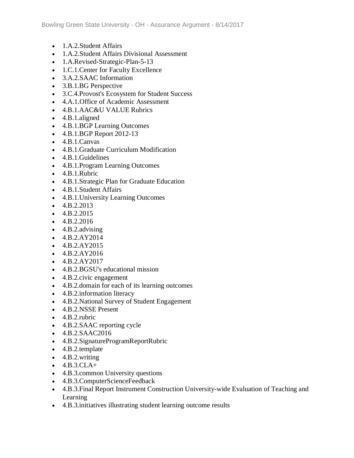- 1.A.2.Student Affairs
- 1.A.2.Student Affairs Divisional Assessment
- 1.A.Revised-Strategic-Plan-5-13
- 1.C.1. Center for Faculty Excellence
- 3.A.2.SAAC Information
- 3.B.1.BG Perspective
- 3.C.4.Provost's Ecosystem for Student Success
- 4.A.1.Office of Academic Assessment
- 4.B.1.AAC&U VALUE Rubrics
- 4.B.1.aligned
- 4.B.1.BGP Learning Outcomes
- 4.B.1.BGP Report 2012-13
- 4.B.1.Canvas
- 4.B.1.Graduate Curriculum Modification
- 4.B.1.Guidelines
- 4.B.1.Program Learning Outcomes
- 4.B.1.Rubric
- 4.B.1.Strategic Plan for Graduate Education
- 4.B.1.Student Affairs
- 4.B.1.University Learning Outcomes
- $-4.B.2.2013$
- $-4.B.2.2015$
- $-4.B.2.2016$
- $\bullet$  4.B.2.advising
- $\bullet$  4.B.2.AY2014
- 4.B.2.AY2015
- 4.B.2.AY2016
- $-4.B.2.AY2017$
- 4.B.2.BGSU's educational mission
- 4.B.2.civic engagement
- 4.B.2.domain for each of its learning outcomes
- 4.B.2. information literacy
- 4.B.2.National Survey of Student Engagement
- 4.B.2.NSSE Present
- 4.B.2.rubric
- 4.B.2.SAAC reporting cycle
- 4.B.2.SAAC2016
- 4.B.2.SignatureProgramReportRubric
- 4.B.2.template
- 4.B.2.writing
- $-4.B.3.CLA+$
- 4.B.3. common University questions
- 4.B.3.ComputerScienceFeedback
- 4.B.3.Final Report Instrument Construction University-wide Evaluation of Teaching and Learning
- 4.B.3.initiatives illustrating student learning outcome results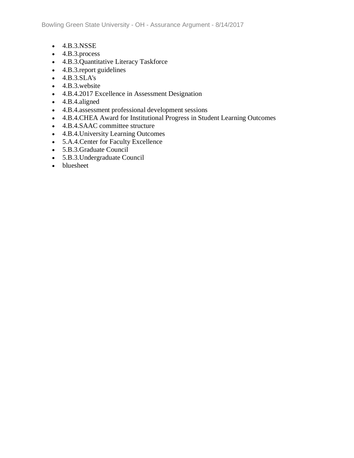- 4.B.3.NSSE
- 4.B.3.process
- 4.B.3.Quantitative Literacy Taskforce
- 4.B.3.report guidelines
- 4.B.3.SLA's
- 4.B.3.website
- 4.B.4.2017 Excellence in Assessment Designation
- 4.B.4.aligned
- 4.B.4.assessment professional development sessions
- 4.B.4.CHEA Award for Institutional Progress in Student Learning Outcomes
- 4.B.4.SAAC committee structure
- 4.B.4.University Learning Outcomes
- 5.A.4.Center for Faculty Excellence
- 5.B.3.Graduate Council
- 5.B.3.Undergraduate Council
- bluesheet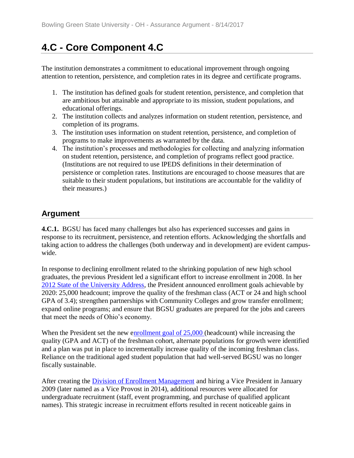# **4.C - Core Component 4.C**

The institution demonstrates a commitment to educational improvement through ongoing attention to retention, persistence, and completion rates in its degree and certificate programs.

- 1. The institution has defined goals for student retention, persistence, and completion that are ambitious but attainable and appropriate to its mission, student populations, and educational offerings.
- 2. The institution collects and analyzes information on student retention, persistence, and completion of its programs.
- 3. The institution uses information on student retention, persistence, and completion of programs to make improvements as warranted by the data.
- 4. The institution's processes and methodologies for collecting and analyzing information on student retention, persistence, and completion of programs reflect good practice. (Institutions are not required to use IPEDS definitions in their determination of persistence or completion rates. Institutions are encouraged to choose measures that are suitable to their student populations, but institutions are accountable for the validity of their measures.)

## **Argument**

**4.C.1.** BGSU has faced many challenges but also has experienced successes and gains in response to its recruitment, persistence, and retention efforts. Acknowledging the shortfalls and taking action to address the challenges (both underway and in development) are evident campuswide.

In response to declining enrollment related to the shrinking population of new high school graduates, the previous President led a significant effort to increase enrollment in 2008. In her [2012 State of the University Address,](../../evidence/viewfile?fileid=401670) the President announced enrollment goals achievable by 2020: 25,000 headcount; improve the quality of the freshman class (ACT or 24 and high school GPA of 3.4); strengthen partnerships with Community Colleges and grow transfer enrollment; expand online programs; and ensure that BGSU graduates are prepared for the jobs and careers that meet the needs of Ohio's economy.

When the President set the new [enrollment goal of 25,000](../../evidence/viewfile?fileid=401671) (headcount) while increasing the quality (GPA and ACT) of the freshman cohort, alternate populations for growth were identified and a plan was put in place to incrementally increase quality of the incoming freshman class. Reliance on the traditional aged student population that had well-served BGSU was no longer fiscally sustainable.

After creating the **Division of Enrollment Management** and hiring a Vice President in January 2009 (later named as a Vice Provost in 2014), additional resources were allocated for undergraduate recruitment (staff, event programming, and purchase of qualified applicant names). This strategic increase in recruitment efforts resulted in recent noticeable gains in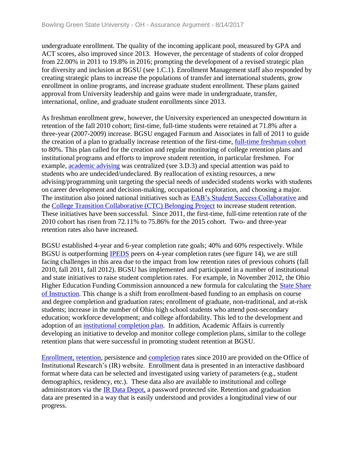undergraduate enrollment. The quality of the incoming applicant pool, measured by GPA and ACT scores, also improved since 2013. However, the percentage of students of color dropped from 22.00% in 2011 to 19.8% in 2016; prompting the development of a revised strategic plan for diversity and inclusion at BGSU (see 1.C.1). Enrollment Management staff also responded by creating strategic plans to increase the populations of transfer and international students, grow enrollment in online programs, and increase graduate student enrollment. These plans gained approval from University leadership and gains were made in undergraduate, transfer, international, online, and graduate student enrollments since 2013.

As freshman enrollment grew, however, the University experienced an unexpected downturn in retention of the fall 2010 cohort; first-time, full-time students were retained at 71.8% after a three-year (2007-2009) increase. BGSU engaged Farnum and Associates in fall of 2011 to guide the creation of a plan to gradually increase retention of the first-time, [full-time freshman cohort](../../evidence/viewfile?fileid=401679) to 80%. This plan called for the creation and regular monitoring of college retention plans and institutional programs and efforts to improve student retention, in particular freshmen. For example, [academic advising](../../evidence/viewfile?fileid=401673) was centralized (see 3.D.3) and special attention was paid to students who are undecided/undeclared. By reallocation of existing resources, a new advising/programming unit targeting the special needs of undecided students works with students on career development and decision-making, occupational exploration, and choosing a major. The institution also joined national initiatives such as [EAB's Student Success Collaborative](../../evidence/viewfile?fileId=402956) and the [College Transition Collaborative \(CTC\) Belonging Project](../../evidence/viewfile?fileId=402957) to increase student retention. These initiatives have been successful. Since 2011, the first-time, full-time retention rate of the 2010 cohort has risen from 72.11% to 75.86% for the 2015 cohort. Two- and three-year retention rates also have increased.

BGSU established 4-year and 6-year completion rate goals; 40% and 60% respectively. While BGSU is outperforming **[IPEDS](../../evidence/viewfile?fileid=402964)** peers on 4-year completion rates (see figure 14), we are still facing challenges in this area due to the impact from low retention rates of previous cohorts (fall 2010, fall 2011, fall 2012). BGSU has implemented and participated in a number of institutional and state initiatives to raise student completion rates. For example, in November 2012, the Ohio Higher Education Funding Commission announced a new formula for calculating the State Share [of Instruction.](../../evidence/viewfile?fileid=401677) This change is a shift from enrollment-based funding to an emphasis on course and degree completion and graduation rates; enrollment of graduate, non-traditional, and at-risk students; increase in the number of Ohio high school students who attend post-secondary education; workforce development; and college affordability. This led to the development and adoption of an [institutional completion plan.](../../evidence/viewfile?fileId=403026) In addition, Academic Affairs is currently developing an initiative to develop and monitor college completion plans, similar to the college retention plans that were successful in promoting student retention at BGSU.

[Enrollment,](../../evidence/viewfile?fileid=401676) [retention,](../../evidence/viewfile?fileId=402970) persistence and [completion](../../evidence/viewfile?fileId=402972) rates since 2010 are provided on the Office of Institutional Research's (IR) website. Enrollment data is presented in an interactive dashboard format where data can be selected and investigated using variety of parameters (e.g., student demographics, residency, etc.). These data also are available to institutional and college administrators via the [IR Data Depot,](../../evidence/viewfile?fileId=406339) a password protected site. Retention and graduation data are presented in a way that is easily understood and provides a longitudinal view of our progress.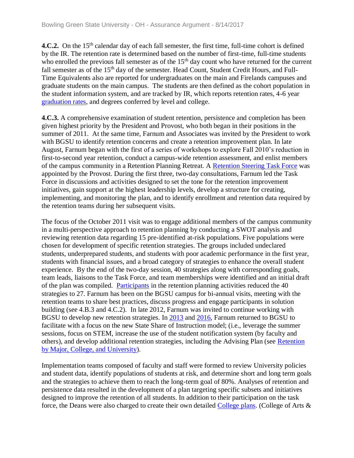**4.C.2.** On the 15<sup>th</sup> calendar day of each fall semester, the first time, full-time cohort is defined by the IR. The retention rate is determined based on the number of first-time, full-time students who enrolled the previous fall semester as of the 15<sup>th</sup> day count who have returned for the current fall semester as of the 15<sup>th</sup> day of the semester. Head Count, Student Credit Hours, and Full-Time Equivalents also are reported for undergraduates on the main and Firelands campuses and graduate students on the main campus. The students are then defined as the cohort population in the student information system, and are tracked by IR, which reports retention rates, 4-6 year [graduation rates,](../../evidence/viewfile?fileId=402992) and degrees conferred by level and college.

**4.C.3.** A comprehensive examination of student retention, persistence and completion has been given highest priority by the President and Provost, who both began in their positions in the summer of 2011. At the same time, Farnum and Associates was invited by the President to work with BGSU to identify retention concerns and create a retention improvement plan. In late August, Farnum began with the first of a series of workshops to explore Fall 2010's reduction in first-to-second year retention, conduct a campus-wide retention assessment, and enlist members of the campus community in a Retention Planning Retreat. A [Retention Steering Task Force](../../evidence/viewfile?fileid=401674) was appointed by the Provost. During the first three, two-day consultations, Farnum led the Task Force in discussions and activities designed to set the tone for the retention improvement initiatives, gain support at the highest leadership levels, develop a structure for creating, implementing, and monitoring the plan, and to identify enrollment and retention data required by the retention teams during her subsequent visits.

The focus of the October 2011 visit was to engage additional members of the campus community in a multi-perspective approach to retention planning by conducting a SWOT analysis and reviewing retention data regarding 15 pre-identified at-risk populations. Five populations were chosen for development of specific retention strategies. The groups included undeclared students, underprepared students, and students with poor academic performance in the first year, students with financial issues, and a broad category of strategies to enhance the overall student experience. By the end of the two-day session, 40 strategies along with corresponding goals, team leads, liaisons to the Task Force, and team memberships were identified and an initial draft of the plan was compiled. [Participants](../../evidence/viewfile?fileid=401672) in the retention planning activities reduced the 40 strategies to 27. Farnum has been on the BGSU campus for bi-annual visits, meeting with the retention teams to share best practices, discuss progress and engage participants in solution building (see 4.B.3 and 4.C.2). In late 2012, Farnum was invited to continue working with BGSU to develop new retention strategies. In [2013](../../evidence/viewfile?fileid=401678) and [2016,](../../evidence/viewfile?fileId=406624) Farnum returned to BGSU to facilitate with a focus on the new State Share of Instruction model; (i.e., leverage the summer sessions, focus on STEM, increase the use of the student notification system (by faculty and others), and develop additional retention strategies, including the Advising Plan (see [Retention](../../evidence/viewfile?fileId=405337)  [by Major, College, and University\)](../../evidence/viewfile?fileId=405337).

Implementation teams composed of faculty and staff were formed to review University policies and student data, identify populations of students at risk, and determine short and long term goals and the strategies to achieve them to reach the long-term goal of 80%. Analyses of retention and persistence data resulted in the development of a plan targeting specific subsets and initiatives designed to improve the retention of all students. In addition to their participation on the task force, the Deans were also charged to create their own detailed [College plans.](../../evidence/viewfile?fileId=405357) (College of Arts &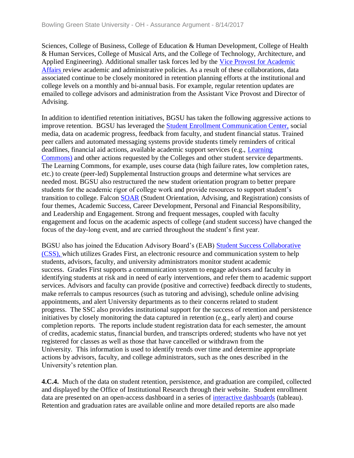Sciences, College of Business, College of Education & Human Development, College of Health & Human Services, College of Musical Arts, and the College of Technology, Architecture, and Applied Engineering). Additional smaller task forces led by the [Vice Provost for Academic](../../evidence/viewfile?fileId=401799)  [Affairs r](../../evidence/viewfile?fileId=401799)eview academic and administrative policies. As a result of these collaborations, data associated continue to be closely monitored in retention planning efforts at the institutional and college levels on a monthly and bi-annual basis. For example, regular retention updates are emailed to college advisors and administration from the Assistant Vice Provost and Director of Advising.

In addition to identified retention initiatives, BGSU has taken the following aggressive actions to improve retention. BGSU has leveraged the [Student Enrollment Communication Center,](../../evidence/viewfile?fileId=401563) social media, data on academic progress, feedback from faculty, and student financial status. Trained peer callers and automated messaging systems provide students timely reminders of critical deadlines, financial aid actions, available academic support services (e.g., [Learning](../../evidence/viewfile?fileId=401759)  [Commons\)](../../evidence/viewfile?fileId=401759) and other actions requested by the Colleges and other student service departments. The Learning Commons, for example, uses course data (high failure rates, low completion rates, etc.) to create (peer-led) Supplemental Instruction groups and determine what services are needed most. BGSU also restructured the new student orientation program to better prepare students for the academic rigor of college work and provide resources to support student's transition to college. Falcon [SOAR](../../evidence/viewfile?fileid=401675) (Student Orientation, Advising, and Registration) consists of four themes, Academic Success, Career Development, Personal and Financial Responsibility, and Leadership and Engagement. Strong and frequent messages, coupled with faculty engagement and focus on the academic aspects of college (and student success) have changed the focus of the day-long event, and are carried throughout the student's first year.

BGSU also has joined the Education Advisory Board's (EAB) [Student Success Collaborative](../../evidence/viewfile?fileId=405335)  [\(CSS\), w](../../evidence/viewfile?fileId=405335)hich utilizes Grades First, an electronic resource and communication system to help students, advisors, faculty, and university administrators monitor student academic success. Grades First supports a communication system to engage advisors and faculty in identifying students at risk and in need of early interventions, and refer them to academic support services. Advisors and faculty can provide (positive and corrective) feedback directly to students, make referrals to campus resources (such as tutoring and advising), schedule online advising appointments, and alert University departments as to their concerns related to student progress. The SSC also provides institutional support for the success of retention and persistence initiatives by closely monitoring the data captured in retention (e.g., early alert) and course completion reports. The reports include student registration data for each semester, the amount of credits, academic status, financial burden, and transcripts ordered; students who have not yet registered for classes as well as those that have cancelled or withdrawn from the University. This information is used to identify trends over time and determine appropriate actions by advisors, faculty, and college administrators, such as the ones described in the University's retention plan.

**4.C.4.** Much of the data on student retention, persistence, and graduation are compiled, collected and displayed by the Office of Institutional Research through their website. Student enrollment data are presented on an open-access dashboard in a series of [interactive dashboards](../../evidence/viewfile?fileid=401676) (tableau). Retention and graduation rates are available online and more detailed reports are also made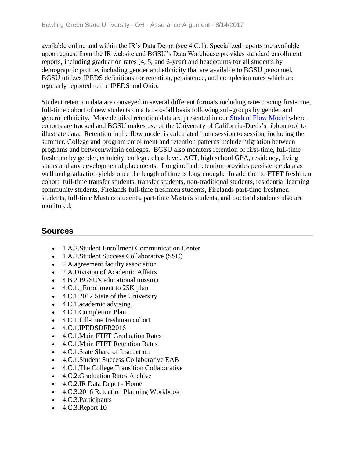available online and within the IR's Data Depot (see 4.C.1). Specialized reports are available upon request from the IR website and BGSU's Data Warehouse provides standard enrollment reports, including graduation rates (4, 5, and 6-year) and headcounts for all students by demographic profile, including gender and ethnicity that are available to BGSU personnel. BGSU utilizes IPEDS definitions for retention, persistence, and completion rates which are regularly reported to the IPEDS and Ohio.

Student retention data are conveyed in several different formats including rates tracing first-time, full-time cohort of new students on a fall-to-fall basis following sub-groups by gender and general ethnicity. More detailed retention data are presented in our [Student Flow Model w](../../evidence/viewfile?fileId=406340)here cohorts are tracked and BGSU makes use of the University of California-Davis's ribbon tool to illustrate data. Retention in the flow model is calculated from session to session, including the summer. College and program enrollment and retention patterns include migration between programs and between/within colleges. BGSU also monitors retention of first-time, full-time freshmen by gender, ethnicity, college, class level, ACT, high school GPA, residency, living status and any developmental placements. Longitudinal retention provides persistence data as well and graduation yields once the length of time is long enough. In addition to FTFT freshmen cohort, full-time transfer students, transfer students, non-traditional students, residential learning community students, Firelands full-time freshmen students, Firelands part-time freshmen students, full-time Masters students, part-time Masters students, and doctoral students also are monitored.

#### **Sources**

- 1.A.2.Student Enrollment Communication Center
- 1.A.2.Student Success Collaborative (SSC)
- 2.A.agreement faculty association
- 2.A.Division of Academic Affairs
- 4.B.2.BGSU's educational mission
- $\bullet$  4.C.1. Enrollment to 25K plan
- 4.C.1.2012 State of the University
- 4.C.1.academic advising
- 4.C.1.Completion Plan
- 4.C.1.full-time freshman cohort
- 4.C.1.IPEDSDFR2016
- 4.C.1.Main FTFT Graduation Rates
- 4.C.1.Main FTFT Retention Rates
- 4.C.1.State Share of Instruction
- 4.C.1.Student Success Collaborative EAB
- 4.C.1.The College Transition Collaborative
- 4.C.2.Graduation Rates Archive
- 4.C.2.IR Data Depot Home
- 4.C.3.2016 Retention Planning Workbook
- 4.C.3.Participants
- $\bullet$  4.C.3. Report 10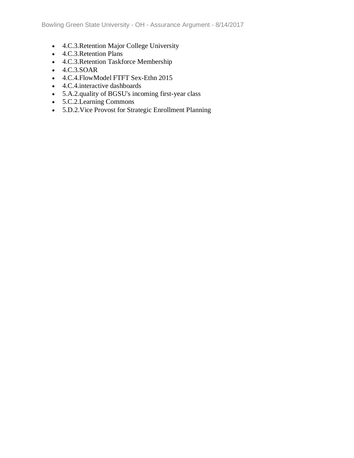- 4.C.3.Retention Major College University
- 4.C.3.Retention Plans
- 4.C.3.Retention Taskforce Membership
- 4.C.3.SOAR
- 4.C.4.FlowModel FTFT Sex-Ethn 2015
- 4.C.4.interactive dashboards
- 5.A.2.quality of BGSU's incoming first-year class
- 5.C.2.Learning Commons
- 5.D.2.Vice Provost for Strategic Enrollment Planning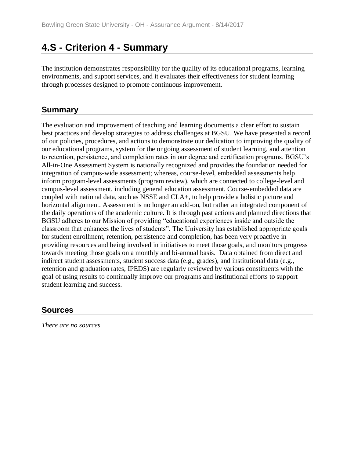## **4.S - Criterion 4 - Summary**

The institution demonstrates responsibility for the quality of its educational programs, learning environments, and support services, and it evaluates their effectiveness for student learning through processes designed to promote continuous improvement.

#### **Summary**

The evaluation and improvement of teaching and learning documents a clear effort to sustain best practices and develop strategies to address challenges at BGSU. We have presented a record of our policies, procedures, and actions to demonstrate our dedication to improving the quality of our educational programs, system for the ongoing assessment of student learning, and attention to retention, persistence, and completion rates in our degree and certification programs. BGSU's All-in-One Assessment System is nationally recognized and provides the foundation needed for integration of campus-wide assessment; whereas, course-level, embedded assessments help inform program-level assessments (program review), which are connected to college-level and campus-level assessment, including general education assessment. Course-embedded data are coupled with national data, such as NSSE and CLA+, to help provide a holistic picture and horizontal alignment. Assessment is no longer an add-on, but rather an integrated component of the daily operations of the academic culture. It is through past actions and planned directions that BGSU adheres to our Mission of providing "educational experiences inside and outside the classroom that enhances the lives of students". The University has established appropriate goals for student enrollment, retention, persistence and completion, has been very proactive in providing resources and being involved in initiatives to meet those goals, and monitors progress towards meeting those goals on a monthly and bi-annual basis. Data obtained from direct and indirect student assessments, student success data (e.g., grades), and institutional data (e.g., retention and graduation rates, IPEDS) are regularly reviewed by various constituents with the goal of using results to continually improve our programs and institutional efforts to support student learning and success.

#### **Sources**

*There are no sources.*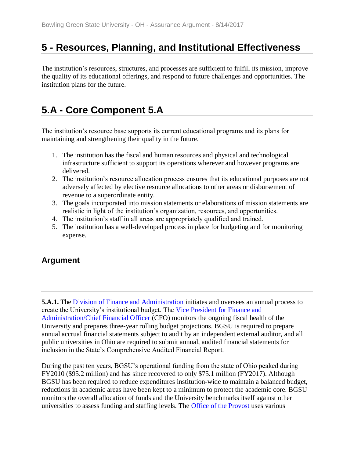## **5 - Resources, Planning, and Institutional Effectiveness**

The institution's resources, structures, and processes are sufficient to fulfill its mission, improve the quality of its educational offerings, and respond to future challenges and opportunities. The institution plans for the future.

## **5.A - Core Component 5.A**

The institution's resource base supports its current educational programs and its plans for maintaining and strengthening their quality in the future.

- 1. The institution has the fiscal and human resources and physical and technological infrastructure sufficient to support its operations wherever and however programs are delivered.
- 2. The institution's resource allocation process ensures that its educational purposes are not adversely affected by elective resource allocations to other areas or disbursement of revenue to a superordinate entity.
- 3. The goals incorporated into mission statements or elaborations of mission statements are realistic in light of the institution's organization, resources, and opportunities.
- 4. The institution's staff in all areas are appropriately qualified and trained.
- 5. The institution has a well-developed process in place for budgeting and for monitoring expense.

## **Argument**

**5.A.1.** The **[Division of Finance and Administration](../../evidence/viewfile?fileId=406578)** initiates and oversees an annual process to create the University's institutional budget. The [Vice President for Finance and](../../evidence/viewfile?fileid=401701)  [Administration/Chief Financial Officer](../../evidence/viewfile?fileid=401701) (CFO) monitors the ongoing fiscal health of the University and prepares three-year rolling budget projections. BGSU is required to prepare annual accrual financial statements subject to audit by an independent external auditor, and all public universities in Ohio are required to submit annual, audited financial statements for inclusion in the State's Comprehensive Audited Financial Report.

During the past ten years, BGSU's operational funding from the state of Ohio peaked during FY2010 (\$95.2 million) and has since recovered to only \$75.1 million (FY2017). Although BGSU has been required to reduce expenditures institution-wide to maintain a balanced budget, reductions in academic areas have been kept to a minimum to protect the academic core. BGSU monitors the overall allocation of funds and the University benchmarks itself against other universities to assess funding and staffing levels. The [Office of the Provost u](../../evidence/viewfile?fileid=404205)ses various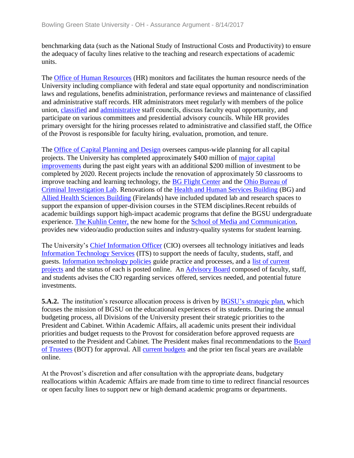benchmarking data (such as the National Study of Instructional Costs and Productivity) to ensure the adequacy of faculty lines relative to the teaching and research expectations of academic units.

The [Office of Human Resources](../../evidence/viewfile?fileid=401700) (HR) monitors and facilitates the human resource needs of the University including compliance with federal and state equal opportunity and nondiscrimination laws and regulations, benefits administration, performance reviews and maintenance of classified and administrative staff records. HR administrators meet regularly with members of the police union, [classified](../../evidence/viewfile?fileid=401703) and [administrative](../../evidence/viewfile?fileid=401698) staff councils, discuss faculty equal opportunity, and participate on various committees and presidential advisory councils. While HR provides primary oversight for the hiring processes related to administrative and classified staff, the Office of the Provost is responsible for faculty hiring, evaluation, promotion, and tenure.

The [Office of Capital Planning and Design](../../evidence/viewfile?fileid=401695) oversees campus-wide planning for all capital projects. The University has completed approximately \$400 million of [major capital](../../evidence/viewfile?fileid=401696)  [improvements](../../evidence/viewfile?fileid=401696) during the past eight years with an additional \$200 million of investment to be completed by 2020. Recent projects include the renovation of approximately 50 classrooms to improve teaching and learning technology, the [BG Flight Center](../../evidence/viewfile?fileid=401688) and the [Ohio Bureau of](../../evidence/viewfile?fileid=401694)  [Criminal Investigation Lab.](../../evidence/viewfile?fileid=401694) Renovations of the [Health and Human Services Building](../../evidence/viewfile?fileid=401689) (BG) and [Allied Health Sciences Building](../../evidence/viewfile?fileid=401685) (Firelands) have included updated lab and research spaces to support the expansion of upper-division courses in the STEM disciplines.Recent rebuilds of academic buildings support high-impact academic programs that define the BGSU undergraduate experience. [The Kuhlin Center,](../../evidence/viewfile?fileId=404208) the new home for the [School of Media and Communication,](../../evidence/viewfile?fileid=401702) provides new video/audio production suites and industry-quality systems for student learning.

The University's [Chief Information Officer](../../evidence/viewfile?fileid=401687) (CIO) oversees all technology initiatives and leads [Information Technology Services](../../evidence/viewfile?fileid=401690) (ITS) to support the needs of faculty, students, staff, and guests. [Information technology policies](../../evidence/viewfile?fileid=401691) guide practice and processes, and a [list of current](../../evidence/viewfile?fileid=401692)  [projects](../../evidence/viewfile?fileid=401692) and the status of each is posted online. An [Advisory Board](../../evidence/viewfile?fileid=401684) composed of faculty, staff, and students advises the CIO regarding services offered, services needed, and potential future investments.

**5.A.2.** The institution's resource allocation process is driven by **BGSU's strategic plan**, which focuses the mission of BGSU on the educational experiences of its students. During the annual budgeting process, all Divisions of the University present their strategic priorities to the President and Cabinet. Within Academic Affairs, all academic units present their individual priorities and budget requests to the Provost for consideration before approved requests are presented to the President and Cabinet. The President makes final recommendations to the [Board](../../evidence/viewfile?fileId=405687)  [of Trustees](../../evidence/viewfile?fileId=405687) (BOT) for approval. All [current budgets](../../evidence/viewfile?fileid=401699) and the prior ten fiscal years are available online.

At the Provost's discretion and after consultation with the appropriate deans, budgetary reallocations within Academic Affairs are made from time to time to redirect financial resources or open faculty lines to support new or high demand academic programs or departments.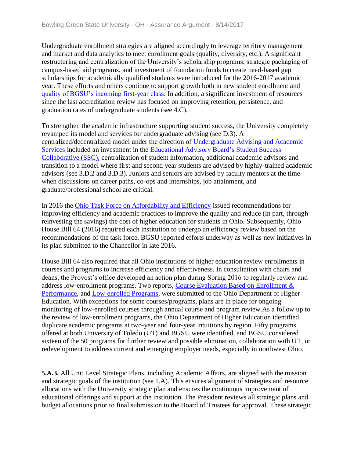Undergraduate enrollment strategies are aligned accordingly to leverage territory management and market and data analytics to meet enrollment goals (quality, diversity, etc.). A significant restructuring and centralization of the University's scholarship programs, strategic packaging of campus-based aid programs, and investment of foundation funds to create need-based gap scholarships for academically qualified students were introduced for the 2016-2017 academic year. These efforts and others continue to support growth both in new student enrollment and [quality of BGSU's incoming first-year class.](../../evidence/viewfile?fileid=401706) In addition, a significant investment of resources since the last accreditation review has focused on improving retention, persistence, and graduation rates of undergraduate students (see 4.C).

To strengthen the academic infrastructure supporting student success, the University completely revamped its model and services for undergraduate advising (see D.3). A centralized/decentralized model under the direction of [Undergraduate Advising and Academic](../../evidence/viewfile?fileid=401707)  [Services](../../evidence/viewfile?fileid=401707) included an investment in the [Educational Advisory Board's Student Success](../../evidence/viewfile?fileId=401572)  [Collaborative \(SSC\),](../../evidence/viewfile?fileId=401572) centralization of student information, additional academic advisors and transition to a model where first and second year students are advised by highly-trained academic advisors (see 3.D.2 and 3.D.3). Juniors and seniors are advised by faculty mentors at the time when discussions on career paths, co-ops and internships, job attainment, and graduate/professional school are critical.

In 2016 the [Ohio Task Force on Affordability and Efficiency](../../evidence/viewfile?fileid=401704) issued recommendations for improving efficiency and academic practices to improve the quality and reduce (in part, through reinvesting the savings) the cost of higher education for students in Ohio. Subsequently, Ohio House Bill 64 (2016) required each institution to undergo an efficiency review based on the recommendations of the task force. BGSU reported efforts underway as well as new initiatives in its plan submitted to the Chancellor in late 2016.

House Bill 64 also required that all Ohio institutions of higher education review enrollments in courses and programs to increase efficiency and effectiveness. In consultation with chairs and deans, the Provost's office developed an action plan during Spring 2016 to regularly review and address low-enrollment programs. Two reports, [Course Evaluation Based on Enrollment &](../../evidence/viewfile?fileId=404210)  [Performance,](../../evidence/viewfile?fileId=404210) and [Low-enrolled Programs,](../../evidence/viewfile?fileid=401710) were submitted to the Ohio Department of Higher Education. With exceptions for some courses/programs, plans are in place for ongoing monitoring of low-enrolled courses through annual course and program review.As a follow up to the review of low-enrollment programs, the Ohio Department of Higher Education identified duplicate academic programs at two-year and four-year intuitions by region. Fifty programs offered at both University of Toledo (UT) and BGSU were identified, and BGSU considered sixteen of the 50 programs for further review and possible elimination, collaboration with UT, or redevelopment to address current and emerging employer needs, especially in northwest Ohio.

**5.A.3.** All Unit Level Strategic Plans, including Academic Affairs, are aligned with the mission and strategic goals of the institution (see 1.A). This ensures alignment of strategies and resource allocations with the University strategic plan and ensures the continuous improvement of educational offerings and support at the institution. The President reviews all strategic plans and budget allocations prior to final submission to the Board of Trustees for approval. These strategic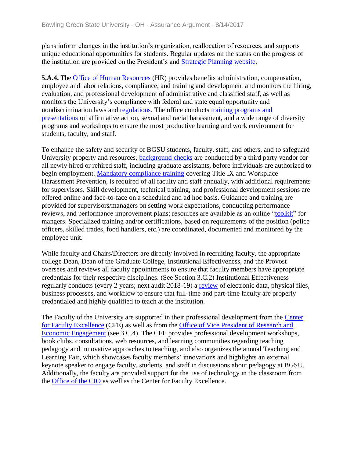plans inform changes in the institution's organization, reallocation of resources, and supports unique educational opportunities for students. Regular updates on the status on the progress of the institution are provided on the President's and [Strategic Planning website.](../../evidence/viewfile?fileid=401738)

**5.A.4.** The [Office of Human Resources](../../evidence/viewfile?fileId=405692) (HR) provides benefits administration, compensation, employee and labor relations, compliance, and training and development and monitors the hiring, evaluation, and professional development of administrative and classified staff, as well as monitors the University's compliance with federal and state equal opportunity and nondiscrimination laws and [regulations.](../../evidence/viewfile?fileid=401716) The office conducts [training programs and](../../evidence/viewfile?fileid=401720)  [presentations](../../evidence/viewfile?fileid=401720) on affirmative action, sexual and racial harassment, and a wide range of diversity programs and workshops to ensure the most productive learning and work environment for students, faculty, and staff.

To enhance the safety and security of BGSU students, faculty, staff, and others, and to safeguard University property and resources, [background checks](../../evidence/viewfile?fileid=401709) are conducted by a third party vendor for all newly hired or rehired staff, including graduate assistants, before individuals are authorized to begin employment. [Mandatory compliance training](../../evidence/viewfile?fileid=401713) covering Title IX and Workplace Harassment Prevention, is required of all faculty and staff annually, with additional requirements for supervisors. Skill development, technical training, and professional development sessions are offered online and face-to-face on a scheduled and ad hoc basis. Guidance and training are provided for supervisors/managers on setting work expectations, conducting performance reviews, and performance improvement plans; resources are available as an online ["toolkit"](../../evidence/viewfile?fileid=401717) for mangers. Specialized training and/or certifications, based on requirements of the position (police officers, skilled trades, food handlers, etc.) are coordinated, documented and monitored by the employee unit.

While faculty and Chairs/Directors are directly involved in recruiting faculty, the appropriate college Dean, Dean of the Graduate College, Institutional Effectiveness, and the Provost oversees and reviews all faculty appointments to ensure that faculty members have appropriate credentials for their respective disciplines. (See Section 3.C.2) Institutional Effectiveness regularly conducts (every 2 years; next audit 2018-19) a [review](../../evidence/viewfile?fileId=406049) of electronic data, physical files, business processes, and workflow to ensure that full-time and part-time faculty are properly credentialed and highly qualified to teach at the institution.

The Faculty of the University are supported in their professional development from the [Center](../../evidence/viewfile?fileid=401718)  [for Faculty Excellence](../../evidence/viewfile?fileid=401718) (CFE) as well as from the [Office of Vice President of Research and](../../evidence/viewfile?fileId=401837)  [Economic Engagement](../../evidence/viewfile?fileId=401837) (see 3.C.4). The CFE provides professional development workshops, book clubs, consultations, web resources, and learning communities regarding teaching pedagogy and innovative approaches to teaching, and also organizes the annual Teaching and Learning Fair, which showcases faculty members' innovations and highlights an external keynote speaker to engage faculty, students, and staff in discussions about pedagogy at BGSU. Additionally, the faculty are provided support for the use of technology in the classroom from the [Office of the CIO](../../evidence/viewfile?fileid=401687) as well as the Center for Faculty Excellence.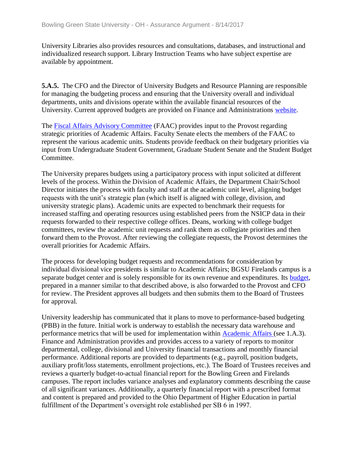University Libraries also provides resources and consultations, databases, and instructional and individualized research support. Library Instruction Teams who have subject expertise are available by appointment.

**5.A.5.** The CFO and the Director of University Budgets and Resource Planning are responsible for managing the budgeting process and ensuring that the University overall and individual departments, units and divisions operate within the available financial resources of the University. Current approved budgets are provided on Finance and Administrations [website.](../../evidence/viewfile?fileId=404211)

The [Fiscal Affairs Advisory Committee](../../evidence/viewfile?fileid=401719) (FAAC) provides input to the Provost regarding strategic priorities of Academic Affairs. Faculty Senate elects the members of the FAAC to represent the various academic units. Students provide feedback on their budgetary priorities via input from Undergraduate Student Government, Graduate Student Senate and the Student Budget Committee.

The University prepares budgets using a participatory process with input solicited at different levels of the process. Within the Division of Academic Affairs, the Department Chair/School Director initiates the process with faculty and staff at the academic unit level, aligning budget requests with the unit's strategic plan (which itself is aligned with college, division, and university strategic plans). Academic units are expected to benchmark their requests for increased staffing and operating resources using established peers from the NSICP data in their requests forwarded to their respective college offices. Deans, working with college budget committees, review the academic unit requests and rank them as collegiate priorities and then forward them to the Provost. After reviewing the collegiate requests, the Provost determines the overall priorities for Academic Affairs.

The process for developing budget requests and recommendations for consideration by individual divisional vice presidents is similar to Academic Affairs; BGSU Firelands campus is a separate budget center and is solely responsible for its own revenue and expenditures. Its [budget,](../../evidence/viewfile?fileid=401712) prepared in a manner similar to that described above, is also forwarded to the Provost and CFO for review. The President approves all budgets and then submits them to the Board of Trustees for approval.

University leadership has communicated that it plans to move to performance-based budgeting (PBB) in the future. Initial work is underway to establish the necessary data warehouse and performance metrics that will be used for implementation within **Academic Affairs** (see 1.A.3). Finance and Administration provides and provides access to a variety of reports to monitor departmental, college, divisional and University financial transactions and monthly financial performance. Additional reports are provided to departments (e.g., payroll, position budgets, auxiliary profit/loss statements, enrollment projections, etc.). The Board of Trustees receives and reviews a quarterly budget-to-actual financial report for the Bowling Green and Firelands campuses. The report includes variance analyses and explanatory comments describing the cause of all significant variances. Additionally, a quarterly financial report with a prescribed format and content is prepared and provided to the Ohio Department of Higher Education in partial fulfillment of the Department's oversight role established per SB 6 in 1997.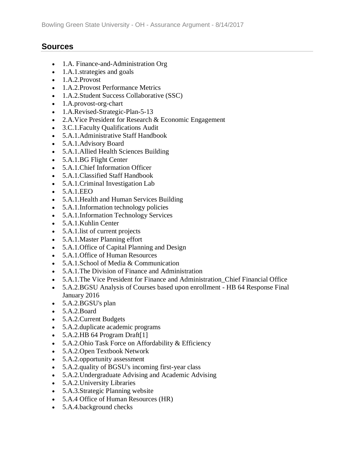## **Sources**

- 1.A. Finance-and-Administration Org
- 1.A.1.strategies and goals
- 1.A.2.Provost
- 1.A.2. Provost Performance Metrics
- 1.A.2.Student Success Collaborative (SSC)
- 1.A.provost-org-chart
- 1.A.Revised-Strategic-Plan-5-13
- 2.A.Vice President for Research & Economic Engagement
- 3.C.1.Faculty Qualifications Audit
- 5.A.1.Administrative Staff Handbook
- 5.A.1.Advisory Board
- 5.A.1.Allied Health Sciences Building
- 5.A.1.BG Flight Center
- 5.A.1.Chief Information Officer
- 5.A.1.Classified Staff Handbook
- 5.A.1.Criminal Investigation Lab
- 5.A.1.EEO
- 5.A.1.Health and Human Services Building
- 5.A.1.Information technology policies
- 5.A.1.Information Technology Services
- 5.A.1.Kuhlin Center
- 5.A.1. list of current projects
- 5.A.1.Master Planning effort
- 5.A.1.Office of Capital Planning and Design
- 5.A.1.Office of Human Resources
- 5.A.1.School of Media & Communication
- 5.A.1.The Division of Finance and Administration
- 5.A.1.The Vice President for Finance and Administration\_Chief Financial Office
- 5.A.2.BGSU Analysis of Courses based upon enrollment HB 64 Response Final January 2016
- 5.A.2.BGSU's plan
- 5.A.2.Board
- 5.A.2.Current Budgets
- 5.A.2.duplicate academic programs
- 5.A.2.HB 64 Program Draft $[1]$
- 5.A.2.Ohio Task Force on Affordability & Efficiency
- 5.A.2.Open Textbook Network
- 5.A.2.opportunity assessment
- 5.A.2.quality of BGSU's incoming first-year class
- 5.A.2.Undergraduate Advising and Academic Advising
- 5.A.2.University Libraries
- 5.A.3.Strategic Planning website
- 5.A.4 Office of Human Resources (HR)
- 5.A.4.background checks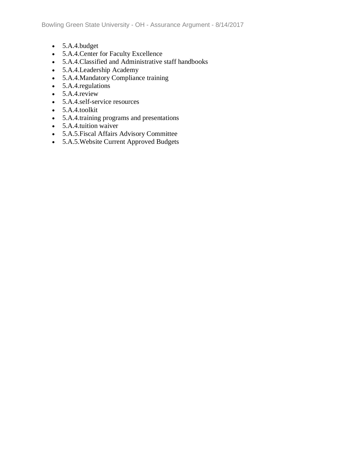- 5.A.4.budget
- 5.A.4.Center for Faculty Excellence
- 5.A.4.Classified and Administrative staff handbooks
- 5.A.4.Leadership Academy
- 5.A.4.Mandatory Compliance training
- 5.A.4. regulations
- $\bullet$  5.A.4.review
- 5.A.4.self-service resources
- 5.A.4.toolkit
- 5.A.4.training programs and presentations
- 5.A.4.tuition waiver
- 5.A.5.Fiscal Affairs Advisory Committee
- 5.A.5.Website Current Approved Budgets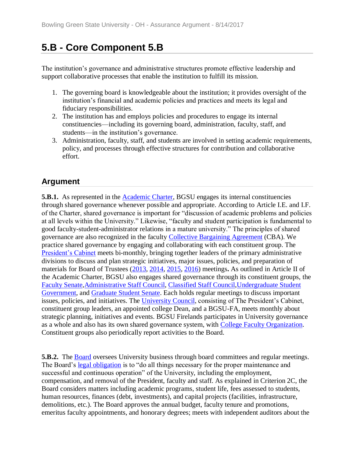# **5.B - Core Component 5.B**

The institution's governance and administrative structures promote effective leadership and support collaborative processes that enable the institution to fulfill its mission.

- 1. The governing board is knowledgeable about the institution; it provides oversight of the institution's financial and academic policies and practices and meets its legal and fiduciary responsibilities.
- 2. The institution has and employs policies and procedures to engage its internal constituencies—including its governing board, administration, faculty, staff, and students—in the institution's governance.
- 3. Administration, faculty, staff, and students are involved in setting academic requirements, policy, and processes through effective structures for contribution and collaborative effort.

## **Argument**

**5.B.1.** As represented in the [Academic Charter,](../../evidence/viewfile?fileid=401740) BGSU engages its internal constituencies through shared governance whenever possible and appropriate. According to Article I.E. and I.F. of the Charter, shared governance is important for "discussion of academic problems and policies at all levels within the University." Likewise, "faculty and student participation is fundamental to good faculty-student-administrator relations in a mature university." The principles of shared governance are also recognized in the faculty [Collective Bargaining Agreement](../../evidence/viewfile?fileId=401573) (CBA). We practice shared governance by engaging and collaborating with each constituent group. The [President's Cabinet](../../evidence/viewfile?fileid=401727) meets bi-monthly, bringing together leaders of the primary administrative divisions to discuss and plan strategic initiatives, major issues, policies, and preparation of materials for Board of Trustees [\(2013,](../../evidence/viewfile?fileId=405707) [2014,](../../evidence/viewfile?fileId=405708) [2015,](../../evidence/viewfile?fileId=405705) [2016\)](../../evidence/viewfile?fileId=405706) meetings**.** As outlined in Article II of the Academic Charter, BGSU also engages shared governance through its constituent groups, the [Faculty Senate,](../../evidence/viewfile?fileId=401728)[Administrative Staff Council,](../../evidence/viewfile?fileid=401730) [Classified Staff Council](../../evidence/viewfile?fileid=401725)[,Undergraduate Student](../../evidence/viewfile?fileid=401729)  [Government,](../../evidence/viewfile?fileid=401729) and [Graduate Student Senate.](../../evidence/viewfile?fileid=401726) Each holds regular meetings to discuss important issues, policies, and initiatives. The [University Council,](../../evidence/viewfile?fileid=401731) consisting of The President's Cabinet, constituent group leaders, an appointed college Dean, and a BGSU-FA, meets monthly about strategic planning, initiatives and events. BGSU Firelands participates in University governance as a whole and also has its own shared governance system, with [College Faculty Organization.](../../evidence/viewfile?fileid=401724) Constituent groups also periodically report activities to the Board.

**5.B.2.** The [Board](../../evidence/viewfile?fileid=401732) oversees University business through board committees and regular meetings. The Board's [legal obligation](../../evidence/viewfile?fileid=401733) is to "do all things necessary for the proper maintenance and successful and continuous operation" of the University, including the employment, compensation, and removal of the President, faculty and staff. As explained in Criterion 2C, the Board considers matters including academic programs, student life, fees assessed to students, human resources, finances (debt, investments), and capital projects (facilities, infrastructure, demolitions, etc.). The Board approves the annual budget, faculty tenure and promotions, emeritus faculty appointments, and honorary degrees; meets with independent auditors about the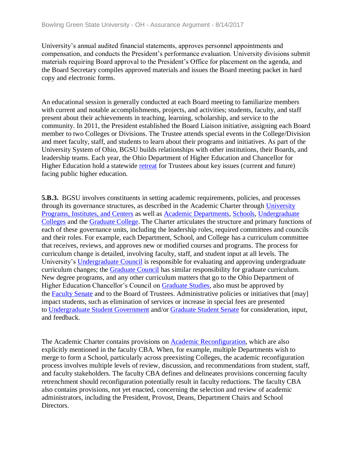University's annual audited financial statements, approves personnel appointments and compensation, and conducts the President's performance evaluation. University divisions submit materials requiring Board approval to the President's Office for placement on the agenda, and the Board Secretary compiles approved materials and issues the Board meeting packet in hard copy and electronic forms.

An educational session is generally conducted at each Board meeting to familiarize members with current and notable accomplishments, projects, and activities; students, faculty, and staff present about their achievements in teaching, learning, scholarship, and service to the community. In 2011, the President established the Board Liaison initiative, assigning each Board member to two Colleges or Divisions. The Trustee attends special events in the College/Division and meet faculty, staff, and students to learn about their programs and initiatives. As part of the University System of Ohio, BGSU builds relationships with other institutions, their Boards, and leadership teams. Each year, the Ohio Department of Higher Education and Chancellor for Higher Education hold a statewide [retreat](../../evidence/viewfile?fileid=401736) for Trustees about key issues (current and future) facing public higher education.

**5.B.3.** BGSU involves constituents in setting academic requirements, policies, and processes through its governance structures, as described in the Academic Charter through [University](../../evidence/viewfile?fileid=401748)  [Programs, Institutes, and Centers](../../evidence/viewfile?fileid=401748) as well as [Academic Departments,](../../evidence/viewfile?fileid=401741) [Schools,](../../evidence/viewfile?fileid=401745) [Undergraduate](../../evidence/viewfile?fileid=401750)  [Colleges](../../evidence/viewfile?fileid=401750) and the [Graduate College.](../../evidence/viewfile?fileid=401737) The Charter articulates the structure and primary functions of each of these governance units, including the leadership roles, required committees and councils and their roles. For example, each Department, School, and College has a curriculum committee that receives, reviews, and approves new or modified courses and programs. The process for curriculum change is detailed, involving faculty, staff, and student input at all levels. The University's [Undergraduate Council](../../evidence/viewfile?fileid=401747) is responsible for evaluating and approving undergraduate curriculum changes; the [Graduate Council](../../evidence/viewfile?fileid=401743) has similar responsibility for graduate curriculum. New degree programs, and any other curriculum matters that go to the Ohio Department of Higher Education Chancellor's Council on [Graduate Studies,](../../evidence/viewfile?fileid=401742) also must be approved by the [Faculty Senate](../../evidence/viewfile?fileId=401804) and to the Board of Trustees. Administrative policies or initiatives that [may] impact students, such as elimination of services or increase in special fees are presented to [Undergraduate Student Government](../../evidence/viewfile?fileid=401729) and/or [Graduate Student Senate](../../evidence/viewfile?fileid=401726) for consideration, input, and feedback.

The Academic Charter contains provisions on [Academic Reconfiguration,](../../evidence/viewfile?fileid=401739) which are also explicitly mentioned in the faculty CBA. When, for example, multiple Departments wish to merge to form a School, particularly across preexisting Colleges, the academic reconfiguration process involves multiple levels of review, discussion, and recommendations from student, staff, and faculty stakeholders. The faculty CBA defines and delineates provisions concerning faculty retrenchment should reconfiguration potentially result in faculty reductions. The faculty CBA also contains provisions, not yet enacted, concerning the selection and review of academic administrators, including the President, Provost, Deans, Department Chairs and School Directors.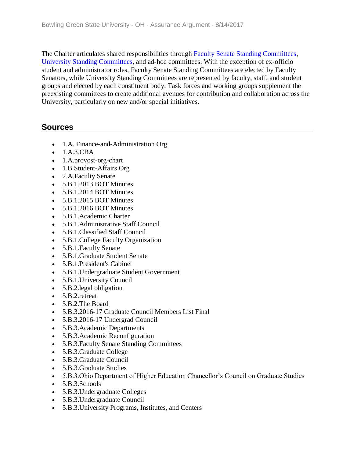The Charter articulates shared responsibilities through [Faculty Senate Standing Committees,](../../evidence/viewfile?fileid=401746) [University Standing Committees,](../../evidence/viewfile?fileid=401749) and ad-hoc committees. With the exception of ex-officio student and administrator roles, Faculty Senate Standing Committees are elected by Faculty Senators, while University Standing Committees are represented by faculty, staff, and student groups and elected by each constituent body. Task forces and working groups supplement the preexisting committees to create additional avenues for contribution and collaboration across the University, particularly on new and/or special initiatives.

## **Sources**

- 1.A. Finance-and-Administration Org
- 1.A.3.CBA
- 1.A.provost-org-chart
- 1.B.Student-Affairs Org
- 2.A.Faculty Senate
- 5.B.1.2013 BOT Minutes
- 5.B.1.2014 BOT Minutes
- 5.B.1.2015 BOT Minutes
- 5.B.1.2016 BOT Minutes
- 5.B.1.Academic Charter
- 5.B.1.Administrative Staff Council
- 5.B.1.Classified Staff Council
- 5.B.1.College Faculty Organization
- 5.B.1.Faculty Senate
- 5.B.1.Graduate Student Senate
- 5.B.1.President's Cabinet
- 5.B.1.Undergraduate Student Government
- 5.B.1.University Council
- 5.B.2. legal obligation
- 5.B.2.retreat
- 5.B.2.The Board
- 5.B.3.2016-17 Graduate Council Members List Final
- 5.B.3.2016-17 Undergrad Council
- 5.B.3.Academic Departments
- 5.B.3.Academic Reconfiguration
- 5.B.3.Faculty Senate Standing Committees
- 5.B.3.Graduate College
- 5.B.3.Graduate Council
- 5.B.3.Graduate Studies
- 5.B.3.Ohio Department of Higher Education Chancellor's Council on Graduate Studies
- 5.B.3.Schools
- 5.B.3.Undergraduate Colleges
- 5.B.3.Undergraduate Council
- 5.B.3.University Programs, Institutes, and Centers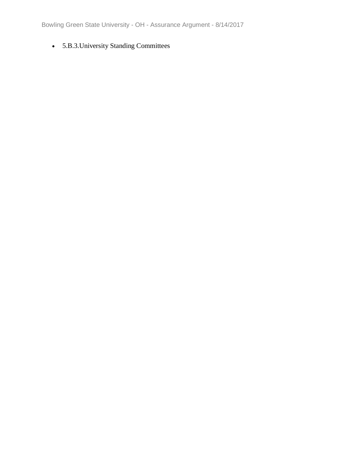Bowling Green State University - OH - Assurance Argument - 8/14/2017

• 5.B.3.University Standing Committees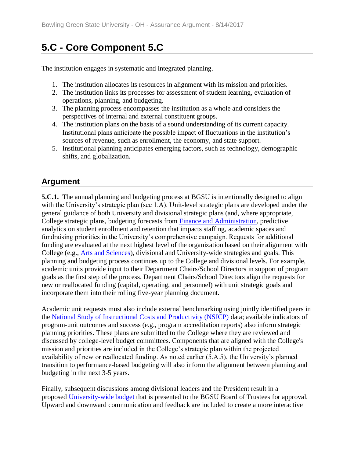# **5.C - Core Component 5.C**

The institution engages in systematic and integrated planning.

- 1. The institution allocates its resources in alignment with its mission and priorities.
- 2. The institution links its processes for assessment of student learning, evaluation of operations, planning, and budgeting.
- 3. The planning process encompasses the institution as a whole and considers the perspectives of internal and external constituent groups.
- 4. The institution plans on the basis of a sound understanding of its current capacity. Institutional plans anticipate the possible impact of fluctuations in the institution's sources of revenue, such as enrollment, the economy, and state support.
- 5. Institutional planning anticipates emerging factors, such as technology, demographic shifts, and globalization.

## **Argument**

**5.C.1.** The annual planning and budgeting process at BGSU is intentionally designed to align with the University's strategic plan (see 1.A). Unit-level strategic plans are developed under the general guidance of both University and divisional strategic plans (and, where appropriate, College strategic plans, budgeting forecasts from [Finance and Administration,](../../evidence/viewfile?fileid=401697) predictive analytics on student enrollment and retention that impacts staffing, academic spaces and fundraising priorities in the University's comprehensive campaign. Requests for additional funding are evaluated at the next highest level of the organization based on their alignment with College (e.g., [Arts and Sciences\)](../../evidence/viewfile?fileid=403023), divisional and University-wide strategies and goals. This planning and budgeting process continues up to the College and divisional levels. For example, academic units provide input to their Department Chairs/School Directors in support of program goals as the first step of the process. Department Chairs/School Directors align the requests for new or reallocated funding (capital, operating, and personnel) with unit strategic goals and incorporate them into their rolling five-year planning document.

Academic unit requests must also include external benchmarking using jointly identified peers in the [National Study of Instructional Costs and Productivity \(NSICP\)](../../evidence/viewfile?fileId=404207) data; available indicators of program-unit outcomes and success (e.g., program accreditation reports) also inform strategic planning priorities. These plans are submitted to the College where they are reviewed and discussed by college-level budget committees. Components that are aligned with the College's mission and priorities are included in the College's strategic plan within the projected availability of new or reallocated funding. As noted earlier (5.A.5), the University's planned transition to performance-based budgeting will also inform the alignment between planning and budgeting in the next 3-5 years.

Finally, subsequent discussions among divisional leaders and the President result in a proposed [University-wide budget](../../evidence/viewfile?fileId=405704) that is presented to the BGSU Board of Trustees for approval. Upward and downward communication and feedback are included to create a more interactive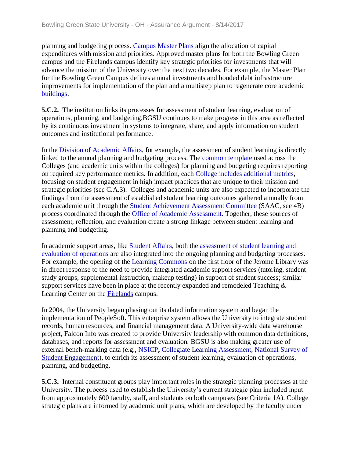planning and budgeting process. [Campus Master Plans](../../evidence/viewfile?fileid=401696) align the allocation of capital expenditures with mission and priorities. Approved master plans for both the Bowling Green campus and the Firelands campus identify key strategic priorities for investments that will advance the mission of the University over the next two decades. For example, the Master Plan for the Bowling Green Campus defines annual investments and bonded debt infrastructure improvements for implementation of the plan and a multistep plan to regenerate core academic [buildings.](../../evidence/viewfile?fileid=401754)

**5.C.2.** The institution links its processes for assessment of student learning, evaluation of operations, planning, and budgeting.BGSU continues to make progress in this area as reflected by its continuous investment in systems to integrate, share, and apply information on student outcomes and institutional performance.

In the [Division of Academic Affairs,](../../evidence/viewfile?fileId=406580) for example, the assessment of student learning is directly linked to the annual planning and budgeting process. The [common template u](../../evidence/viewfile?fileId=406355)sed across the Colleges (and academic units within the colleges) for planning and budgeting requires reporting on required key performance metrics. In addition, each [College includes additional metrics,](../../evidence/viewfile?fileid=403018) focusing on student engagement in high impact practices that are unique to their mission and strategic priorities (see C.A.3). Colleges and academic units are also expected to incorporate the findings from the assessment of established student learning outcomes gathered annually from each academic unit through the [Student Achievement Assessment Committee](../../evidence/viewfile?fileId=405700) (SAAC, see 4B) process coordinated through the [Office of Academic Assessment.](../../evidence/viewfile?fileid=404204) Together, these sources of assessment, reflection, and evaluation create a strong linkage between student learning and planning and budgeting.

In academic support areas, like [Student Affairs,](../../evidence/viewfile?fileid=401753) both the [assessment of student learning and](../../evidence/viewfile?fileid=403022)  [evaluation of operations](../../evidence/viewfile?fileid=403022) are also integrated into the ongoing planning and budgeting processes. For example, the opening of the [Learning Commons](../../evidence/viewfile?fileid=401759) on the first floor of the Jerome Library was in direct response to the need to provide integrated academic support services (tutoring, student study groups, supplemental instruction, makeup testing) in support of student success; similar support services have been in place at the recently expanded and remodeled Teaching & Learning Center on the [Firelands](../../evidence/viewfile?fileid=401752) campus.

In 2004, the University began phasing out its dated information system and began the implementation of PeopleSoft. This enterprise system allows the University to integrate student records, human resources, and financial management data. A University-wide data warehouse project, Falcon Info was created to provide University leadership with common data definitions, databases, and reports for assessment and evaluation. BGSU is also making greater use of external bench-marking data (e.g., [NSICP](../../evidence/viewfile?fileId=405696)**,** [Collegiate Learning Assessment,](../../evidence/viewfile?fileid=401751) [National Survey of](../../evidence/viewfile?fileid=401758)  [Student Engagement\)](../../evidence/viewfile?fileid=401758), to enrich its assessment of student learning, evaluation of operations, planning, and budgeting.

**5.C.3.** Internal constituent groups play important roles in the strategic planning processes at the University. The process used to establish the University's current strategic plan included input from approximately 600 faculty, staff, and students on both campuses (see Criteria 1A). College strategic plans are informed by academic unit plans, which are developed by the faculty under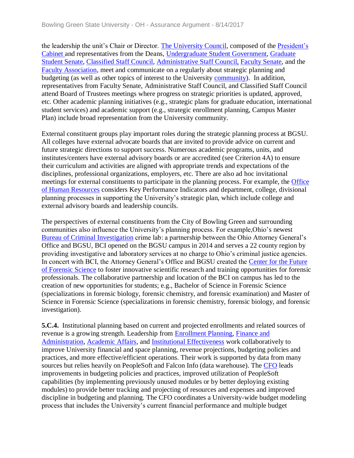the leadership the unit's Chair or Director. [The University Council,](../../evidence/viewfile?fileid=401731) composed of the [President's](../../evidence/viewfile?fileId=401820)  [Cabinet a](../../evidence/viewfile?fileId=401820)nd representatives from the Deans, [Undergraduate Student Government,](../../evidence/viewfile?fileId=401833) [Graduate](../../evidence/viewfile?fileId=401806)  [Student Senate,](../../evidence/viewfile?fileId=401806) [Classified Staff Council,](../../evidence/viewfile?fileid=401725) [Administrative Staff Council,](../../evidence/viewfile?fileid=401730) [Faculty Senate,](../../evidence/viewfile?fileId=401804) and the [Faculty Association,](../../evidence/viewfile?fileId=401779) meet and communicate on a regularly about strategic planning and budgeting (as well as other topics of interest to the University [community\)](../../evidence/viewfile?fileid=401755). In addition, representatives from Faculty Senate, Administrative Staff Council, and Classified Staff Council attend Board of Trustees meetings where progress on strategic priorities is updated, approved, etc. Other academic planning initiatives (e.g., strategic plans for graduate education, international student services) and academic support (e.g., strategic enrollment planning, Campus Master Plan) include broad representation from the University community.

External constituent groups play important roles during the strategic planning process at BGSU. All colleges have external advocate boards that are invited to provide advice on current and future strategic directions to support success. Numerous academic programs, units, and institutes/centers have external advisory boards or are accredited (see Criterion 4A) to ensure their curriculum and activities are aligned with appropriate trends and expectations of the disciplines, professional organizations, employers, etc. There are also ad hoc invitational meetings for external constituents to participate in the planning process. For example, the [Office](../../evidence/viewfile?fileId=405703)  [of Human Resources](../../evidence/viewfile?fileId=405703) considers Key Performance Indicators and department, college, divisional planning processes in supporting the University's strategic plan, which include college and external advisory boards and leadership councils.

The perspectives of external constituents from the City of Bowling Green and surrounding communities also influence the University's planning process. For example,Ohio's newest [Bureau of Criminal Investigation](../../evidence/viewfile?fileid=401760) crime lab: a partnership between the Ohio Attorney General's Office and BGSU, BCI opened on the BGSU campus in 2014 and serves a 22 county region by providing investigative and laboratory services at no charge to Ohio's criminal justice agencies. In concert with BCI, the Attorney General's Office and BGSU created the [Center for the Future](../../evidence/viewfile?fileid=401756)  [of Forensic Science](../../evidence/viewfile?fileid=401756) to foster innovative scientific research and training opportunities for forensic professionals. The collaborative partnership and location of the BCI on campus has led to the creation of new opportunities for students; e.g., Bachelor of Science in Forensic Science (specializations in forensic biology, forensic chemistry, and forensic examination) and Master of Science in Forensic Science (specializations in forensic chemistry, forensic biology, and forensic investigation).

**5.C.4.** Institutional planning based on current and projected enrollments and related sources of revenue is a growing strength. Leadership from **Enrollment Planning**, Finance and [Administration,](../../evidence/viewfile?fileid=401697) [Academic Affairs,](../../evidence/viewfile?fileId=406580) and [Institutional Effectiveness](../../evidence/viewfile?fileId=405697) work collaboratively to improve University financial and space planning, revenue projections, budgeting policies and practices, and more effective/efficient operations. Their work is supported by data from many sources but relies heavily on PeopleSoft and Falcon Info (data warehouse). The [CFO](../../evidence/viewfile?fileid=401701) leads improvements in budgeting policies and practices, improved utilization of PeopleSoft capabilities (by implementing previously unused modules or by better deploying existing modules) to provide better tracking and projecting of resources and expenses and improved discipline in budgeting and planning. The CFO coordinates a University-wide budget modeling process that includes the University's current financial performance and multiple budget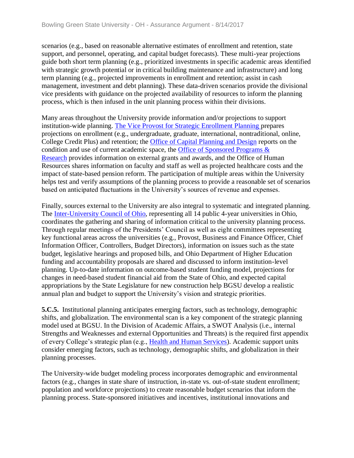scenarios (e.g., based on reasonable alternative estimates of enrollment and retention, state support, and personnel, operating, and capital budget forecasts). These multi-year projections guide both short term planning (e.g., prioritized investments in specific academic areas identified with strategic growth potential or in critical building maintenance and infrastructure) and long term planning (e.g., projected improvements in enrollment and retention; assist in cash management, investment and debt planning). These data-driven scenarios provide the divisional vice presidents with guidance on the projected availability of resources to inform the planning process, which is then infused in the unit planning process within their divisions.

Many areas throughout the University provide information and/or projections to support institution-wide planning. [The Vice Provost for Strategic Enrollment Planning p](../../evidence/viewfile?fileId=401765)repares projections on enrollment (e.g., undergraduate, graduate, international, nontraditional, online, College Credit Plus) and retention; the [Office of Capital Planning and Design](../../evidence/viewfile?fileId=401695) reports on the condition and use of current academic space, the [Office of Sponsored Programs &](../../evidence/viewfile?fileId=401812)  [Research](../../evidence/viewfile?fileId=401812) provides information on external grants and awards, and the Office of Human Resources shares information on faculty and staff as well as projected healthcare costs and the impact of state-based pension reform. The participation of multiple areas within the University helps test and verify assumptions of the planning process to provide a reasonable set of scenarios based on anticipated fluctuations in the University's sources of revenue and expenses.

Finally, sources external to the University are also integral to systematic and integrated planning. The [Inter-University Council of Ohio,](../../evidence/viewfile?fileid=401757) representing all 14 public 4-year universities in Ohio, coordinates the gathering and sharing of information critical to the university planning process. Through regular meetings of the Presidents' Council as well as eight committees representing key functional areas across the universities (e.g., Provost, Business and Finance Officer, Chief Information Officer, Controllers, Budget Directors), information on issues such as the state budget, legislative hearings and proposed bills, and Ohio Department of Higher Education funding and accountability proposals are shared and discussed to inform institution-level planning. Up-to-date information on outcome-based student funding model, projections for changes in need-based student financial aid from the State of Ohio, and expected capital appropriations by the State Legislature for new construction help BGSU develop a realistic annual plan and budget to support the University's vision and strategic priorities.

**5.C.5.** Institutional planning anticipates emerging factors, such as technology, demographic shifts, and globalization. The environmental scan is a key component of the strategic planning model used at BGSU. In the Division of Academic Affairs, a SWOT Analysis (i.e., internal Strengths and Weaknesses and external Opportunities and Threats) is the required first appendix of every College's strategic plan (e.g., [Health and Human Services\)](../../evidence/viewfile?fileId=403013). Academic support units consider emerging factors, such as technology, demographic shifts, and globalization in their planning processes.

The University-wide budget modeling process incorporates demographic and environmental factors (e.g., changes in state share of instruction, in-state vs. out-of-state student enrollment; population and workforce projections) to create reasonable budget scenarios that inform the planning process. State-sponsored initiatives and incentives, institutional innovations and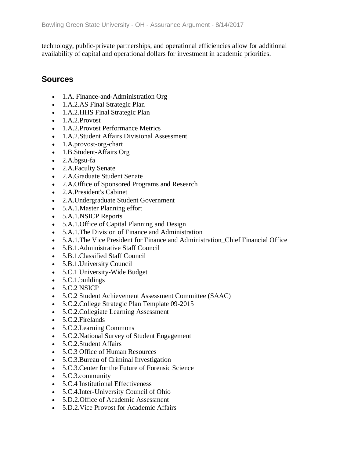technology, public-private partnerships, and operational efficiencies allow for additional availability of capital and operational dollars for investment in academic priorities.

#### **Sources**

- 1.A. Finance-and-Administration Org
- 1.A.2.AS Final Strategic Plan
- 1.A.2. HHS Final Strategic Plan
- 1.A.2.Provost
- 1.A.2. Provost Performance Metrics
- 1.A.2.Student Affairs Divisional Assessment
- 1.A.provost-org-chart
- 1.B.Student-Affairs Org
- 2.A.bgsu-fa
- 2.A.Faculty Senate
- 2.A.Graduate Student Senate
- 2.A.Office of Sponsored Programs and Research
- 2.A.President's Cabinet
- 2.A.Undergraduate Student Government
- 5.A.1.Master Planning effort
- 5.A.1.NSICP Reports
- 5.A.1.Office of Capital Planning and Design
- 5.A.1. The Division of Finance and Administration
- 5.A.1. The Vice President for Finance and Administration Chief Financial Office
- 5.B.1.Administrative Staff Council
- 5.B.1.Classified Staff Council
- 5.B.1.University Council
- 5.C.1 University-Wide Budget
- 5.C.1.buildings
- $\bullet$  5.C.2 NSICP
- 5.C.2 Student Achievement Assessment Committee (SAAC)
- 5.C.2.College Strategic Plan Template 09-2015
- 5.C.2.Collegiate Learning Assessment
- 5.C.2.Firelands
- 5.C.2.Learning Commons
- 5.C.2.National Survey of Student Engagement
- 5.C.2.Student Affairs
- 5.C.3 Office of Human Resources
- 5.C.3.Bureau of Criminal Investigation
- 5.C.3.Center for the Future of Forensic Science
- 5.C.3.community
- 5.C.4 Institutional Effectiveness
- 5.C.4.Inter-University Council of Ohio
- 5.D.2.Office of Academic Assessment
- 5.D.2.Vice Provost for Academic Affairs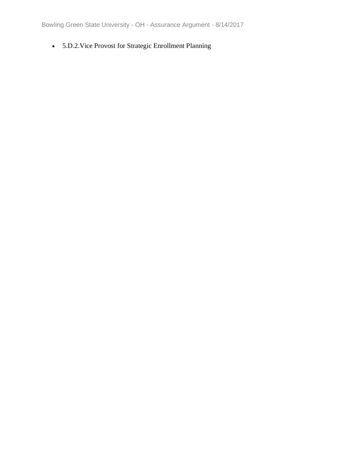• 5.D.2.Vice Provost for Strategic Enrollment Planning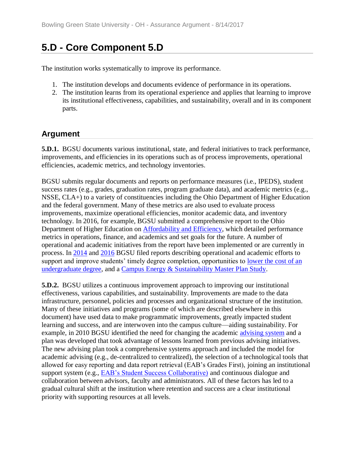## **5.D - Core Component 5.D**

The institution works systematically to improve its performance.

- 1. The institution develops and documents evidence of performance in its operations.
- 2. The institution learns from its operational experience and applies that learning to improve its institutional effectiveness, capabilities, and sustainability, overall and in its component parts.

## **Argument**

**5.D.1.** BGSU documents various institutional, state, and federal initiatives to track performance, improvements, and efficiencies in its operations such as of process improvements, operational efficiencies, academic metrics, and technology inventories.

BGSU submits regular documents and reports on performance measures (i.e., IPEDS), student success rates (e.g., grades, graduation rates, program graduate data), and academic metrics (e.g., NSSE, CLA+) to a variety of constituencies including the Ohio Department of Higher Education and the federal government. Many of these metrics are also used to evaluate process improvements, maximize operational efficiencies, monitor academic data, and inventory technology. In 2016, for example, BGSU submitted a comprehensive report to the Ohio Department of Higher Education on [Affordability and Efficiency,](../../evidence/viewfile?fileid=401767) which detailed performance metrics in operations, finance, and academics and set goals for the future. A number of operational and academic initiatives from the report have been implemented or are currently in process. In [2014](../../evidence/viewfile?fileid=401761) and [2016](../../evidence/viewfile?fileid=401766) BGSU filed reports describing operational and academic efforts to support and improve students' timely degree completion, opportunities to lower the cost of an [undergraduate degree,](../../evidence/viewfile?fileid=401762) and a [Campus Energy & Sustainability Master Plan Study.](../../evidence/viewfile?fileid=401773)

**5.D.2.** BGSU utilizes a continuous improvement approach to improving our institutional effectiveness, various capabilities, and sustainability. Improvements are made to the data infrastructure, personnel, policies and processes and organizational structure of the institution. Many of these initiatives and programs (some of which are described elsewhere in this document) have used data to make programmatic improvements, greatly impacted student learning and success, and are interwoven into the campus culture—aiding sustainability. For example, in 2010 BGSU identified the need for changing the academic [advising system](../../evidence/viewfile?fileid=401763) and a plan was developed that took advantage of lessons learned from previous advising initiatives. The new advising plan took a comprehensive systems approach and included the model for academic advising (e.g., de-centralized to centralized), the selection of a technological tools that allowed for easy reporting and data report retrieval (EAB's Grades First), joining an institutional support system (e.g., **EAB**'s Student Success Collaborative) and continuous dialogue and collaboration between advisors, faculty and administrators. All of these factors has led to a gradual cultural shift at the institution where retention and success are a clear institutional priority with supporting resources at all levels.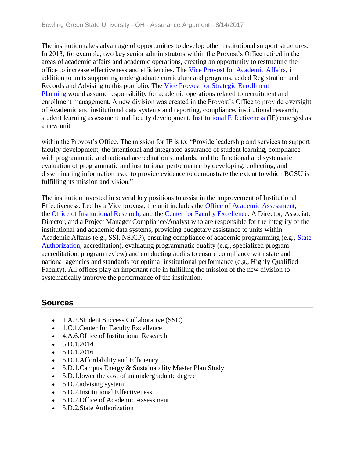The institution takes advantage of opportunities to develop other institutional support structures. In 2013, for example, two key senior administrators within the Provost's Office retired in the areas of academic affairs and academic operations, creating an opportunity to restructure the office to increase effectiveness and efficiencies. The [Vice Provost for Academic Affairs,](../../evidence/viewfile?fileid=401764) in addition to units supporting undergraduate curriculum and programs, added Registration and Records and Advising to this portfolio. The [Vice Provost for Strategic Enrollment](../../evidence/viewfile?fileid=401765)  [Planning](../../evidence/viewfile?fileid=401765) would assume responsibility for academic operations related to recruitment and enrollment management. A new division was created in the Provost's Office to provide oversight of Academic and institutional data systems and reporting, compliance, institutional research, student learning assessment and faculty development. [Institutional Effectiveness](../../evidence/viewfile?fileId=403270) (IE) emerged as a new unit

within the Provost's Office. The mission for IE is to: "Provide leadership and services to support faculty development, the intentional and integrated assurance of student learning, compliance with programmatic and national accreditation standards, and the functional and systematic evaluation of programmatic and institutional performance by developing, collecting, and disseminating information used to provide evidence to demonstrate the extent to which BGSU is fulfilling its mission and vision."

The institution invested in several key positions to assist in the improvement of Institutional Effectiveness. Led by a Vice provost, the unit includes the [Office of Academic Assessment,](../../evidence/viewfile?fileid=404204) the [Office of Institutional Research,](../../evidence/viewfile?fileid=401620) and the [Center for Faculty Excellence.](../../evidence/viewfile?fileid=403034) A Director, Associate Director, and a Project Manager Compliance/Analyst who are responsible for the integrity of the institutional and academic data systems, providing budgetary assistance to units within Academic Affairs (e.g., SSI, NSICP), ensuring compliance of academic programming (e.g., [State](../../evidence/viewfile?fileId=404203)  [Authorization,](../../evidence/viewfile?fileId=404203) accreditation), evaluating programmatic quality (e.g., specialized program accreditation, program review) and conducting audits to ensure compliance with state and national agencies and standards for optimal institutional performance (e.g., Highly Qualified Faculty). All offices play an important role in fulfilling the mission of the new division to systematically improve the performance of the institution.

## **Sources**

- 1.A.2.Student Success Collaborative (SSC)
- 1.C.1. Center for Faculty Excellence
- 4.A.6.Office of Institutional Research
- $\bullet$  5.D.1.2014
- $\bullet$  5.D.1.2016
- 5.D.1.Affordability and Efficiency
- 5.D.1. Campus Energy & Sustainability Master Plan Study
- 5.D.1.lower the cost of an undergraduate degree
- 5.D.2. advising system
- 5.D.2.Institutional Effectiveness
- 5.D.2. Office of Academic Assessment
- 5.D.2.State Authorization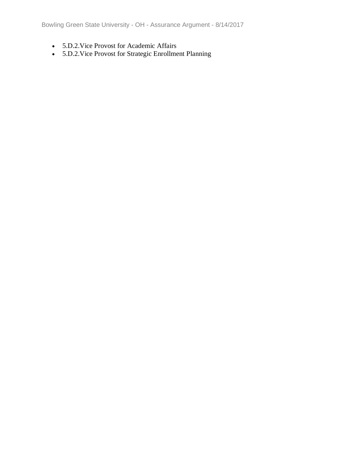Bowling Green State University - OH - Assurance Argument - 8/14/2017

- 5.D.2.Vice Provost for Academic Affairs
- 5.D.2.Vice Provost for Strategic Enrollment Planning